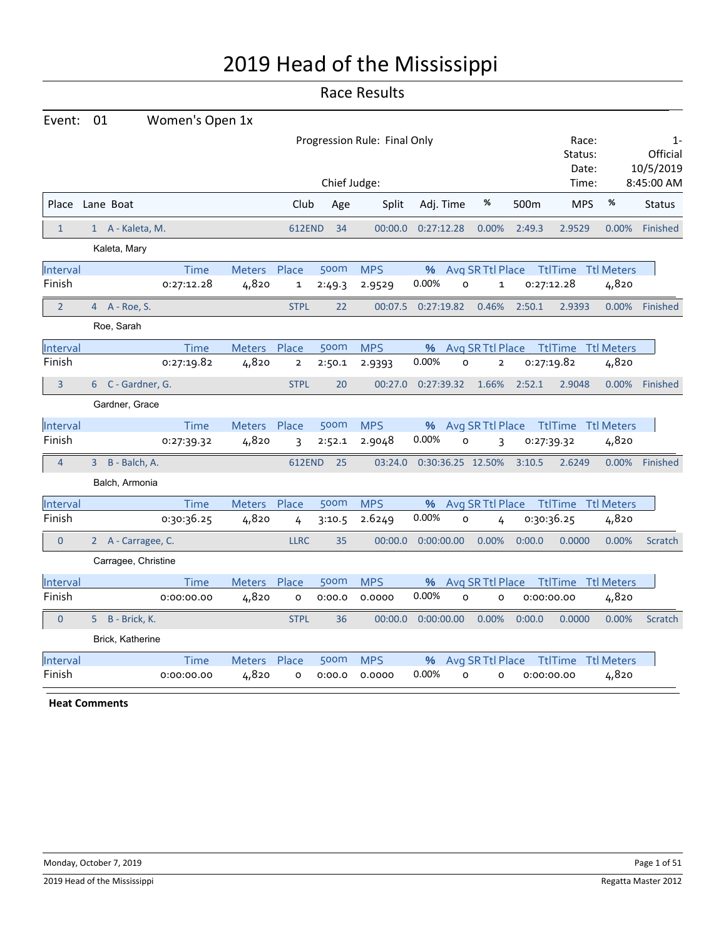# 2019 Head of the Mississippi

# Race Results

| Event: 01       |                     | Women's Open 1x |              |               |              |                              |            |           |                   |        |                                        |       |                                |
|-----------------|---------------------|-----------------|--------------|---------------|--------------|------------------------------|------------|-----------|-------------------|--------|----------------------------------------|-------|--------------------------------|
|                 |                     |                 |              |               |              | Progression Rule: Final Only |            |           |                   |        | Race:<br>Status:<br>Date:              |       | $1 -$<br>Official<br>10/5/2019 |
|                 |                     |                 |              |               | Chief Judge: |                              |            |           |                   |        | Time:                                  |       | 8:45:00 AM                     |
| Place Lane Boat |                     |                 |              | Club          | Age          | Split                        |            | Adj. Time | %                 | 500m   | <b>MPS</b>                             | %     | <b>Status</b>                  |
| $\mathbf{1}$    | 1 A - Kaleta, M.    |                 |              | <b>612END</b> | 34           | 00:00.0                      | 0:27:12.28 |           | 0.00%             | 2:49.3 | 2.9529                                 | 0.00% | Finished                       |
|                 | Kaleta, Mary        |                 |              |               |              |                              |            |           |                   |        |                                        |       |                                |
| Interval        |                     | Time            | Meters Place |               | 500m         | <b>MPS</b>                   |            |           |                   |        | % Avg SR Ttl Place Ttl Time Ttl Meters |       |                                |
| Finish          |                     | 0:27:12.28      | 4,820        | $\mathbf{1}$  | 2:49.3       | 2.9529                       | 0.00%      | O         | $\mathbf{1}$      |        | 0:27:12.28                             | 4,820 |                                |
| $\overline{2}$  | 4 A - Roe, S.       |                 |              | <b>STPL</b>   | 22           | 00:07.5                      | 0:27:19.82 |           | 0.46%             | 2:50.1 | 2.9393                                 | 0.00% | Finished                       |
|                 | Roe, Sarah          |                 |              |               |              |                              |            |           |                   |        |                                        |       |                                |
| Interval        |                     | Time            | Meters       | Place         | 500m         | <b>MPS</b>                   | %          |           | Avg SR Ttl Place  |        | <b>TtlTime Ttl Meters</b>              |       |                                |
| Finish          |                     | 0:27:19.82      | 4,820        | $\mathbf 2$   | 2:50.1       | 2.9393                       | 0.00%      | O         | 2                 |        | 0:27:19.82                             | 4,820 |                                |
| $\overline{3}$  | 6 C - Gardner, G.   |                 |              | <b>STPL</b>   | 20           | 00:27.0                      | 0:27:39.32 |           | 1.66%             | 2:52.1 | 2.9048                                 | 0.00% | Finished                       |
|                 | Gardner, Grace      |                 |              |               |              |                              |            |           |                   |        |                                        |       |                                |
| Interval        |                     | Time            | Meters Place |               | 500m         | <b>MPS</b>                   | %          |           |                   |        | Avg SR Ttl Place Ttl Time Ttl Meters   |       |                                |
| Finish          |                     | 0:27:39.32      | 4,820        | 3             | 2:52.1       | 2.9048                       | 0.00%      | O         | 3                 |        | 0:27:39.32                             | 4,820 |                                |
| $\overline{4}$  | 3 B - Balch, A.     |                 |              | <b>612END</b> | 25           | 03:24.0                      |            |           | 0:30:36.25 12.50% | 3:10.5 | 2.6249                                 | 0.00% | Finished                       |
|                 | Balch, Armonia      |                 |              |               |              |                              |            |           |                   |        |                                        |       |                                |
| Interval        |                     | Time            | Meters       | Place         | 500m         | <b>MPS</b>                   | %          |           | Avg SR Ttl Place  |        | <b>TtlTime Ttl Meters</b>              |       |                                |
| Finish          |                     | 0:30:36.25      | 4,820        | 4             | 3:10.5       | 2.6249                       | 0.00%      | 0         |                   |        | 0:30:36.25                             | 4,820 |                                |
| $\Omega$        | 2 A - Carragee, C.  |                 |              | <b>LLRC</b>   | 35           | 00:00.0                      | 0:00:00.00 |           | 0.00%             | 0:00.0 | 0.0000                                 | 0.00% | Scratch                        |
|                 | Carragee, Christine |                 |              |               |              |                              |            |           |                   |        |                                        |       |                                |
| Interval        |                     | <b>Time</b>     | Meters Place |               | 500m         | <b>MPS</b>                   | %          |           | Avg SR Ttl Place  |        | TtlTime Ttl Meters                     |       |                                |
| Finish          |                     | 0:00:00.00      | 4,820        | O             | 0:00.0       | 0.0000                       | 0.00%      | 0         | o                 |        | 0:00:00.00                             | 4,820 |                                |
| $\overline{0}$  | 5 B - Brick, K.     |                 |              | <b>STPL</b>   | 36           | 00:00.0                      | 0:00:00.00 |           | 0.00%             | 0:00.0 | 0.0000                                 | 0.00% | Scratch                        |
|                 | Brick, Katherine    |                 |              |               |              |                              |            |           |                   |        |                                        |       |                                |
| Interval        |                     | Time            | Meters Place |               | 500m         | <b>MPS</b>                   | %          |           | Avg SR Ttl Place  |        | TtlTime Ttl Meters                     |       |                                |
| Finish          |                     | 0:00:00.00      | 4,820        | o             | 0:00.0       | 0.0000                       | 0.00%      | O         | O                 |        | 0:00:00.00                             | 4,820 |                                |
|                 |                     |                 |              |               |              |                              |            |           |                   |        |                                        |       |                                |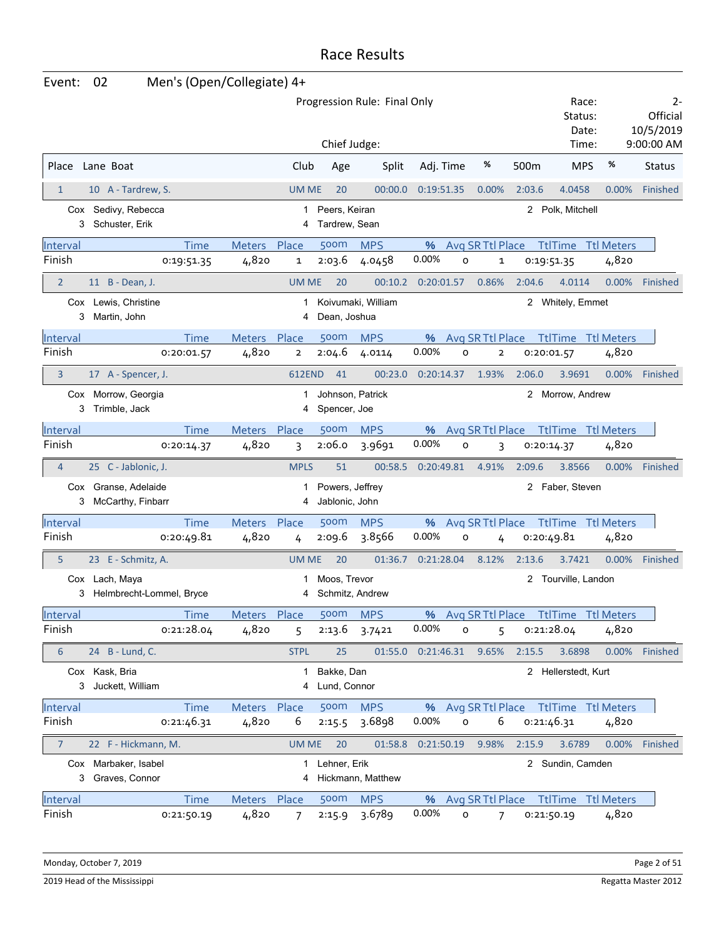| Event:          | Men's (Open/Collegiate) 4+<br>02           |               |                |                                   |                              |                     |                     |                |              |                     |                                        |                                           |
|-----------------|--------------------------------------------|---------------|----------------|-----------------------------------|------------------------------|---------------------|---------------------|----------------|--------------|---------------------|----------------------------------------|-------------------------------------------|
|                 |                                            |               |                | Chief Judge:                      | Progression Rule: Final Only |                     |                     |                |              | Status:<br>Time:    | Race:<br>Date:                         | 2-<br>Official<br>10/5/2019<br>9:00:00 AM |
| Place           | Lane Boat                                  |               | Club           | Age                               | Split                        | Adj. Time           |                     | %              | 500m         | <b>MPS</b>          | %                                      | <b>Status</b>                             |
| $\mathbf{1}$    | 10 A - Tardrew, S.                         |               | <b>UM ME</b>   | 20                                | 00:00.0                      | 0:19:51.35          |                     | 0.00%          | 2:03.6       | 4.0458              | 0.00%                                  | Finished                                  |
| 3               | Cox Sedivy, Rebecca<br>Schuster, Erik      |               | 1<br>4         | Peers, Keiran<br>Tardrew, Sean    |                              |                     |                     |                |              | 2 Polk, Mitchell    |                                        |                                           |
| Interval        | <b>Time</b>                                | Meters        | Place          | 500m                              | <b>MPS</b>                   | %                   | Avg SR Ttl Place    |                |              |                     | <b>TtlTime Ttl Meters</b>              |                                           |
| Finish          | 0:19:51.35                                 | 4,820         | 1              | 2:03.6                            | 4.0458                       | 0.00%               | $\circ$             | 1              |              | 0:19:51.35          | 4,820                                  |                                           |
| $\overline{2}$  | 11 B - Dean, J.                            |               | <b>UM ME</b>   | 20                                | 00:10.2                      | 0:20:01.57          |                     | 0.86%          | 2:04.6       | 4.0114              | $0.00\%$                               | Finished                                  |
| 3               | Cox Lewis, Christine<br>Martin, John       |               | 1<br>4         | Dean, Joshua                      | Koivumaki, William           |                     |                     |                |              | 2 Whitely, Emmet    |                                        |                                           |
| Interval        | <b>Time</b>                                | <b>Meters</b> | Place          | 500m                              | <b>MPS</b>                   | %                   | Avg SR Ttl Place    |                |              |                     | <b>TtlTime</b> Ttl Meters              |                                           |
| Finish          | 0:20:01.57                                 | 4,820         | $\overline{2}$ | 2:04.6                            | 4.0114                       | 0.00%               | $\circ$             | $\overline{2}$ |              | 0:20:01.57          | 4,820                                  |                                           |
| 3               | 17 A - Spencer, J.                         |               | <b>612END</b>  | 41                                | 00:23.0                      | 0:20:14.37          |                     | 1.93%          | 2:06.0       | 3.9691              | 0.00%                                  | Finished                                  |
| 3               | Cox Morrow, Georgia<br>Trimble, Jack       |               | 1<br>4         | Johnson, Patrick<br>Spencer, Joe  |                              |                     |                     |                |              | 2 Morrow, Andrew    |                                        |                                           |
| Interval        | <b>Time</b>                                | <b>Meters</b> | Place          | 500 <sub>m</sub>                  | <b>MPS</b>                   | %                   | Avg SR Ttl Place    |                |              |                     | <b>TtlTime</b> Ttl Meters              |                                           |
| Finish          | 0:20:14.37                                 | 4,820         | 3              | 2:06.0                            | 3.9691                       | 0.00%               | o                   | 3              |              | 0:20:14.37          | 4,820                                  |                                           |
| $\overline{4}$  | 25 C - Jablonic, J.                        |               | <b>MPLS</b>    | 51                                | 00:58.5                      | 0:20:49.81          |                     | 4.91%          | 2:09.6       | 3.8566              | 0.00%                                  | Finished                                  |
| 3               | Cox Granse, Adelaide<br>McCarthy, Finbarr  |               | 1<br>4         | Powers, Jeffrey<br>Jablonic, John |                              |                     |                     |                | $\mathbf{2}$ | Faber, Steven       |                                        |                                           |
| Interval        | <b>Time</b>                                | Meters Place  |                | 500m                              | <b>MPS</b>                   | %                   | Avg SR Ttl Place    |                |              |                     | <b>TtlTime</b> Ttl Meters              |                                           |
| Finish          | 0:20:49.81                                 | 4,820         | 4              | 2:09.6                            | 3.8566                       | 0.00%               | $\mathsf{o}$        | 4              |              | 0:20:49.81          | 4,820                                  |                                           |
| 5               | 23 E - Schmitz, A.                         |               | UM ME          | 20                                | 01:36.7                      | 0:21:28.04          |                     | 8.12%          | 2:13.6       | 3.7421              | 0.00%                                  | Finished                                  |
| 3               | Cox Lach, Maya<br>Helmbrecht-Lommel, Bryce |               | 4              | Moos, Trevor<br>Schmitz, Andrew   |                              |                     |                     |                |              | 2 Tourville, Landon |                                        |                                           |
| Interval        | <b>Time</b>                                | Meters Place  |                | 500m                              | <b>MPS</b>                   |                     |                     |                |              |                     | % Avg SR Ttl Place Ttl Time Ttl Meters |                                           |
| Finish          | 0:21:28.04                                 | 4,820         | 5              | 2:13.6                            | 3.7421                       | 0.00%               | $\mathsf{o}$        | 5              |              | 0:21:28.04          | 4,820                                  |                                           |
| 6               | 24 B - Lund, C.                            |               | <b>STPL</b>    | 25                                |                              | 01:55.0  0:21:46.31 |                     | 9.65%          | 2:15.5       | 3.6898              | $0.00\%$                               | Finished                                  |
|                 | Cox Kask, Bria<br>3 Juckett, William       |               | 1              | Bakke, Dan<br>Lund, Connor        |                              |                     |                     |                |              | 2 Hellerstedt, Kurt |                                        |                                           |
| Interval        | <b>Time</b>                                | Meters Place  |                | 500 <sub>m</sub>                  | <b>MPS</b>                   |                     |                     |                |              |                     | % Avg SR Ttl Place Ttl Time Ttl Meters |                                           |
| Finish          | 0:21:46.31                                 | 4,820         | 6              | 2:15.5                            | 3.6898                       | 0.00%               | $\mathsf{o}\xspace$ | 6              |              | 0:21:46.31          | 4,820                                  |                                           |
| 7               | 22 F - Hickmann, M.                        |               | <b>UM ME</b>   | 20                                |                              | 01:58.8  0:21:50.19 |                     | 9.98%          | 2:15.9       | 3.6789              |                                        | 0.00% Finished                            |
|                 | Cox Marbaker, Isabel<br>3 Graves, Connor   |               |                | 1 Lehner, Erik                    | 4 Hickmann, Matthew          |                     |                     |                |              | 2 Sundin, Camden    |                                        |                                           |
| <b>Interval</b> | <b>Time</b>                                | Meters Place  |                | 500m                              | <b>MPS</b>                   | %                   | Avg SR Ttl Place    |                |              |                     | <b>TtlTime Ttl Meters</b>              |                                           |
| Finish          | 0:21:50.19                                 | 4,820         | $\overline{7}$ | 2:15.9                            | 3.6789                       | 0.00%               | o                   | 7              |              | 0:21:50.19          | 4,820                                  |                                           |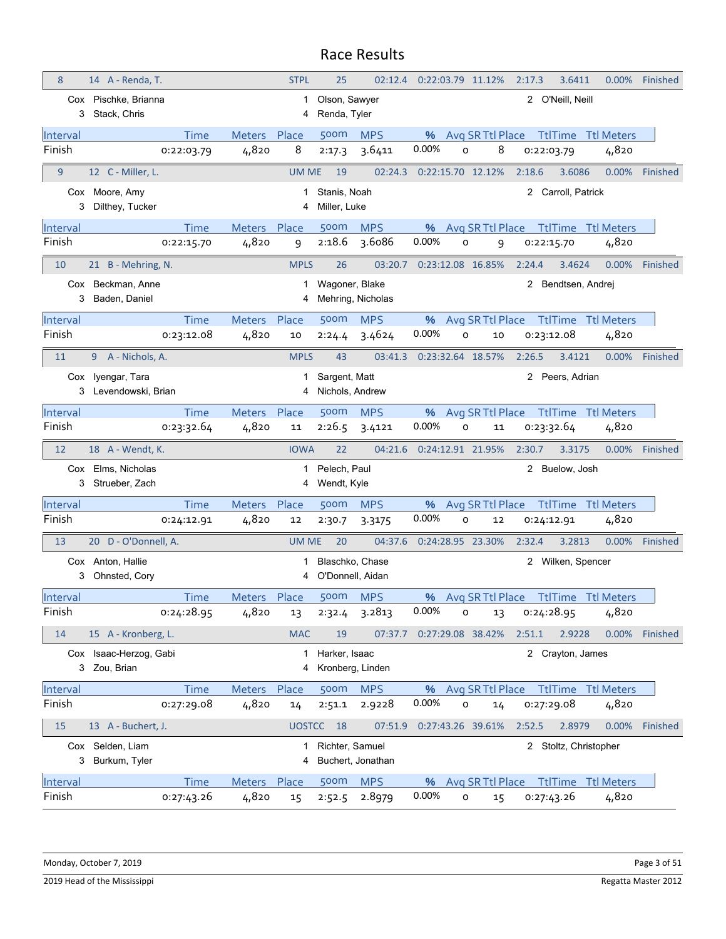|          | 14 A - Renda, T.                   |                              | <b>STPL</b>  | 25                           | 02:12.4           | 0:22:03.79 11.12% |         |                   | 2:17.3 | 3.6411                | $0.00\%$                  | Finished |
|----------|------------------------------------|------------------------------|--------------|------------------------------|-------------------|-------------------|---------|-------------------|--------|-----------------------|---------------------------|----------|
|          | Cox Pischke, Brianna               |                              | 1            | Olson, Sawyer                |                   |                   |         |                   |        | 2 O'Neill, Neill      |                           |          |
| 3        | Stack, Chris                       |                              | 4            | Renda, Tyler                 |                   |                   |         |                   |        |                       |                           |          |
| Interval |                                    | <b>Time</b><br><b>Meters</b> | Place        | 500m                         | <b>MPS</b>        | %                 |         | Avg SR Ttl Place  |        |                       | <b>TtlTime</b> Ttl Meters |          |
| Finish   | 0:22:03.79                         | 4,820                        | 8            | 2:17.3                       | 3.6411            | 0.00%             | 0       | 8                 |        | 0:22:03.79            | 4,820                     |          |
| 9        | 12 C - Miller, L.                  |                              | <b>UM ME</b> | 19                           | 02:24.3           | 0:22:15.70 12.12% |         |                   | 2:18.6 | 3.6086                | 0.00%                     | Finished |
| 3        | Cox Moore, Amy<br>Dilthey, Tucker  |                              | 1<br>4       | Stanis, Noah<br>Miller, Luke |                   |                   |         |                   | 2      | Carroll, Patrick      |                           |          |
| Interval |                                    | <b>Time</b><br><b>Meters</b> | Place        | 500m                         | <b>MPS</b>        | %                 |         | Avg SR Ttl Place  |        | <b>TtlTime</b>        | <b>Ttl Meters</b>         |          |
| Finish   | 0:22:15.70                         | 4,820                        | 9            | 2:18.6                       | 3.6086            | 0.00%             | $\circ$ | 9                 |        | 0:22:15.70            | 4,820                     |          |
|          |                                    |                              |              |                              |                   |                   |         |                   |        |                       |                           |          |
| 10       | 21 B - Mehring, N.                 |                              | <b>MPLS</b>  | 26                           | 03:20.7           | 0:23:12.08 16.85% |         |                   | 2:24.4 | 3.4624                | 0.00%                     | Finished |
| 3        | Cox Beckman, Anne<br>Baden, Daniel |                              | 1<br>4       | Wagoner, Blake               | Mehring, Nicholas |                   |         |                   |        | 2 Bendtsen, Andrej    |                           |          |
| Interval |                                    | Time<br><b>Meters</b>        | Place        | 500m                         | <b>MPS</b>        | %                 |         | Avg SR Ttl Place  |        | <b>TtlTime</b>        | <b>Ttl Meters</b>         |          |
| Finish   | 0:23:12.08                         | 4,820                        | 10           | 2:24.4                       | 3.4624            | 0.00%             | o       | 10                |        | 0:23:12.08            | 4,820                     |          |
| 11       | 9 A - Nichols, A.                  |                              | <b>MPLS</b>  | 43                           | 03:41.3           | 0:23:32.64 18.57% |         |                   | 2:26.5 | 3.4121                | 0.00%                     | Finished |
|          | Cox lyengar, Tara                  |                              | 1            | Sargent, Matt                |                   |                   |         |                   |        | 2 Peers, Adrian       |                           |          |
|          | 3 Levendowski, Brian               |                              | 4            | Nichols, Andrew              |                   |                   |         |                   |        |                       |                           |          |
| Interval |                                    | <b>Time</b><br><b>Meters</b> | Place        | 500m                         | <b>MPS</b>        | %                 |         | Avg SR Ttl Place  |        |                       | <b>TtlTime Ttl Meters</b> |          |
| Finish   | 0:23:32.64                         | 4,820                        | 11           | 2:26.5                       | 3.4121            | 0.00%             | O       | 11                |        | 0:23:32.64            | 4,820                     |          |
| 12       | 18 A - Wendt, K.                   |                              | <b>IOWA</b>  | 22                           | 04:21.6           |                   |         | 0:24:12.91 21.95% | 2:30.7 | 3.3175                | $0.00\%$                  | Finished |
|          |                                    |                              |              |                              |                   |                   |         |                   |        |                       |                           |          |
|          | Cox Elms, Nicholas                 |                              | 1            | Pelech, Paul                 |                   |                   |         |                   |        | 2 Buelow, Josh        |                           |          |
| 3        | Strueber, Zach                     |                              | 4            | Wendt, Kyle                  |                   |                   |         |                   |        |                       |                           |          |
| Interval |                                    | <b>Time</b><br><b>Meters</b> | Place        | 500m                         | <b>MPS</b>        | %                 |         | Avg SR Ttl Place  |        | <b>TtlTime</b>        | <b>Ttl Meters</b>         |          |
| Finish   | 0:24:12.91                         | 4,820                        | 12           | 2:30.7                       | 3.3175            | 0.00%             | o       | 12                |        | 0:24:12.91            | 4,820                     |          |
| 13       | 20 D - O'Donnell, A.               |                              | <b>UM ME</b> | 20                           | 04:37.6           | 0:24:28.95 23.30% |         |                   | 2:32.4 | 3.2813                | $0.00\%$                  | Finished |
|          | Cox Anton, Hallie                  |                              | 1            | Blaschko, Chase              |                   |                   |         |                   |        | 2 Wilken, Spencer     |                           |          |
| 3        | Ohnsted, Cory                      |                              | 4            | O'Donnell, Aidan             |                   |                   |         |                   |        |                       |                           |          |
| Interval |                                    | Time<br><b>Meters</b>        | Place        | 500m                         | <b>MPS</b>        | %                 |         | Avg SR Ttl Place  |        |                       | <b>TtlTime</b> Ttl Meters |          |
| Finish   | 0:24:28.95                         | 4,820                        | 13           | 2:32.4                       | 3.2813            | 0.00%             | o       | 13                |        | 0:24:28.95            | 4,820                     |          |
| 14       | 15 A - Kronberg, L.                |                              | <b>MAC</b>   | 19                           | 07:37.7           | 0:27:29.08 38.42% |         |                   | 2:51.1 | 2.9228                | 0.00%                     | Finished |
|          | Cox Isaac-Herzog, Gabi             |                              | 1            | Harker, Isaac                |                   |                   |         |                   |        | 2 Crayton, James      |                           |          |
|          | 3 Zou, Brian                       |                              | 4            |                              | Kronberg, Linden  |                   |         |                   |        |                       |                           |          |
| Interval |                                    | Meters Place<br><b>Time</b>  |              | 500m                         | <b>MPS</b>        | %                 |         | Avg SR Ttl Place  |        |                       | <b>TtlTime</b> Ttl Meters |          |
| Finish   | 0:27:29.08                         | 4,820                        | 14           | 2:51.1                       | 2.9228            | 0.00%             | 0       | 14                |        | 0:27:29.08            | 4,820                     |          |
| 15       | 13 A - Buchert, J.                 |                              |              | UOSTCC 18                    | 07:51.9           | 0:27:43.26 39.61% |         |                   | 2:52.5 | 2.8979                | 0.00%                     | Finished |
|          | Cox Selden, Liam                   |                              | 1            | Richter, Samuel              |                   |                   |         |                   |        | 2 Stoltz, Christopher |                           |          |
| 3        | Burkum, Tyler                      |                              | 4            |                              | Buchert, Jonathan |                   |         |                   |        |                       |                           |          |
| Interval |                                    | Meters Place<br><b>Time</b>  |              | 500m                         | <b>MPS</b>        | %                 |         | Avg SR Ttl Place  |        |                       | <b>TtlTime Ttl Meters</b> |          |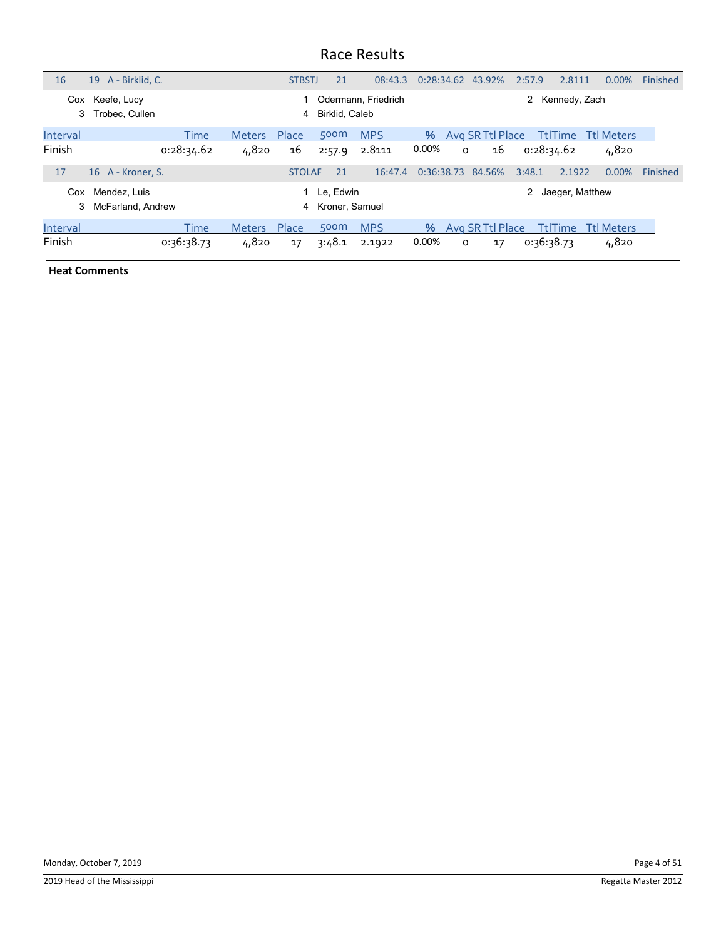| 16                 | A - Birklid, C.<br>19             |                    |                        | <b>STBSTJ</b> | 21                            | 08:43.3              |               |         | 0:28:34.62 43.92%      | 2:57.9 | 2.8111                       | $0.00\%$                   | Finished |
|--------------------|-----------------------------------|--------------------|------------------------|---------------|-------------------------------|----------------------|---------------|---------|------------------------|--------|------------------------------|----------------------------|----------|
| Cox<br>3           | Keefe, Lucy<br>Trobec. Cullen     |                    |                        | 4             | Birklid, Caleb                | Odermann, Friedrich  |               |         |                        | 2      | Kennedy, Zach                |                            |          |
| Interval<br>Finish |                                   | Time<br>0:28:34.62 | <b>Meters</b><br>4,820 | Place<br>16   | 500m<br>2:57.9                | <b>MPS</b><br>2.8111 | $\%$<br>0.00% | $\circ$ | Avg SR Ttl Place<br>16 |        | <b>TtlTime</b><br>0:28:34.62 | <b>Ttl Meters</b><br>4,820 |          |
| 17                 | 16 A - Kroner, S.                 |                    |                        | <b>STOLAF</b> | 21                            | 16:47.4              |               |         | 0:36:38.73 84.56%      | 3:48.1 | 2.1922                       | $0.00\%$                   | Finished |
| Cox<br>3           | Mendez, Luis<br>McFarland, Andrew |                    |                        | 4             | 1 Le, Edwin<br>Kroner, Samuel |                      |               |         |                        | 2      | Jaeger, Matthew              |                            |          |
| Interval<br>Finish |                                   | Time<br>0:36:38.73 | <b>Meters</b><br>4,820 | Place<br>17   | 500m<br>3:48.1                | <b>MPS</b><br>2.1922 | $\%$<br>0.00% | 0       | Avg SR Ttl Place<br>17 |        | <b>TtlTime</b><br>0:36:38.73 | <b>Ttl Meters</b><br>4,820 |          |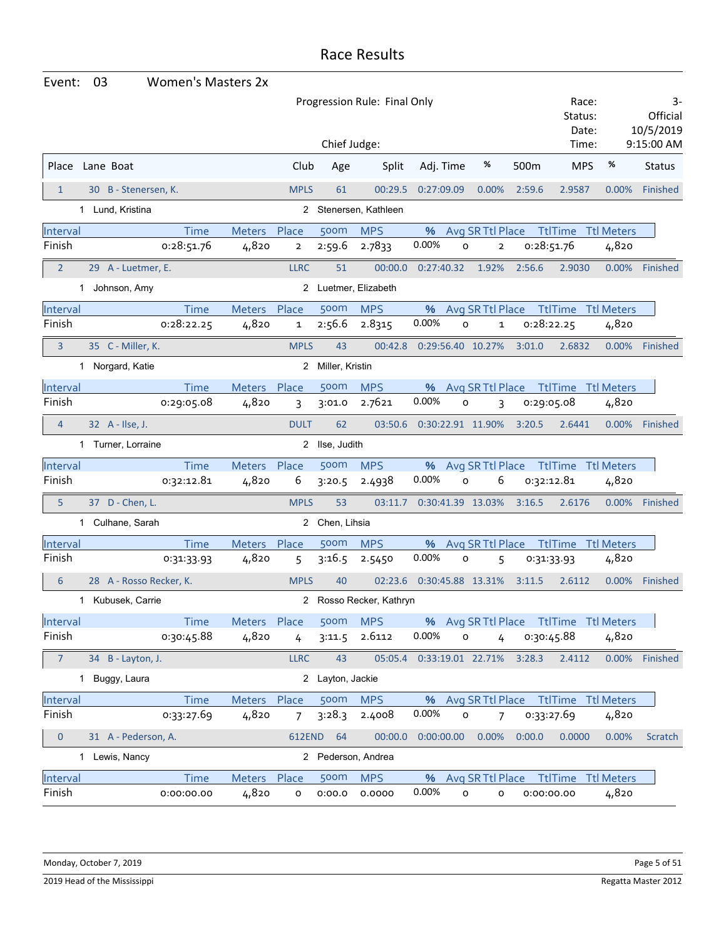| Event:         | 03                      | <b>Women's Masters 2x</b> |               |                |                  |                              |                             |                    |                |        |                                        |          |                                           |
|----------------|-------------------------|---------------------------|---------------|----------------|------------------|------------------------------|-----------------------------|--------------------|----------------|--------|----------------------------------------|----------|-------------------------------------------|
|                |                         |                           |               |                |                  | Progression Rule: Final Only |                             |                    |                |        | Race:<br>Status:<br>Date:              |          | 3-<br>Official<br>10/5/2019<br>9:15:00 AM |
|                |                         |                           |               |                | Chief Judge:     |                              |                             |                    |                |        | Time:                                  |          |                                           |
| Place          | Lane Boat               |                           |               | Club           | Age              | Split                        | Adj. Time                   |                    | %              | 500m   | <b>MPS</b>                             | %        | <b>Status</b>                             |
| $\mathbf{1}$   | 30 B - Stenersen, K.    |                           |               | <b>MPLS</b>    | 61               | 00:29.5                      | 0:27:09.09                  |                    | 0.00%          | 2:59.6 | 2.9587                                 | 0.00%    | Finished                                  |
|                | 1 Lund, Kristina        |                           |               |                |                  | 2 Stenersen, Kathleen        |                             |                    |                |        |                                        |          |                                           |
| Interval       |                         | <b>Time</b>               | Meters Place  |                | 500m             | <b>MPS</b>                   |                             | % Avg SR Ttl Place |                |        | TtlTime Ttl Meters                     |          |                                           |
| Finish         |                         | 0:28:51.76                | 4,820         | $\overline{2}$ | 2:59.6           | 2.7833                       | 0.00%                       | O                  | $\mathbf{2}$   |        | 0:28:51.76                             | 4,820    |                                           |
| $\overline{2}$ | 29 A - Luetmer, E.      |                           |               | <b>LLRC</b>    | 51               | 00:00.0                      | 0:27:40.32                  |                    | 1.92%          | 2:56.6 | 2.9030                                 | $0.00\%$ | Finished                                  |
|                | 1 Johnson, Amy          |                           |               |                |                  | 2 Luetmer, Elizabeth         |                             |                    |                |        |                                        |          |                                           |
| Interval       |                         | <b>Time</b>               | <b>Meters</b> | Place          | 500m             | <b>MPS</b>                   | %                           | Avg SR Ttl Place   |                |        | TtlTime Ttl Meters                     |          |                                           |
| Finish         |                         | 0:28:22.25                | 4,820         | $\mathbf{1}$   | 2:56.6           | 2.8315                       | 0.00%                       | O                  | 1              |        | 0:28:22.25                             | 4,820    |                                           |
| 3              | 35 C - Miller, K.       |                           |               | <b>MPLS</b>    | 43               | 00:42.8                      | 0:29:56.40 10.27%           |                    |                | 3:01.0 | 2.6832                                 | $0.00\%$ | Finished                                  |
|                | 1 Norgard, Katie        |                           |               | $\mathbf{2}$   | Miller, Kristin  |                              |                             |                    |                |        |                                        |          |                                           |
| Interval       |                         | Time                      | Meters Place  |                | 500m             | <b>MPS</b>                   | %                           | Avg SR Ttl Place   |                |        | TtlTime Ttl Meters                     |          |                                           |
| Finish         |                         | 0:29:05.08                | 4,820         | 3              | 3:01.0           | 2.7621                       | 0.00%                       | O                  | 3              |        | 0:29:05.08                             | 4,820    |                                           |
| $\overline{4}$ | 32 A - Ilse, J.         |                           |               | <b>DULT</b>    | 62               | 03:50.6                      | 0:30:22.91 11.90%           |                    |                | 3:20.5 | 2.6441                                 |          | 0.00% Finished                            |
|                | 1 Turner, Lorraine      |                           |               |                | 2 Ilse, Judith   |                              |                             |                    |                |        |                                        |          |                                           |
| Interval       |                         | <b>Time</b>               | Meters Place  |                | 500m             | <b>MPS</b>                   | %                           |                    |                |        | Avg SR Ttl Place Ttl Time Ttl Meters   |          |                                           |
| Finish         |                         | 0:32:12.81                | 4,820         | 6              | 3:20.5           | 2.4938                       | 0.00%                       | $\circ$            | 6              |        | 0:32:12.81                             | 4,820    |                                           |
| 5              | 37 D - Chen, L.         |                           |               | <b>MPLS</b>    | 53               | 03:11.7                      | 0:30:41.39 13.03%           |                    |                | 3:16.5 | 2.6176                                 | $0.00\%$ | Finished                                  |
|                | 1 Culhane, Sarah        |                           |               |                | 2 Chen, Lihsia   |                              |                             |                    |                |        |                                        |          |                                           |
| Interval       |                         | <b>Time</b>               | Meters        | Place          | 500m             | <b>MPS</b>                   | %                           | Avg SR Ttl Place   |                |        | <b>TtlTime Ttl Meters</b>              |          |                                           |
| Finish         |                         | 0:31:33.93                | 4,820         | 5              | 3:16.5           | 2.5450                       | 0.00%                       | o                  | 5              |        | 0:31:33.93                             | 4,820    |                                           |
| 6              | 28 A - Rosso Recker, K. |                           |               | <b>MPLS</b>    | 40               | 02:23.6                      | 0:30:45.88 13.31%           |                    |                | 3:11.5 | 2.6112                                 | 0.00%    | Finished                                  |
|                | 1 Kubusek, Carrie       |                           |               |                |                  | 2 Rosso Recker, Kathryn      |                             |                    |                |        |                                        |          |                                           |
| Interval       |                         | <b>Time</b>               | Meters Place  |                | 500m             | <b>MPS</b>                   |                             |                    |                |        | % Avg SR Ttl Place Ttl Time Ttl Meters |          |                                           |
| Finish         |                         | 0:30:45.88                | 4,820         | $\overline{4}$ | 3:11.5           | 2.6112                       | 0.00%                       | $\mathsf{o}$       | $\overline{4}$ |        | 0:30:45.88                             | 4,820    |                                           |
| $\overline{7}$ | 34 B - Layton, J.       |                           |               | <b>LLRC</b>    | 43               |                              | 05:05.4  0:33:19.01  22.71% |                    |                | 3:28.3 | 2.4112                                 |          | 0.00% Finished                            |
| 1              | Buggy, Laura            |                           |               |                | 2 Layton, Jackie |                              |                             |                    |                |        |                                        |          |                                           |
| Interval       |                         | <b>Time</b>               | Meters Place  |                | 500m             | <b>MPS</b>                   |                             |                    |                |        | % Avg SR Ttl Place Ttl Time Ttl Meters |          |                                           |
| Finish         |                         | 0:33:27.69                | 4,820         | $\overline{7}$ | 3:28.3           | 2.4008                       | 0.00%                       | $\circ$            | 7              |        | 0:33:27.69                             | 4,820    |                                           |
| $\mathbf 0$    | 31 A - Pederson, A.     |                           |               | 612END         | 64               | 00:00.0                      | 0:00:00.00                  |                    | 0.00%          | 0:00.0 | 0.0000                                 | 0.00%    | Scratch                                   |
|                | 1 Lewis, Nancy          |                           |               |                |                  | 2 Pederson, Andrea           |                             |                    |                |        |                                        |          |                                           |
| Interval       |                         | <b>Time</b>               | Meters Place  |                | 500m             | <b>MPS</b>                   |                             |                    |                |        | % Avg SR Ttl Place Ttl Time Ttl Meters |          |                                           |
| Finish         |                         | 0:00:00.00                | 4,820         | 0              | 0:00.0           | 0.0000                       | 0.00%                       | $\circ$            | o              |        | 0:00:00.00                             | 4,820    |                                           |

Monday, October 7, 2019 **Page 5 of 51** Page 5 of 51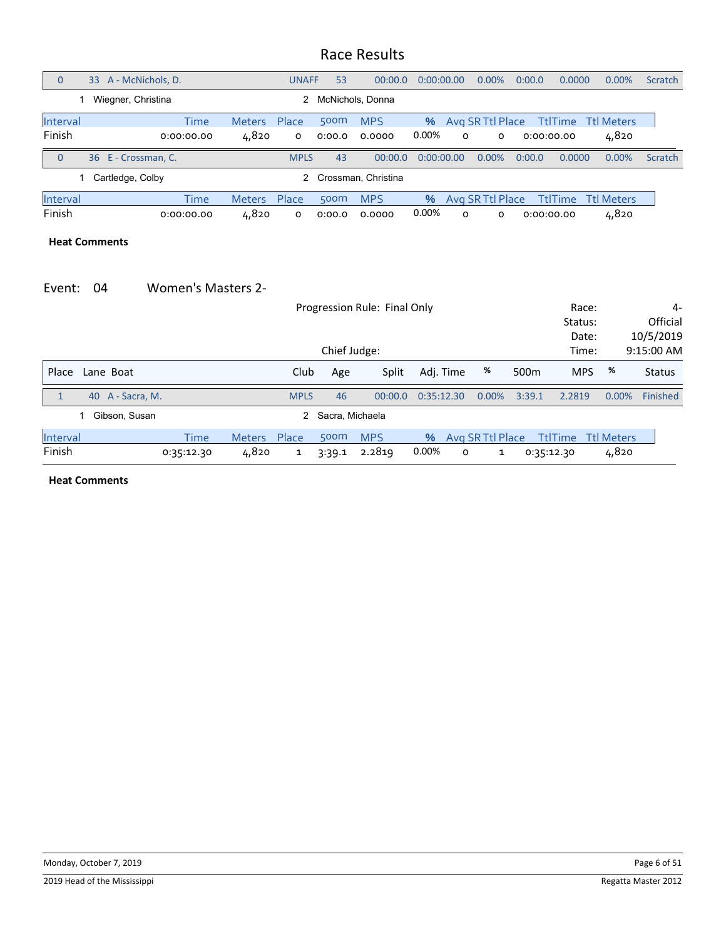| $\overline{0}$ | A - McNichols, D.<br>33 |            |               | <b>UNAFF</b> | 53               | 00:00.0             | 0:00:00.00 |          | $0.00\%$         | 0:00.0 | 0.0000         | 0.00%                     | Scratch |
|----------------|-------------------------|------------|---------------|--------------|------------------|---------------------|------------|----------|------------------|--------|----------------|---------------------------|---------|
|                | Wiegner, Christina      |            |               | 2            |                  | McNichols, Donna    |            |          |                  |        |                |                           |         |
| Interval       |                         | Time       | <b>Meters</b> | Place        | 500 <sub>m</sub> | <b>MPS</b>          | %          |          | Avg SR Ttl Place |        |                | <b>TtlTime</b> Ttl Meters |         |
| Finish         |                         | 0:00:00.00 | 4,820         | O            | 0:00.0           | 0.0000              | 0.00%      | $\Omega$ | 0                |        | 0:00:00.00     | 4,820                     |         |
| $\overline{0}$ | 36 E - Crossman, C.     |            |               | <b>MPLS</b>  | 43               | 00:00.0             | 0:00:00.00 |          | 0.00%            | 0:00.0 | 0.0000         | 0.00%                     | Scratch |
|                | Cartledge, Colby        |            |               |              |                  | Crossman, Christina |            |          |                  |        |                |                           |         |
| Interval       |                         | Time       | <b>Meters</b> | Place        | 500 <sub>m</sub> | <b>MPS</b>          | %          |          | Avg SR Ttl Place |        | <b>TtlTime</b> | Ttl Meters                |         |
| Finish         |                         | 0:00:00.00 | 4,820         | $\Omega$     | 0:00.0           | 0.0000              | 0.00%      | $\Omega$ | 0                |        | 0:00:00.00     | 4,820                     |         |

#### **Heat Comments**

#### Event: 04 Women's Masters 2‐

|              |                  |            |               |              |                   | Progression Rule: Final Only |            |         |                  |                  | Race:          |                   | 4-            |
|--------------|------------------|------------|---------------|--------------|-------------------|------------------------------|------------|---------|------------------|------------------|----------------|-------------------|---------------|
|              |                  |            |               |              |                   |                              |            |         |                  |                  | Status:        |                   | Official      |
|              |                  |            |               |              |                   |                              |            |         |                  |                  | Date:          |                   | 10/5/2019     |
|              |                  |            | Time:         |              | 9:15:00 AM        |                              |            |         |                  |                  |                |                   |               |
| Place        | Lane Boat        |            |               | Club         | Age               | Split                        | Adj. Time  |         | %                | 500 <sub>m</sub> | <b>MPS</b>     | %                 | <b>Status</b> |
| $\mathbf{1}$ | 40 A - Sacra, M. |            |               | <b>MPLS</b>  | 46                | 00:00.0                      | 0:35:12.30 |         | $0.00\%$         | 3:39.1           | 2.2819         | $0.00\%$          | Finished      |
|              | Gibson, Susan    |            |               |              | 2 Sacra, Michaela |                              |            |         |                  |                  |                |                   |               |
| Interval     |                  | Time       | <b>Meters</b> | Place        | 500 <sub>m</sub>  | <b>MPS</b>                   | %          |         | Avg SR Ttl Place |                  | <b>TtlTime</b> | <b>Ttl Meters</b> |               |
| Finish       |                  | 0:35:12.30 | 4,820         | $\mathbf{1}$ | 3:39.1            | 2.2819                       | 0.00%      | $\circ$ | 1                |                  | 0:35:12.30     | 4,820             |               |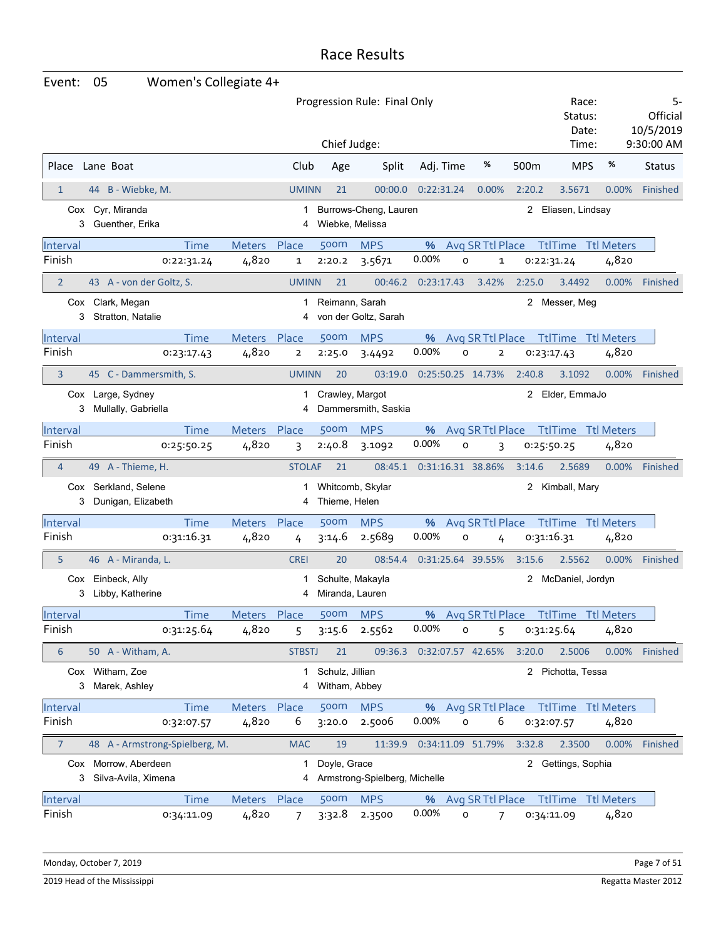| Event:             | 05                                          | Women's Collegiate 4+ |               |                |                                     |                               |                   |                                    |              |                                    |                           |                                           |
|--------------------|---------------------------------------------|-----------------------|---------------|----------------|-------------------------------------|-------------------------------|-------------------|------------------------------------|--------------|------------------------------------|---------------------------|-------------------------------------------|
|                    |                                             |                       |               |                | Chief Judge:                        | Progression Rule: Final Only  |                   |                                    |              | Race:<br>Status:<br>Date:<br>Time: |                           | 5-<br>Official<br>10/5/2019<br>9:30:00 AM |
| Place              | Lane Boat                                   |                       |               | Club           | Age                                 | Split                         | Adj. Time         | %                                  | 500m         | <b>MPS</b>                         | %                         | <b>Status</b>                             |
|                    |                                             |                       |               |                |                                     | 00:00.0                       |                   |                                    |              |                                    |                           |                                           |
| $\mathbf{1}$       | 44 B - Wiebke, M.                           |                       |               | <b>UMINN</b>   | 21                                  |                               | 0:22:31.24        | 0.00%                              | 2:20.2       | 3.5671                             | 0.00%                     | <b>Finished</b>                           |
| 3                  | Cox Cyr, Miranda<br>Guenther, Erika         |                       |               | 1<br>4         | Wiebke, Melissa                     | Burrows-Cheng, Lauren         |                   |                                    |              | 2 Eliasen, Lindsay                 |                           |                                           |
| Interval           |                                             | <b>Time</b>           | <b>Meters</b> | Place          | 500m                                | <b>MPS</b>                    | %                 | Avg SR Ttl Place                   |              | <b>TtlTime</b>                     | <b>Ttl Meters</b>         |                                           |
| Finish             |                                             | 0:22:31.24            | 4,820         | 1              | 2:20.2                              | 3.5671                        | 0.00%             | O<br>1                             |              | 0:22:31.24                         | 4,820                     |                                           |
| $\overline{2}$     | 43 A - von der Goltz, S.                    |                       |               | <b>UMINN</b>   | 21                                  | 00:46.2                       | 0:23:17.43        | 3.42%                              | 2:25.0       | 3.4492                             | 0.00%                     | Finished                                  |
| 3                  | Cox Clark, Megan<br>Stratton, Natalie       |                       |               | 1<br>4         | Reimann, Sarah                      | von der Goltz, Sarah          |                   |                                    |              | 2 Messer, Meg                      |                           |                                           |
| Interval           |                                             | <b>Time</b>           | <b>Meters</b> | Place          | 500m                                | <b>MPS</b>                    | %                 | Avg SR Ttl Place                   |              |                                    | <b>TtlTime Ttl Meters</b> |                                           |
| Finish             |                                             | 0:23:17.43            | 4,820         | $\overline{2}$ | 2:25.0                              | 3.4492                        | 0.00%             | O<br>$\overline{2}$                |              | 0:23:17.43                         | 4,820                     |                                           |
| 3                  | 45 C - Dammersmith, S.                      |                       |               | <b>UMINN</b>   | 20                                  | 03:19.0                       | 0:25:50.25 14.73% |                                    | 2:40.8       | 3.1092                             | 0.00%                     | Finished                                  |
| 3                  | Cox Large, Sydney<br>Mullally, Gabriella    |                       |               | 1<br>4         | Crawley, Margot                     | Dammersmith, Saskia           |                   |                                    |              | 2 Elder, EmmaJo                    |                           |                                           |
| Interval           |                                             | <b>Time</b>           | <b>Meters</b> | Place          | 500m                                | <b>MPS</b>                    | %                 | Avg SR Ttl Place                   |              | <b>TtlTime</b>                     | <b>Ttl Meters</b>         |                                           |
| Finish             |                                             | 0:25:50.25            | 4,820         | 3              | 2:40.8                              | 3.1092                        | 0.00%             | O<br>3                             |              | 0:25:50.25                         | 4,820                     |                                           |
|                    |                                             |                       |               |                |                                     |                               |                   |                                    |              |                                    |                           |                                           |
| $\overline{4}$     | 49 A - Thieme, H.                           |                       |               | <b>STOLAF</b>  | 21                                  | 08:45.1                       | 0:31:16.31 38.86% |                                    | 3:14.6       | 2.5689                             | $0.00\%$                  | Finished                                  |
| 3                  | Cox Serkland, Selene<br>Dunigan, Elizabeth  |                       |               | 4              | Thieme, Helen                       | Whitcomb, Skylar              |                   |                                    | $\mathbf{2}$ | Kimball, Mary                      |                           |                                           |
| Interval           |                                             | <b>Time</b>           | Meters Place  |                | 500 <sub>m</sub>                    | <b>MPS</b>                    | %                 | Avg SR Ttl Place                   |              |                                    | <b>TtlTime</b> Ttl Meters |                                           |
| Finish             |                                             | 0:31:16.31            | 4,820         | 4              | 3:14.6                              | 2.5689                        | 0.00%             | O<br>4                             |              | 0:31:16.31                         | 4,820                     |                                           |
| 5                  | 46 A - Miranda, L.                          |                       |               | <b>CREI</b>    | 20                                  | 08:54.4                       | 0:31:25.64 39.55% |                                    | 3:15.6       | 2.5562                             | 0.00%                     | Finished                                  |
| Cox<br>3           | Einbeck, Ally<br>Libby, Katherine           |                       |               | 4              | Schulte, Makayla<br>Miranda, Lauren |                               |                   |                                    | $\mathbf{2}$ | McDaniel, Jordyn                   |                           |                                           |
| Interval           |                                             | <b>Time</b>           | Meters Place  |                | 500m                                | <b>MPS</b>                    | %                 | Avg SR Ttl Place                   |              |                                    | <b>TtlTime Ttl Meters</b> |                                           |
| Finish             |                                             | 0:31:25.64            | 4,820         | 5              | 3:15.6                              | 2.5562                        | 0.00%             | $\circ$<br>5                       |              | 0:31:25.64                         | 4,820                     |                                           |
| 6                  | 50 A - Witham, A.                           |                       |               | <b>STBSTJ</b>  | 21                                  | 09:36.3                       | 0:32:07.57 42.65% |                                    | 3:20.0       | 2.5006                             |                           | 0.00% Finished                            |
| 3                  | Cox Witham, Zoe<br>Marek, Ashley            |                       |               | 1<br>4         | Schulz, Jillian<br>Witham, Abbey    |                               |                   |                                    |              | 2 Pichotta, Tessa                  |                           |                                           |
|                    |                                             | <b>Time</b>           | Meters Place  |                | 500m                                | <b>MPS</b>                    |                   |                                    |              |                                    | <b>TtlTime Ttl Meters</b> |                                           |
| Interval<br>Finish |                                             | 0:32:07.57            | 4,820         | 6              | 3:20.0                              | 2.5006                        | 0.00%             | % Avg SR Ttl Place<br>6<br>$\circ$ |              | 0:32:07.57                         | 4,820                     |                                           |
| 7                  | 48 A - Armstrong-Spielberg, M.              |                       |               | <b>MAC</b>     | 19                                  | 11:39.9                       | 0:34:11.09 51.79% |                                    | 3:32.8       | 2.3500                             | 0.00%                     | Finished                                  |
| 3                  | Cox Morrow, Aberdeen<br>Silva-Avila, Ximena |                       |               | 1<br>4         | Doyle, Grace                        | Armstrong-Spielberg, Michelle |                   |                                    |              | 2 Gettings, Sophia                 |                           |                                           |
| <b>Interval</b>    |                                             | <b>Time</b>           | Meters Place  |                | 500m                                | <b>MPS</b>                    | %                 | Avg SR Ttl Place                   |              |                                    | <b>TtlTime Ttl Meters</b> |                                           |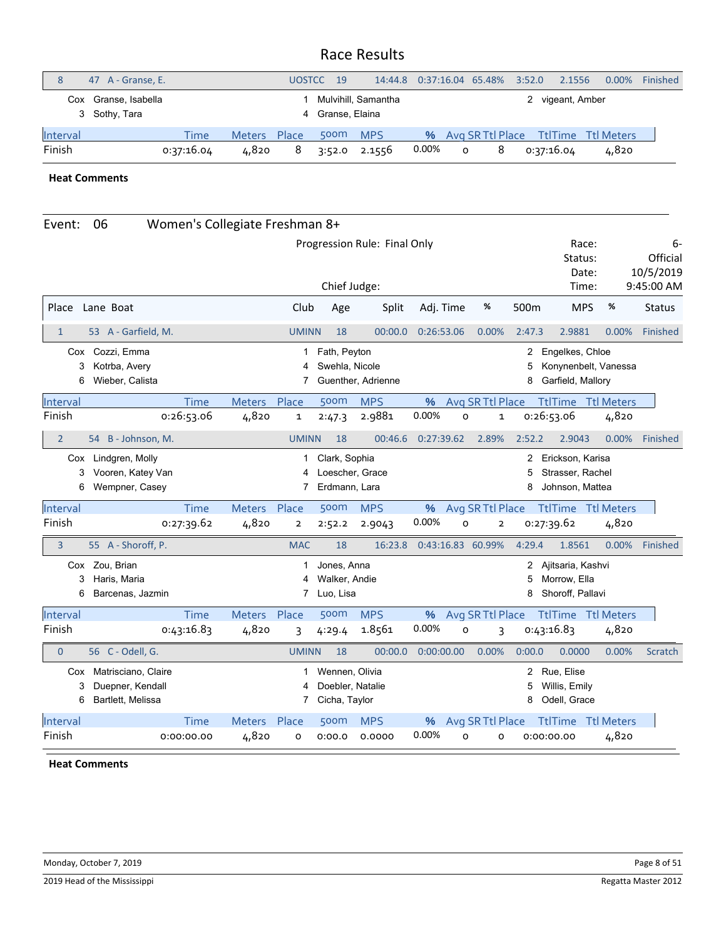|                 | 47 A - Granse, E.                     |            |               | <b>UOSTCC</b> | 19               | 14:44.8             |       | $0:37:16.04$ 65.48% |                  | 3:52.0           | 2.1556 | $0.00\%$           | Finished |
|-----------------|---------------------------------------|------------|---------------|---------------|------------------|---------------------|-------|---------------------|------------------|------------------|--------|--------------------|----------|
|                 | Cox Granse, Isabella<br>3 Sothy, Tara |            |               |               | 4 Granse, Elaina | Mulvihill, Samantha |       |                     |                  | 2 vigeant, Amber |        |                    |          |
| <b>Interval</b> |                                       | Time       | <b>Meters</b> | <b>Place</b>  | 500 <sub>m</sub> | <b>MPS</b>          | %     |                     | Avg SR Ttl Place |                  |        | TtlTime Ttl Meters |          |
| Finish          |                                       | 0:37:16.04 | 4,820         | 8             | 3:52.0           | 2.1556              | 0.00% | $\Omega$            | 8                | 0:37:16.04       |        | 4,820              |          |

**Heat Comments**

| Event:             | 06                                                           | Women's Collegiate Freshman 8+ |                       |                                    |                                                     |                                           |            |          |                       |                        |                                                         |                      |                 |
|--------------------|--------------------------------------------------------------|--------------------------------|-----------------------|------------------------------------|-----------------------------------------------------|-------------------------------------------|------------|----------|-----------------------|------------------------|---------------------------------------------------------|----------------------|-----------------|
|                    |                                                              |                                |                       | Race:<br>Status:<br>Date:<br>Time: |                                                     | 6-<br>Official<br>10/5/2019<br>9:45:00 AM |            |          |                       |                        |                                                         |                      |                 |
| Place              | Lane Boat                                                    |                                |                       | Club                               | Chief Judge:<br>Age                                 | Split                                     | Adj. Time  |          | %                     | 500 <sub>m</sub>       | <b>MPS</b>                                              | %                    | <b>Status</b>   |
| $\mathbf{1}$       | 53 A - Garfield, M.                                          |                                |                       | <b>UMINN</b>                       | 18                                                  | 00:00.0                                   | 0:26:53.06 |          | 0.00%                 | 2:47.3                 | 2.9881                                                  | 0.00%                | <b>Finished</b> |
| 3<br>6             | Cox Cozzi, Emma<br>Kotrba, Avery<br>Wieber, Calista          |                                |                       | 1<br>4<br>7                        | Fath, Peyton<br>Swehla, Nicole                      | Guenther, Adrienne                        |            |          |                       | $\mathbf{2}$<br>5<br>8 | Engelkes, Chloe<br>Garfield, Mallory                    | Konynenbelt, Vanessa |                 |
| Interval           |                                                              | <b>Time</b>                    | Meters                | Place                              | 500m                                                | <b>MPS</b>                                | %          |          | Avg SR Ttl Place      |                        | TtlTime Ttl Meters                                      |                      |                 |
| Finish             |                                                              | 0:26:53.06                     | 4,820                 | 1                                  | 2:47.3                                              | 2.9881                                    | 0.00%      | $\circ$  | $\mathbf 1$           |                        | 0:26:53.06                                              | 4,820                |                 |
| $\overline{2}$     | 54 B - Johnson, M.                                           |                                |                       | <b>UMINN</b>                       | 18                                                  | 00:46.6                                   | 0:27:39.62 |          | 2.89%                 | 2:52.2                 | 2.9043                                                  | 0.00%                | Finished        |
| 3<br>6             | Cox Lindgren, Molly<br>Vooren, Katey Van<br>Wempner, Casey   |                                |                       | 1<br>4<br>7                        | Clark, Sophia<br>Loescher, Grace<br>Erdmann, Lara   |                                           |            |          |                       | $\mathbf{2}$<br>5<br>8 | Erickson, Karisa<br>Strasser, Rachel<br>Johnson, Mattea |                      |                 |
| Interval           |                                                              | Time                           | Meters Place          |                                    | 500m                                                | <b>MPS</b>                                | %          |          | Avg SR Ttl Place      |                        | <b>TtlTime Ttl Meters</b>                               |                      |                 |
| Finish             |                                                              | 0:27:39.62                     | 4,820                 | $\overline{\mathbf{2}}$            | 2:52.2                                              | 2.9043                                    | 0.00%      | O        | $\overline{2}$        |                        | 0:27:39.62                                              | 4,820                |                 |
| 3                  | 55 A - Shoroff, P.                                           |                                |                       | <b>MAC</b>                         | 18                                                  | 16:23.8                                   |            |          | 0:43:16.83 60.99%     | 4:29.4                 | 1.8561                                                  | 0.00%                | Finished        |
|                    | Cox Zou, Brian                                               |                                |                       |                                    | Jones, Anna                                         |                                           |            |          |                       | 2                      | Ajitsaria, Kashvi                                       |                      |                 |
| 3                  | Haris, Maria                                                 |                                |                       | 4                                  | Walker, Andie                                       |                                           |            |          |                       | 5                      | Morrow, Ella                                            |                      |                 |
| 6                  | Barcenas, Jazmin                                             |                                |                       | 7                                  | Luo, Lisa                                           |                                           |            |          |                       | 8                      | Shoroff, Pallavi                                        |                      |                 |
| Interval           |                                                              | Time                           | Meters Place          |                                    | 500m                                                | <b>MPS</b>                                | %          |          | Avg SR Ttl Place      |                        | <b>TtlTime Ttl Meters</b>                               |                      |                 |
| Finish             |                                                              | 0:43:16.83                     | 4,820                 | 3                                  | 4:29.4                                              | 1.8561                                    | 0.00%      | o        | 3                     |                        | 0:43:16.83                                              | 4,820                |                 |
| $\mathbf 0$        | 56 C - Odell, G.                                             |                                |                       | <b>UMINN</b>                       | 18                                                  | 00:00.0                                   | 0:00:00.00 |          | 0.00%                 | 0:00.0                 | 0.0000                                                  | 0.00%                | <b>Scratch</b>  |
| Cox<br>3<br>6      | Matrisciano, Claire<br>Duepner, Kendall<br>Bartlett, Melissa |                                |                       | 1<br>7                             | Wennen, Olivia<br>Doebler, Natalie<br>Cicha, Taylor |                                           |            |          |                       | $\mathbf{2}$<br>5<br>8 | Rue, Elise<br>Willis, Emily<br>Odell, Grace             |                      |                 |
| Interval<br>Finish |                                                              | Time<br>0:00:00.00             | Meters Place<br>4,820 | o                                  | 500m<br>0:00.0                                      | <b>MPS</b><br>0.0000                      | %<br>0.00% | $\Omega$ | Avg SR Ttl Place<br>0 |                        | <b>TtlTime</b> Ttl Meters<br>0:00:00.00                 | 4,820                |                 |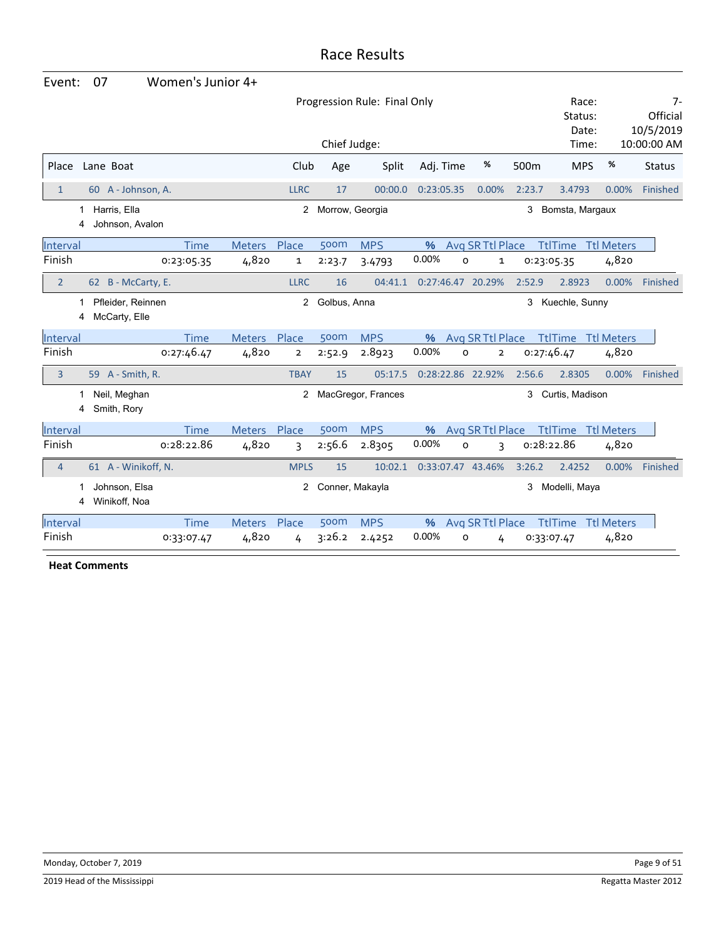| Event:         | 07                                 | Women's Junior 4+ |               |              |                 |                              |            |                              |                  |                           |                   |                             |
|----------------|------------------------------------|-------------------|---------------|--------------|-----------------|------------------------------|------------|------------------------------|------------------|---------------------------|-------------------|-----------------------------|
|                |                                    |                   |               |              |                 | Progression Rule: Final Only |            |                              |                  | Race:<br>Status:<br>Date: |                   | 7-<br>Official<br>10/5/2019 |
|                |                                    |                   |               |              | Chief Judge:    |                              |            |                              |                  | Time:                     |                   | 10:00:00 AM                 |
| Place          | Lane Boat                          |                   |               | Club         | Age             | Split                        | Adj. Time  | %                            | 500 <sub>m</sub> | <b>MPS</b>                | %                 | <b>Status</b>               |
| $\mathbf{1}$   | 60 A - Johnson, A.                 |                   |               | <b>LLRC</b>  | 17              | 00:00.0                      | 0:23:05.35 | 0.00%                        | 2:23.7           | 3.4793                    | 0.00%             | Finished                    |
| 1<br>4         | Harris, Ella<br>Johnson, Avalon    |                   |               | $^{2}$       | Morrow, Georgia |                              |            |                              | 3                | Bomsta, Margaux           |                   |                             |
| Interval       |                                    | Time              | <b>Meters</b> | Place        | 500m            | <b>MPS</b>                   | $\%$       | Avg SR Ttl Place             |                  | <b>TtlTime</b>            | <b>Ttl Meters</b> |                             |
| Finish         |                                    | 0:23:05.35        | 4,820         | 1            | 2:23.7          | 3.4793                       | 0.00%      | O<br>1                       |                  | 0:23:05.35                | 4,820             |                             |
| $\overline{2}$ | 62 B - McCarty, E.                 |                   |               | <b>LLRC</b>  | 16              | 04:41.1                      |            | 0:27:46.47 20.29%            | 2:52.9           | 2.8923                    | 0.00%             | Finished                    |
| 1<br>4         | Pfleider, Reinnen<br>McCarty, Elle |                   |               | $\mathbf{2}$ | Golbus, Anna    |                              |            |                              | 3                | Kuechle, Sunny            |                   |                             |
| Interval       |                                    | Time              | <b>Meters</b> | Place        | 500m            | <b>MPS</b>                   | %          | Avg SR Ttl Place             |                  | <b>TtlTime</b>            | <b>Ttl Meters</b> |                             |
| Finish         |                                    | 0:27:46.47        | 4,820         | 2            | 2:52.9          | 2.8923                       | 0.00%      | O<br>$\overline{\mathbf{2}}$ |                  | 0:27:46.47                | 4,820             |                             |
| 3              | 59 A - Smith, R.                   |                   |               | <b>TBAY</b>  | 15              | 05:17.5                      |            | 0:28:22.86 22.92%            | 2:56.6           | 2.8305                    | 0.00%             | Finished                    |
| 1<br>4         | Neil, Meghan<br>Smith, Rory        |                   |               |              |                 | 2 MacGregor, Frances         |            |                              | 3                | Curtis, Madison           |                   |                             |
| Interval       |                                    | <b>Time</b>       | <b>Meters</b> | Place        | 500m            | <b>MPS</b>                   | $\%$       | Avg SR Ttl Place             |                  | <b>TtlTime</b>            | <b>Ttl Meters</b> |                             |
| Finish         |                                    | 0:28:22.86        | 4,820         | 3            | 2:56.6          | 2.8305                       | 0.00%      | 0<br>3                       |                  | 0:28:22.86                | 4,820             |                             |
| $\overline{4}$ | 61 A - Winikoff, N.                |                   |               | <b>MPLS</b>  | 15              | 10:02.1                      |            | 0:33:07.47 43.46%            | 3:26.2           | 2.4252                    | 0.00%             | Finished                    |
| 1<br>4         | Johnson, Elsa<br>Winikoff, Noa     |                   |               | $\mathbf{2}$ | Conner, Makayla |                              |            |                              | 3                | Modelli, Maya             |                   |                             |
| Interval       |                                    | <b>Time</b>       | <b>Meters</b> | Place        | 500m            | <b>MPS</b>                   | %          | Avg SR Ttl Place             |                  | <b>TtlTime</b>            | <b>Ttl Meters</b> |                             |
| Finish         |                                    | 0:33:07.47        | 4,820         | 4            | 3:26.2          | 2.4252                       | 0.00%      | o<br>4                       |                  | 0:33:07.47                | 4,820             |                             |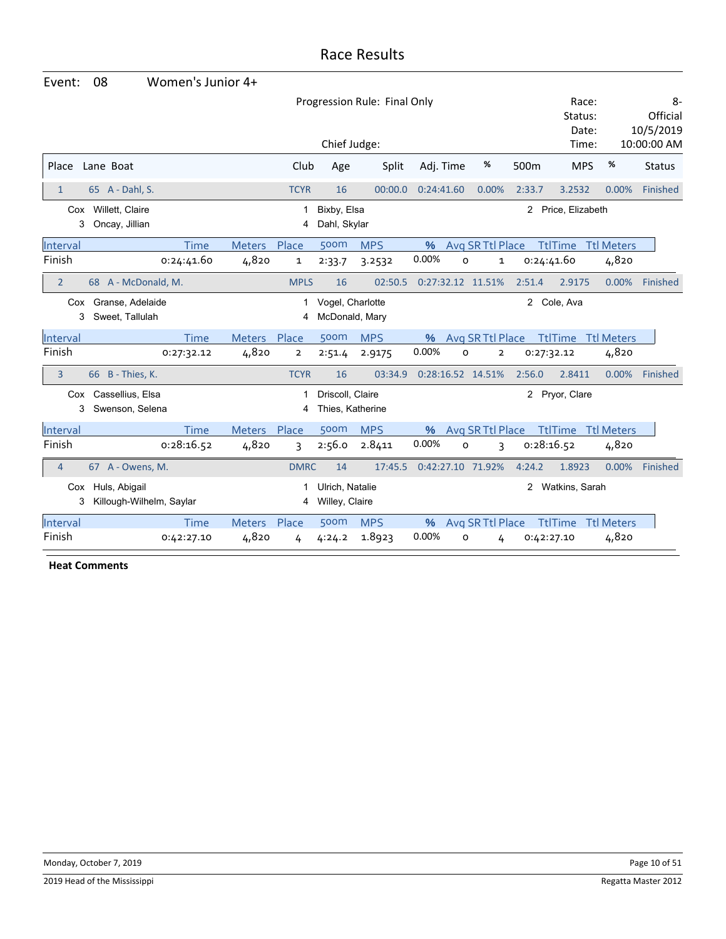| Event:         | 08                                        | Women's Junior 4+ |               |                         |                                      |                              |            |                     |              |                           |                   |                             |
|----------------|-------------------------------------------|-------------------|---------------|-------------------------|--------------------------------------|------------------------------|------------|---------------------|--------------|---------------------------|-------------------|-----------------------------|
|                |                                           |                   |               |                         |                                      | Progression Rule: Final Only |            |                     |              | Race:<br>Status:<br>Date: |                   | 8-<br>Official<br>10/5/2019 |
|                |                                           |                   |               |                         | Chief Judge:                         |                              |            |                     |              | Time:                     |                   | 10:00:00 AM                 |
| Place          | Lane Boat                                 |                   |               | Club                    | Age                                  | Split                        | Adj. Time  | %                   | 500m         | <b>MPS</b>                | %                 | <b>Status</b>               |
| $\mathbf{1}$   | 65 A - Dahl, S.                           |                   |               | <b>TCYR</b>             | 16                                   | 00:00.0                      | 0:24:41.60 | 0.00%               | 2:33.7       | 3.2532                    | 0.00%             | Finished                    |
| 3              | Cox Willett, Claire<br>Oncay, Jillian     |                   |               | 1<br>4                  | Bixby, Elsa<br>Dahl, Skylar          |                              |            |                     | $\mathbf{2}$ | Price, Elizabeth          |                   |                             |
| Interval       |                                           | Time              | <b>Meters</b> | Place                   | 500m                                 | <b>MPS</b>                   | %          | Avg SR Ttl Place    |              | <b>TtlTime</b>            | <b>Ttl Meters</b> |                             |
| Finish         |                                           | 0:24:41.60        | 4,820         | $\mathbf 1$             | 2:33.7                               | 3.2532                       | 0.00%      | o<br>$\mathbf{1}$   | 0:24:41.60   |                           | 4,820             |                             |
| $\overline{2}$ | 68 A - McDonald, M.                       |                   |               | <b>MPLS</b>             | 16                                   | 02:50.5                      |            | 0:27:32.12 11.51%   | 2:51.4       | 2.9175                    | 0.00%             | Finished                    |
| 3              | Cox Granse, Adelaide<br>Sweet, Tallulah   |                   |               | 1<br>4                  | Vogel, Charlotte<br>McDonald, Mary   |                              |            |                     | 2            | Cole, Ava                 |                   |                             |
| Interval       |                                           | Time              | <b>Meters</b> | Place                   | 500m                                 | <b>MPS</b>                   | $\%$       | Avg SR Ttl Place    |              | <b>TtlTime</b> Ttl Meters |                   |                             |
| Finish         |                                           | 0:27:32.12        | 4,820         | $\overline{2}$          | 2:51.4                               | 2.9175                       | 0.00%      | 0<br>$\overline{2}$ | 0:27:32.12   |                           | 4,820             |                             |
| $\overline{3}$ | 66 B - Thies, K.                          |                   |               | <b>TCYR</b>             | 16                                   | 03:34.9                      |            | 0:28:16.52 14.51%   | 2:56.0       | 2.8411                    | 0.00%             | Finished                    |
| 3              | Cox Cassellius, Elsa<br>Swenson, Selena   |                   |               | 4                       | Driscoll, Claire<br>Thies, Katherine |                              |            |                     |              | 2 Pryor, Clare            |                   |                             |
| Interval       |                                           | <b>Time</b>       | <b>Meters</b> | Place                   | 500m                                 | <b>MPS</b>                   | %          | Avg SR Ttl Place    |              | <b>TtlTime Ttl Meters</b> |                   |                             |
| Finish         |                                           | 0:28:16.52        | 4,820         | $\overline{\mathsf{B}}$ | 2:56.0                               | 2.8411                       | 0.00%      | O<br>3              | 0:28:16.52   |                           | 4,820             |                             |
| $\overline{4}$ | 67 A - Owens, M.                          |                   |               | <b>DMRC</b>             | 14                                   | 17:45.5                      |            | 0:42:27.10 71.92%   | 4:24.2       | 1.8923                    | 0.00%             | Finished                    |
| Cox<br>3       | Huls, Abigail<br>Killough-Wilhelm, Saylar |                   |               | 4                       | Ulrich, Natalie<br>Willey, Claire    |                              |            |                     | 2            | Watkins, Sarah            |                   |                             |
| Interval       |                                           | Time              | <b>Meters</b> | Place                   | 500m                                 | <b>MPS</b>                   | $\%$       | Avg SR Ttl Place    |              | <b>TtlTime</b>            | <b>Ttl Meters</b> |                             |
| Finish         |                                           | 0:42:27.10        | 4,820         | 4                       | 4:24.2                               | 1.8923                       | 0.00%      | $\circ$<br>4        | 0:42:27.10   |                           | 4,820             |                             |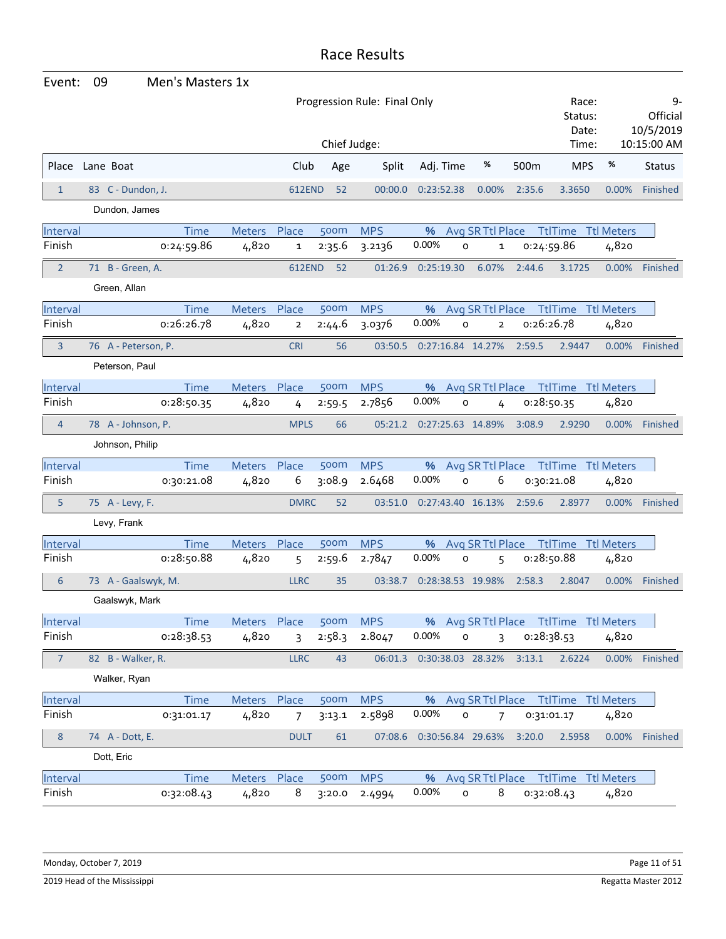| Event:             | 09                                           |                     | Men's Masters 1x          |                 |                         |        |            |            |              |                                  |        |                                         |                   |                                            |
|--------------------|----------------------------------------------|---------------------|---------------------------|-----------------|-------------------------|--------|------------|------------|--------------|----------------------------------|--------|-----------------------------------------|-------------------|--------------------------------------------|
|                    | Progression Rule: Final Only<br>Chief Judge: |                     |                           |                 |                         |        |            |            |              |                                  |        | Race:<br>Status:<br>Date:<br>Time:      |                   | 9-<br>Official<br>10/5/2019<br>10:15:00 AM |
| Place              |                                              | Lane Boat           |                           |                 | Club                    | Age    | Split      |            | Adj. Time    | %                                | 500m   | <b>MPS</b>                              | %                 | <b>Status</b>                              |
| $\mathbf{1}$       |                                              | 83 C - Dundon, J.   |                           |                 | <b>612END</b>           | 52     | 00:00.0    | 0:23:52.38 |              | 0.00%                            | 2:35.6 | 3.3650                                  | 0.00%             | Finished                                   |
|                    |                                              | Dundon, James       |                           |                 |                         |        |            |            |              |                                  |        |                                         |                   |                                            |
| Interval           |                                              |                     | <b>Time</b>               | Meters          | Place                   | 500m   | <b>MPS</b> | %          |              | Avg SR Ttl Place                 |        | <b>TtlTime Ttl Meters</b>               |                   |                                            |
| Finish             |                                              |                     | 0:24:59.86                | 4,820           | $\mathbf{1}$            | 2:35.6 | 3.2136     | 0.00%      | $\mathsf{o}$ | 1                                |        | 0:24:59.86                              | 4,820             |                                            |
| $\overline{2}$     |                                              | 71 B - Green, A.    |                           |                 | 612END                  | 52     | 01:26.9    | 0:25:19.30 |              | 6.07%                            | 2:44.6 | 3.1725                                  |                   | 0.00% Finished                             |
|                    |                                              | Green, Allan        |                           |                 |                         |        |            |            |              |                                  |        |                                         |                   |                                            |
|                    |                                              |                     |                           |                 |                         | 500m   | <b>MPS</b> |            |              |                                  |        |                                         |                   |                                            |
| Interval<br>Finish |                                              |                     | <b>Time</b><br>0:26:26.78 | Meters<br>4,820 | Place<br>$\overline{2}$ | 2:44.6 | 3.0376     | %<br>0.00% | 0            | Avg SR Ttl Place<br>$\mathbf{2}$ |        | <b>TtlTime Ttl Meters</b><br>0:26:26.78 | 4,820             |                                            |
|                    |                                              |                     |                           |                 |                         |        |            |            |              |                                  |        |                                         |                   | 0.00% Finished                             |
| 3                  |                                              | 76 A - Peterson, P. |                           |                 | <b>CRI</b>              | 56     | 03:50.5    |            |              | 0:27:16.84 14.27%                | 2:59.5 | 2.9447                                  |                   |                                            |
|                    |                                              | Peterson, Paul      |                           |                 |                         |        |            |            |              |                                  |        |                                         |                   |                                            |
| Interval           |                                              |                     | <b>Time</b>               | Meters          | Place                   | 500m   | <b>MPS</b> | %          |              | Avg SR Ttl Place                 |        | <b>TtlTime Ttl Meters</b>               |                   |                                            |
| Finish             |                                              |                     | 0:28:50.35                | 4,820           | 4                       | 2:59.5 | 2.7856     | 0.00%      | $\mathsf{o}$ | 4                                |        | 0:28:50.35                              | 4,820             |                                            |
| $\overline{4}$     |                                              | 78 A - Johnson, P.  |                           |                 | <b>MPLS</b>             | 66     | 05:21.2    |            |              | 0:27:25.63 14.89%                | 3:08.9 | 2.9290                                  | 0.00%             | Finished                                   |
|                    |                                              | Johnson, Philip     |                           |                 |                         |        |            |            |              |                                  |        |                                         |                   |                                            |
| Interval           |                                              |                     | Time                      | Meters Place    |                         | 500m   | <b>MPS</b> | %          |              | Avg SR Ttl Place                 |        | <b>TtlTime Ttl Meters</b>               |                   |                                            |
| Finish             |                                              |                     | 0:30:21.08                | 4,820           | 6                       | 3:08.9 | 2.6468     | 0.00%      | O            | 6                                |        | 0:30:21.08                              | 4,820             |                                            |
| 5                  |                                              | 75 A - Levy, F.     |                           |                 | <b>DMRC</b>             | 52     | 03:51.0    |            |              | 0:27:43.40 16.13%                | 2:59.6 | 2.8977                                  | $0.00\%$          | Finished                                   |
|                    |                                              | Levy, Frank         |                           |                 |                         |        |            |            |              |                                  |        |                                         |                   |                                            |
| Interval           |                                              |                     | <b>Time</b>               | <b>Meters</b>   | Place                   | 500m   | <b>MPS</b> | %          |              | Avg SR Ttl Place                 |        | <b>TtlTime</b>                          | <b>Ttl Meters</b> |                                            |
| Finish             |                                              |                     | 0:28:50.88                | 4,820           | 5                       | 2:59.6 | 2.7847     | 0.00%      | 0            | 5                                |        | 0:28:50.88                              | 4,820             |                                            |
| 6                  |                                              | 73 A - Gaalswyk, M. |                           |                 | <b>LLRC</b>             | 35     | 03:38.7    |            |              | 0:28:38.53 19.98%                | 2:58.3 | 2.8047                                  | 0.00%             | Finished                                   |
|                    |                                              | Gaalswyk, Mark      |                           |                 |                         |        |            |            |              |                                  |        |                                         |                   |                                            |
| Interval           |                                              |                     | Time                      | Meters Place    |                         | 500m   | <b>MPS</b> |            |              |                                  |        | % Avg SR Ttl Place Ttl Time Ttl Meters  |                   |                                            |
| Finish             |                                              |                     | 0:28:38.53                | 4,820           | $\overline{3}$          | 2:58.3 | 2.8047     | 0.00%      | $\mathsf{o}$ | 3                                |        | 0:28:38.53                              | 4,820             |                                            |
| 7                  |                                              | 82 B - Walker, R.   |                           |                 | <b>LLRC</b>             | 43     |            |            |              | 06:01.3  0:30:38.03  28.32%      | 3:13.1 | 2.6224                                  |                   | 0.00% Finished                             |
|                    |                                              | Walker, Ryan        |                           |                 |                         |        |            |            |              |                                  |        |                                         |                   |                                            |
| Interval           |                                              |                     | Time                      | Meters Place    |                         | 500m   | <b>MPS</b> |            |              |                                  |        | % Avg SR Ttl Place Ttl Time Ttl Meters  |                   |                                            |
| Finish             |                                              |                     | 0:31:01.17                | 4,820           | $\overline{7}$          | 3:13.1 | 2.5898     | 0.00%      | $\mathsf{o}$ | 7                                |        | 0:31:01.17                              | 4,820             |                                            |
| $\bf 8$            |                                              | 74 A - Dott, E.     |                           |                 | <b>DULT</b>             | 61     |            |            |              | 07:08.6  0:30:56.84  29.63%      | 3:20.0 | 2.5958                                  |                   | 0.00% Finished                             |
|                    |                                              | Dott, Eric          |                           |                 |                         |        |            |            |              |                                  |        |                                         |                   |                                            |
| Interval           |                                              |                     | <b>Time</b>               | Meters Place    |                         | 500m   | <b>MPS</b> |            |              |                                  |        | % Avg SR Ttl Place Ttl Time Ttl Meters  |                   |                                            |
| Finish             |                                              |                     | 0:32:08.43                | 4,820           | 8                       | 3:20.0 | 2.4994     | 0.00%      | $\mathsf{o}$ | 8                                |        | 0:32:08.43                              | 4,820             |                                            |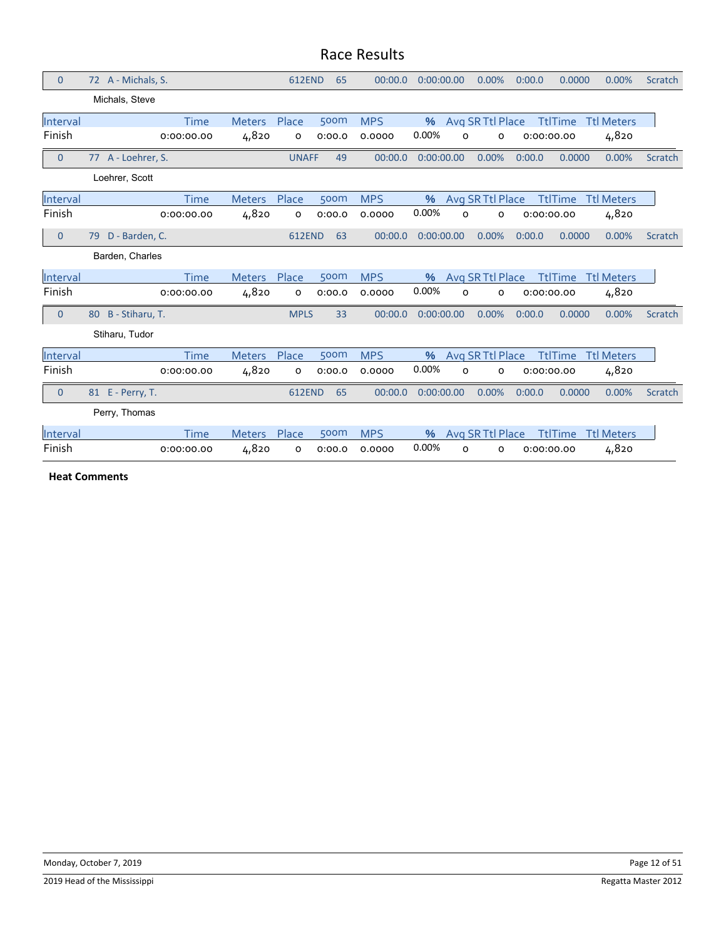| $\mathbf{0}$   | 72 A - Michals, S.   | <b>612END</b>          | 65     | 00:00.0    | 0:00:00.00       | 0.00%            | 0.0000<br>0:00.0 | 0.00%             | Scratch        |
|----------------|----------------------|------------------------|--------|------------|------------------|------------------|------------------|-------------------|----------------|
|                | Michals, Steve       |                        |        |            |                  |                  |                  |                   |                |
| Interval       | <b>Time</b>          | Place<br><b>Meters</b> | 500m   | <b>MPS</b> | $\%$             | Avg SR Ttl Place | <b>TtlTime</b>   | <b>Ttl Meters</b> |                |
| Finish         | 0:00:00.00           | 4,820<br>o             | 0:00.0 | 0.0000     | 0.00%<br>O       | 0                | 0:00:00.00       | 4,820             |                |
| $\mathbf{0}$   | 77 A - Loehrer, S.   | <b>UNAFF</b>           | 49     | 00:00.0    | 0:00:00.00       | 0.00%            | 0.0000<br>0:00.0 | 0.00%             | <b>Scratch</b> |
|                | Loehrer, Scott       |                        |        |            |                  |                  |                  |                   |                |
| Interval       | <b>Time</b>          | <b>Meters</b><br>Place | 500m   | <b>MPS</b> | $\%$             | Avg SR Ttl Place | <b>TtlTime</b>   | <b>Ttl Meters</b> |                |
| Finish         | 0:00:00.00           | 4,820<br>o             | 0:00.0 | 0.0000     | 0.00%<br>o       | o                | 0:00:00.00       | 4,820             |                |
| $\mathbf{0}$   | D - Barden, C.<br>79 | <b>612END</b>          | 63     | 00:00.0    | 0:00:00.00       | 0.00%            | 0:00.0<br>0.0000 | 0.00%             | Scratch        |
|                | Barden, Charles      |                        |        |            |                  |                  |                  |                   |                |
| Interval       | <b>Time</b>          | Place<br><b>Meters</b> | 500m   | <b>MPS</b> | $\%$             | Avg SR Ttl Place | <b>TtlTime</b>   | <b>Ttl Meters</b> |                |
| Finish         | 0:00:00.00           | 4,820<br>o             | 0:00.0 | 0.0000     | 0.00%<br>O       | о                | 0:00:00.00       | 4,820             |                |
| $\overline{0}$ | 80 B - Stiharu, T.   | <b>MPLS</b>            | 33     | 00:00.0    | 0:00:00.00       | 0.00%            | 0:00.0<br>0.0000 | 0.00%             | <b>Scratch</b> |
|                | Stiharu, Tudor       |                        |        |            |                  |                  |                  |                   |                |
| Interval       | <b>Time</b>          | Place<br><b>Meters</b> | 500m   | <b>MPS</b> | $\frac{9}{6}$    | Avg SR Ttl Place | <b>TtlTime</b>   | <b>Ttl Meters</b> |                |
| Finish         | 0:00:00.00           | 4,820<br>o             | 0:00.0 | 0.0000     | 0.00%<br>$\circ$ | $\circ$          | 0:00:00.00       | 4,820             |                |
| $\mathbf{0}$   | 81 E - Perry, T.     | <b>612END</b>          | 65     | 00:00.0    | 0:00:00.00       | 0.00%            | 0.0000<br>0:00.0 | 0.00%             | Scratch        |
|                | Perry, Thomas        |                        |        |            |                  |                  |                  |                   |                |
| Interval       | Time                 | Place<br><b>Meters</b> | 500m   | <b>MPS</b> | $\%$             | Avg SR Ttl Place | <b>TtlTime</b>   | <b>Ttl Meters</b> |                |
| Finish         | 0:00:00.00           | 4,820<br>o             | 0:00.0 | 0.0000     | 0.00%<br>o       | 0                | 0:00:00.00       | 4,820             |                |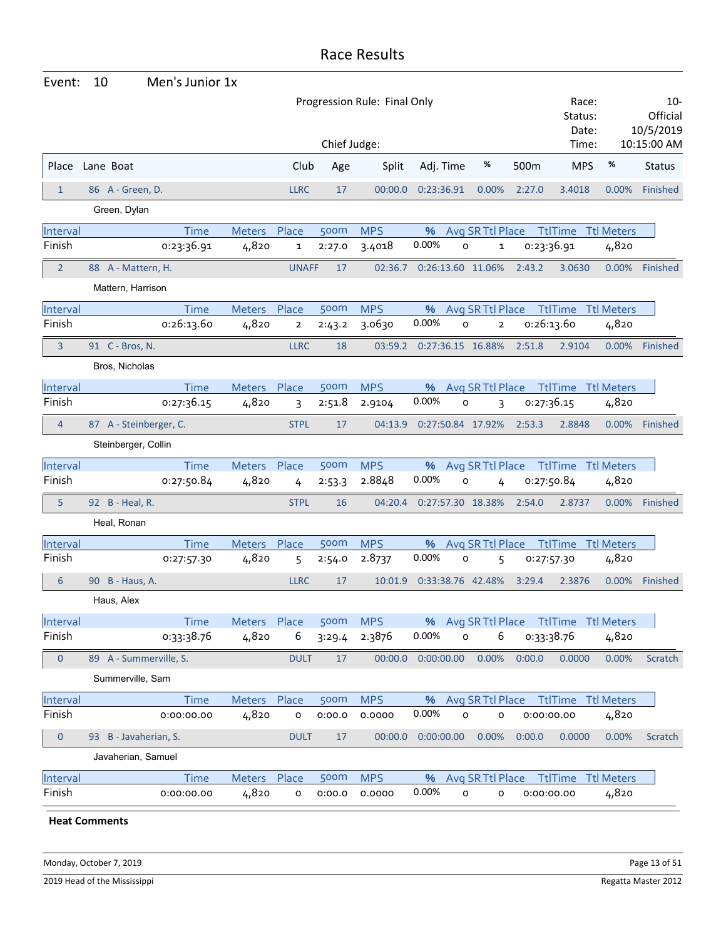| Event:         | 10                                           | Men's Junior 1x |               |                |        |            |                   |                     |                         |        |                                        |                   |                                                |
|----------------|----------------------------------------------|-----------------|---------------|----------------|--------|------------|-------------------|---------------------|-------------------------|--------|----------------------------------------|-------------------|------------------------------------------------|
|                | Progression Rule: Final Only<br>Chief Judge: |                 |               |                |        |            |                   |                     |                         |        | Race:<br>Status:<br>Date:<br>Time:     |                   | $10 -$<br>Official<br>10/5/2019<br>10:15:00 AM |
| Place          | Lane Boat                                    |                 |               | Club           | Age    | Split      | Adj. Time         |                     | %                       | 500m   | <b>MPS</b>                             | %                 | <b>Status</b>                                  |
| $\mathbf{1}$   | 86 A - Green, D.                             |                 |               | <b>LLRC</b>    | 17     | 00:00.0    | 0:23:36.91        |                     | 0.00%                   | 2:27.0 | 3.4018                                 | 0.00%             | Finished                                       |
|                | Green, Dylan                                 |                 |               |                |        |            |                   |                     |                         |        |                                        |                   |                                                |
| Interval       |                                              | <b>Time</b>     | Meters        | Place          | 500m   | <b>MPS</b> | %                 |                     | Avg SR Ttl Place        |        | <b>TtlTime</b>                         | <b>Ttl Meters</b> |                                                |
| Finish         |                                              | 0:23:36.91      | 4,820         | 1              | 2:27.0 | 3.4018     | 0.00%             | 0                   | 1                       |        | 0:23:36.91                             | 4,820             |                                                |
| $\overline{2}$ | 88 A - Mattern, H.                           |                 |               | <b>UNAFF</b>   | 17     | 02:36.7    | 0:26:13.60 11.06% |                     |                         | 2:43.2 | 3.0630                                 | 0.00%             | Finished                                       |
|                | Mattern, Harrison                            |                 |               |                |        |            |                   |                     |                         |        |                                        |                   |                                                |
| Interval       |                                              | <b>Time</b>     | Meters        | Place          | 500m   | <b>MPS</b> | %                 |                     | Avg SR Ttl Place        |        | <b>TtlTime Ttl Meters</b>              |                   |                                                |
| Finish         |                                              | 0:26:13.60      | 4,820         | $\overline{2}$ | 2:43.2 | 3.0630     | 0.00%             | O                   | $\overline{\mathbf{2}}$ |        | 0:26:13.60                             | 4,820             |                                                |
| 3              | 91 C - Bros, N.                              |                 |               | <b>LLRC</b>    | 18     | 03:59.2    | 0:27:36.15 16.88% |                     |                         | 2:51.8 | 2.9104                                 | $0.00\%$          | Finished                                       |
|                | Bros, Nicholas                               |                 |               |                |        |            |                   |                     |                         |        |                                        |                   |                                                |
| Interval       |                                              | <b>Time</b>     | <b>Meters</b> | Place          | 500m   | <b>MPS</b> | %                 |                     | Avg SR Ttl Place        |        | TtlTime                                | <b>Ttl Meters</b> |                                                |
| Finish         |                                              | 0:27:36.15      | 4,820         | 3              | 2:51.8 | 2.9104     | 0.00%             | O                   | 3                       |        | 0:27:36.15                             | 4,820             |                                                |
| $\overline{4}$ | 87 A - Steinberger, C.                       |                 |               | <b>STPL</b>    | 17     | 04:13.9    | 0:27:50.84 17.92% |                     |                         | 2:53.3 | 2.8848                                 | $0.00\%$          | Finished                                       |
|                | Steinberger, Collin                          |                 |               |                |        |            |                   |                     |                         |        |                                        |                   |                                                |
| Interval       |                                              | <b>Time</b>     | Meters Place  |                | 500m   | <b>MPS</b> | %                 |                     | Avg SR Ttl Place        |        | <b>TtlTime Ttl Meters</b>              |                   |                                                |
| Finish         |                                              | 0:27:50.84      | 4,820         | 4              | 2:53.3 | 2.8848     | 0.00%             | O                   | 4                       |        | 0:27:50.84                             | 4,820             |                                                |
| 5              | 92 B - Heal, R.                              |                 |               | <b>STPL</b>    | 16     | 04:20.4    | 0:27:57.30 18.38% |                     |                         | 2:54.0 | 2.8737                                 | $0.00\%$          | Finished                                       |
|                | Heal, Ronan                                  |                 |               |                |        |            |                   |                     |                         |        |                                        |                   |                                                |
| Interval       |                                              | <b>Time</b>     | <b>Meters</b> | Place          | 500m   | <b>MPS</b> | %                 |                     | Avg SR Ttl Place        |        | <b>TtlTime</b>                         | <b>Ttl Meters</b> |                                                |
| Finish         |                                              | 0:27:57.30      | 4,820         | 5              | 2:54.0 | 2.8737     | 0.00%             | 0                   | 5                       |        | 0:27:57.30                             | 4,820             |                                                |
| 6              | 90 B - Haus, A.                              |                 |               | <b>LLRC</b>    | 17     | 10:01.9    | 0:33:38.76 42.48% |                     |                         | 3:29.4 | 2.3876                                 | 0.00%             | Finished                                       |
|                | Haus, Alex                                   |                 |               |                |        |            |                   |                     |                         |        |                                        |                   |                                                |
| Interval       |                                              | Time            | Meters Place  |                | 500m   | <b>MPS</b> |                   |                     |                         |        | % Avg SR Ttl Place Ttl Time Ttl Meters |                   |                                                |
| Finish         |                                              | 0:33:38.76      | 4,820         | 6              | 3:29.4 | 2.3876     | 0.00%             | $\mathsf{o}\xspace$ | 6                       |        | 0:33:38.76                             | 4,820             |                                                |
| $\theta$       | 89 A - Summerville, S.                       |                 |               | <b>DULT</b>    | 17     | 00:00.0    | 0:00:00.00        |                     | 0.00%                   | 0:00.0 | 0.0000                                 | 0.00%             | Scratch                                        |
|                | Summerville, Sam                             |                 |               |                |        |            |                   |                     |                         |        |                                        |                   |                                                |
| Interval       |                                              | <b>Time</b>     | Meters Place  |                | 500m   | <b>MPS</b> | %                 |                     | Avg SR Ttl Place        |        | <b>TtlTime Ttl Meters</b>              |                   |                                                |
| Finish         |                                              | 0:00:00.00      | 4,820         | o              | 0:00.0 | 0.0000     | 0.00%             | $\mathsf{o}$        | o                       |        | 0:00:00.00                             | 4,820             |                                                |
| $\pmb{0}$      | 93 B - Javaherian, S.                        |                 |               | <b>DULT</b>    | 17     | 00:00.0    | 0:00:00.00        |                     | 0.00%                   | 0:00.0 | 0.0000                                 | 0.00%             | Scratch                                        |
|                | Javaherian, Samuel                           |                 |               |                |        |            |                   |                     |                         |        |                                        |                   |                                                |
| Interval       |                                              | <b>Time</b>     | Meters Place  |                | 500m   | <b>MPS</b> | %                 |                     | Avg SR Ttl Place        |        | <b>TtlTime Ttl Meters</b>              |                   |                                                |
| Finish         |                                              | 0:00:00.00      | 4,820         | $\mathsf{o}$   | 0:00.0 | 0.0000     | 0.00%             | $\mathsf{o}$        | o                       |        | 0:00:00.00                             | 4,820             |                                                |
|                |                                              |                 |               |                |        |            |                   |                     |                         |        |                                        |                   |                                                |

**Heat Comments**

Monday, October 7, 2019 **Page 13 of 51** Page 13 of 51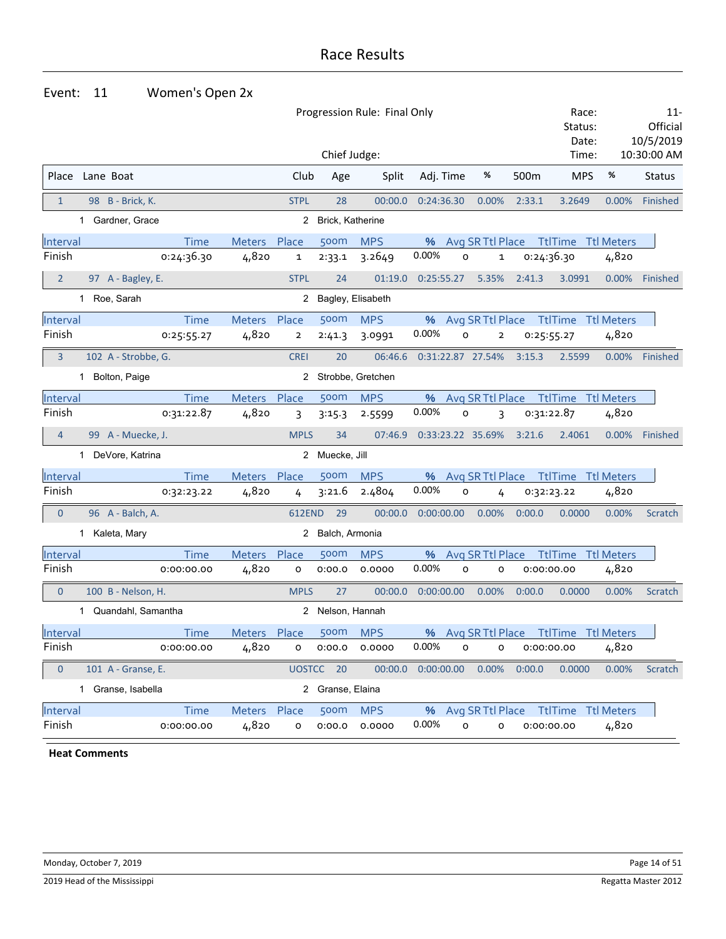#### Event: 11 Women's Open 2x

|                |                         |             | Race:<br>Status: |                | $11 -$<br>Official |                     |            |         |                   |        |                                        |          |               |
|----------------|-------------------------|-------------|------------------|----------------|--------------------|---------------------|------------|---------|-------------------|--------|----------------------------------------|----------|---------------|
|                |                         |             |                  |                |                    |                     |            |         |                   |        | Date:                                  |          | 10/5/2019     |
|                |                         |             |                  |                | Chief Judge:       |                     |            |         |                   |        | Time:                                  |          | 10:30:00 AM   |
|                | Place Lane Boat         |             |                  | Club           | Age                | Split               | Adj. Time  |         | %                 | 500m   | <b>MPS</b>                             | %        | <b>Status</b> |
| $\mathbf{1}$   | 98 B - Brick, K.        |             |                  | <b>STPL</b>    | 28                 | 00:00.0             | 0:24:36.30 |         | 0.00%             | 2:33.1 | 3.2649                                 | 0.00%    | Finished      |
|                | 1 Gardner, Grace        |             |                  |                | 2 Brick, Katherine |                     |            |         |                   |        |                                        |          |               |
| Interval       |                         | Time        | Meters           | Place          | 500m               | <b>MPS</b>          | %          |         | Avg SR Ttl Place  |        | <b>TtlTime Ttl Meters</b>              |          |               |
| Finish         |                         | 0:24:36.30  | 4,820            | 1              | 2:33.1             | 3.2649              | 0.00%      | 0       | 1                 |        | 0:24:36.30                             | 4,820    |               |
| $\overline{2}$ | 97 A - Bagley, E.       |             |                  | <b>STPL</b>    | 24                 | 01:19.0             | 0:25:55.27 |         | 5.35%             | 2:41.3 | 3.0991                                 | 0.00%    | Finished      |
|                | 1 Roe, Sarah            |             |                  |                |                    | 2 Bagley, Elisabeth |            |         |                   |        |                                        |          |               |
| Interval       |                         | <b>Time</b> | Meters Place     |                | 500m               | <b>MPS</b>          |            |         |                   |        | % Avg SR Ttl Place Ttl Time Ttl Meters |          |               |
| Finish         |                         | 0:25:55.27  | 4,820            | $\overline{2}$ | 2:41.3             | 3.0991              | 0.00%      | O       | $\overline{2}$    |        | 0:25:55.27                             | 4,820    |               |
| 3              | 102 A - Strobbe, G.     |             |                  | <b>CREI</b>    | 20                 | 06:46.6             |            |         | 0:31:22.87 27.54% | 3:15.3 | 2.5599                                 | $0.00\%$ | Finished      |
|                | 1 Bolton, Paige         |             |                  |                |                    | 2 Strobbe, Gretchen |            |         |                   |        |                                        |          |               |
| Interval       |                         | <b>Time</b> | Meters           | Place          | 500m               | <b>MPS</b>          | %          |         | Avg SR Ttl Place  |        | <b>TtlTime Ttl Meters</b>              |          |               |
| Finish         |                         | 0:31:22.87  | 4,820            | 3              | 3:15.3             | 2.5599              | 0.00%      | 0       | 3                 |        | 0:31:22.87                             | 4,820    |               |
| $\overline{4}$ | 99 A - Muecke, J.       |             |                  | <b>MPLS</b>    | 34                 | 07:46.9             |            |         | 0:33:23.22 35.69% | 3:21.6 | 2.4061                                 | $0.00\%$ | Finished      |
|                | 1 DeVore, Katrina       |             |                  |                | 2 Muecke, Jill     |                     |            |         |                   |        |                                        |          |               |
| Interval       |                         | <b>Time</b> | <b>Meters</b>    | Place          | 500m               | <b>MPS</b>          | %          |         | Avg SR Ttl Place  |        | <b>TtlTime Ttl Meters</b>              |          |               |
| Finish         |                         | 0:32:23.22  | 4,820            | 4              | 3:21.6             | 2.4804              | 0.00%      | $\circ$ | 4                 |        | 0:32:23.22                             | 4,820    |               |
| $\mathbf{0}$   | 96 A - Balch, A.        |             |                  | 612END         | 29                 | 00:00.0             | 0:00:00.00 |         | 0.00%             | 0:00.0 | 0.0000                                 | 0.00%    | Scratch       |
|                | 1 Kaleta, Mary          |             |                  |                | 2 Balch, Armonia   |                     |            |         |                   |        |                                        |          |               |
| Interval       |                         | <b>Time</b> | Meters           | Place          | 500m               | <b>MPS</b>          | %          |         | Avg SR Ttl Place  |        | <b>TtlTime Ttl Meters</b>              |          |               |
| Finish         |                         | 0:00:00.00  | 4,820            | 0              | 0:00.0             | 0.0000              | 0.00%      | o       | o                 |        | 0:00:00.00                             | 4,820    |               |
| $\mathbf{0}$   | 100 B - Nelson, H.      |             |                  | <b>MPLS</b>    | 27                 | 00:00.0             | 0:00:00.00 |         | 0.00%             | 0:00.0 | 0.0000                                 | 0.00%    | Scratch       |
|                | Quandahl, Samantha<br>1 |             |                  |                | 2 Nelson, Hannah   |                     |            |         |                   |        |                                        |          |               |
| Interval       |                         | Time        | <b>Meters</b>    | Place          | 500 <sub>m</sub>   | <b>MPS</b>          | %          |         | Avg SR Ttl Place  |        | TtlTime Ttl Meters                     |          |               |
| Finish         |                         | 0:00:00.00  | 4,820            | 0              | 0:00.0             | 0.0000              | 0.00%      | o       | o                 |        | 0:00:00.00                             | 4,820    |               |
| $\pmb{0}$      | 101 A - Granse, E.      |             |                  |                | UOSTCC 20          | 00:00.0             | 0:00:00.00 |         | 0.00%             | 0:00.0 | 0.0000                                 | 0.00%    | Scratch       |
|                | Granse, Isabella<br>1.  |             |                  |                | 2 Granse, Elaina   |                     |            |         |                   |        |                                        |          |               |
| Interval       |                         | Time        | Meters Place     |                | 500m               | <b>MPS</b>          |            |         |                   |        | % Avg SR Ttl Place Ttl Time Ttl Meters |          |               |
| Finish         |                         | 0:00:00.00  | 4,820            | o              | 0:00.0             | 0.0000              | 0.00%      | 0       | o                 |        | 0:00:00.00                             | 4,820    |               |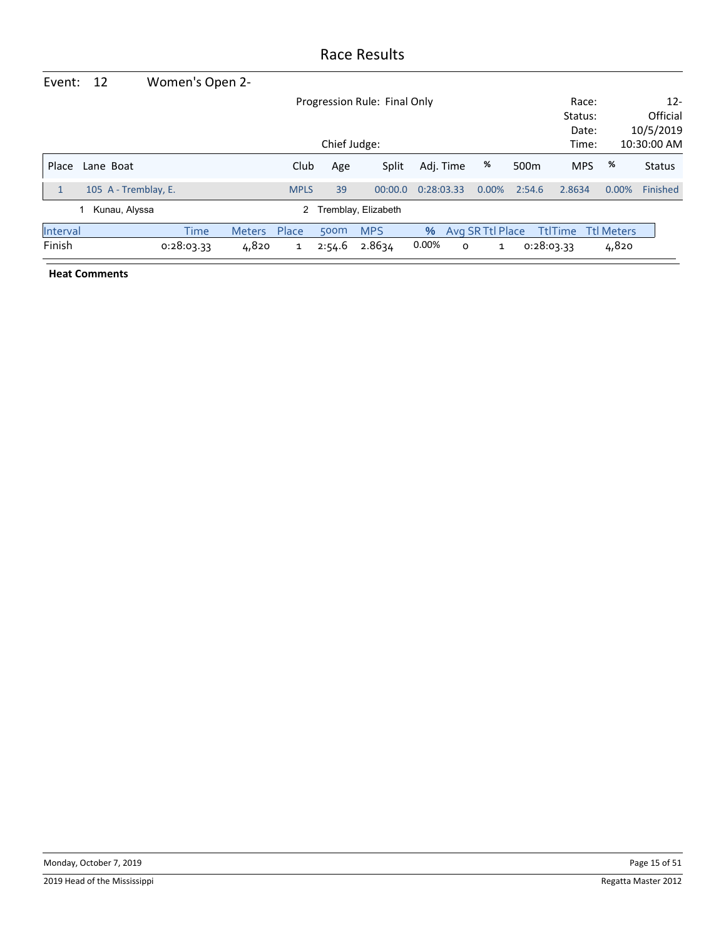| Event:   | 12                   | Women's Open 2- |               |              |        |                              |            |   |                  |                  |                |                   |               |
|----------|----------------------|-----------------|---------------|--------------|--------|------------------------------|------------|---|------------------|------------------|----------------|-------------------|---------------|
|          |                      |                 |               |              |        | Progression Rule: Final Only |            |   |                  |                  | Race:          |                   | $12 -$        |
|          |                      |                 |               |              |        |                              |            |   |                  |                  | Status:        |                   | Official      |
|          |                      |                 |               |              |        |                              |            |   |                  |                  | Date:          |                   | 10/5/2019     |
|          |                      | Time:           |               | 10:30:00 AM  |        |                              |            |   |                  |                  |                |                   |               |
| Place    | Lane Boat            |                 |               | Club         | Age    | Split                        | Adj. Time  |   | %                | 500 <sub>m</sub> | <b>MPS</b>     | %                 | <b>Status</b> |
| 1        | 105 A - Tremblay, E. |                 |               | <b>MPLS</b>  | 39     | 00:00.0                      | 0:28:03.33 |   | $0.00\%$         | 2:54.6           | 2.8634         | 0.00%             | Finished      |
|          | Kunau, Alyssa        |                 |               | $^{2}$       |        | Tremblay, Elizabeth          |            |   |                  |                  |                |                   |               |
| Interval |                      | Time            | <b>Meters</b> | Place        | 500m   | <b>MPS</b>                   | $\%$       |   | Avg SR Ttl Place |                  | <b>TtlTime</b> | <b>Ttl Meters</b> |               |
| Finish   |                      | 0:28:03.33      | 4,820         | $\mathbf{1}$ | 2:54.6 | 2.8634                       | 0.00%      | O | 1                |                  | 0:28:03.33     | 4,820             |               |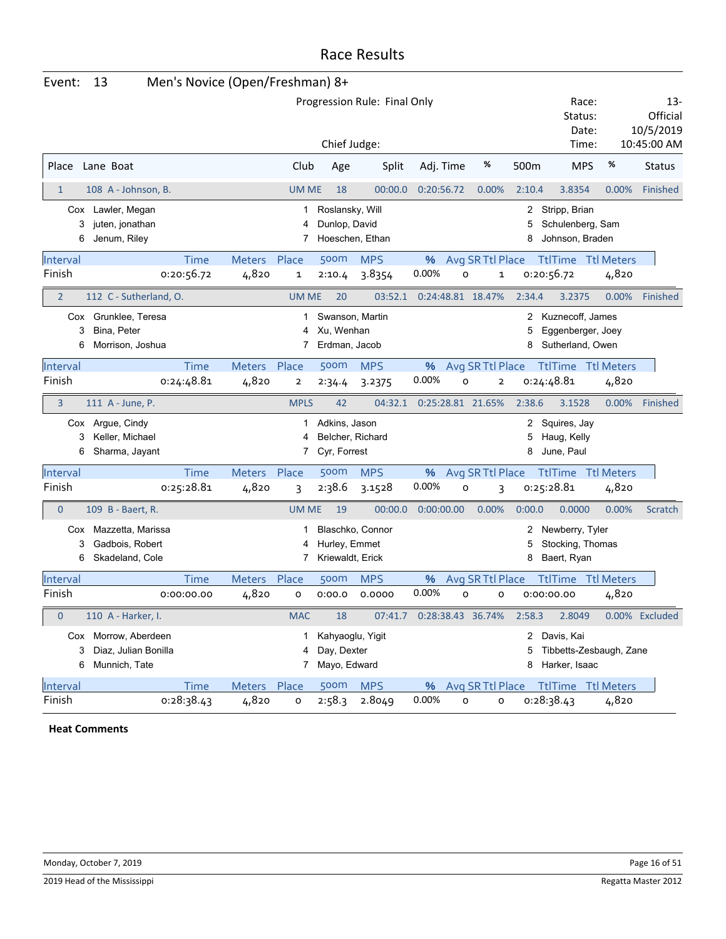| Event: |  |
|--------|--|
|--------|--|

# Men's Novice (Open/Freshman) 8+

|                |                                                               |             |                                                |                | Progression Rule: Final Only<br>Chief Judge:      |                  | Race:<br>Status:<br>Date:<br>Time: |                                                             | 13-<br>Official<br>10/5/2019<br>10:45:00 AM |                                                        |                   |                |
|----------------|---------------------------------------------------------------|-------------|------------------------------------------------|----------------|---------------------------------------------------|------------------|------------------------------------|-------------------------------------------------------------|---------------------------------------------|--------------------------------------------------------|-------------------|----------------|
| Place          | Lane Boat                                                     |             |                                                | Club           | Age                                               | Split            | Adj. Time                          | %                                                           | 500m                                        | <b>MPS</b>                                             | %                 | <b>Status</b>  |
| $\mathbf{1}$   | 108 A - Johnson, B.                                           |             |                                                | <b>UM ME</b>   | 18                                                | 00:00.0          | 0:20:56.72                         | 0.00%                                                       | 2:10.4                                      | 3.8354                                                 | 0.00%             | Finished       |
| 3<br>6         | Cox Lawler, Megan<br>juten, jonathan<br>Jenum, Riley          |             |                                                | 1<br>4<br>7    | Roslansky, Will<br>Dunlop, David                  | Hoeschen, Ethan  |                                    |                                                             | 5<br>8                                      | 2 Stripp, Brian<br>Schulenberg, Sam<br>Johnson, Braden |                   |                |
| Interval       |                                                               | <b>Time</b> | Meters                                         | Place          | 500m                                              | <b>MPS</b>       | %                                  | Avg SR Ttl Place                                            |                                             | <b>TtlTime Ttl Meters</b>                              |                   |                |
| Finish         |                                                               | 0:20:56.72  | 4,820                                          | 1              | 2:10.4                                            | 3.8354           | 0.00%                              | O                                                           | $\mathbf 1$                                 | 0:20:56.72                                             | 4,820             |                |
| $\overline{2}$ | 112 C - Sutherland, O.                                        |             |                                                | <b>UM ME</b>   | 20                                                | 03:52.1          |                                    | 0:24:48.81 18.47%                                           | 2:34.4                                      | 3.2375                                                 | 0.00%             | Finished       |
| 3<br>6         | Cox Grunklee, Teresa<br>Bina, Peter<br>Morrison, Joshua       | 1<br>4<br>7 | Swanson, Martin<br>Xu, Wenhan<br>Erdman, Jacob |                |                                                   |                  | 5<br>8                             | 2 Kuznecoff, James<br>Eggenberger, Joey<br>Sutherland, Owen |                                             |                                                        |                   |                |
| Interval       |                                                               | <b>Time</b> | <b>Meters</b>                                  | Place          | <b>500m</b>                                       | <b>MPS</b>       | %                                  | Avg SR Ttl Place                                            |                                             | <b>TtlTime</b> Ttl Meters                              |                   |                |
| Finish         |                                                               | 0:24:48.81  | 4,820                                          | $\overline{2}$ | 2:34.4                                            | 3.2375           | 0.00%                              | $\circ$<br>$\overline{2}$                                   |                                             | 0:24:48.81                                             | 4,820             |                |
| 3              | 111 A - June, P.                                              |             |                                                | <b>MPLS</b>    | 42                                                | 04:32.1          |                                    | 0:25:28.81 21.65%                                           | 2:38.6                                      | 3.1528                                                 | 0.00%             | Finished       |
| 3<br>6         | Cox Argue, Cindy<br>Keller, Michael<br>Sharma, Jayant         |             |                                                | 1<br>4<br>7    | Adkins, Jason<br>Belcher, Richard<br>Cyr, Forrest |                  |                                    |                                                             | 2<br>5<br>8                                 | Squires, Jay<br>Haug, Kelly<br>June, Paul              |                   |                |
| Interval       |                                                               | <b>Time</b> | <b>Meters</b>                                  | Place          | 500m                                              | <b>MPS</b>       | %                                  | Avg SR Ttl Place                                            |                                             | <b>TtlTime</b> Ttl Meters                              |                   |                |
| Finish         |                                                               | 0:25:28.81  | 4,820                                          | 3              | 2:38.6                                            | 3.1528           | 0.00%                              | o<br>3                                                      |                                             | 0:25:28.81                                             | 4,820             |                |
| $\mathbf 0$    | 109 B - Baert, R.                                             |             |                                                | <b>UM ME</b>   | 19                                                | 00:00.0          | 0:00:00.00                         | 0.00%                                                       | 0:00.0                                      | 0.0000                                                 | 0.00%             | Scratch        |
| 3<br>6         | Cox Mazzetta, Marissa<br>Gadbois, Robert<br>Skadeland, Cole   |             |                                                | 4<br>7         | Hurley, Emmet<br>Kriewaldt, Erick                 | Blaschko, Connor |                                    |                                                             | 5<br>8                                      | 2 Newberry, Tyler<br>Stocking, Thomas<br>Baert, Ryan   |                   |                |
| Interval       |                                                               | <b>Time</b> | <b>Meters</b>                                  | Place          | <b>500m</b>                                       | <b>MPS</b>       | %                                  | Avg SR Ttl Place                                            |                                             | <b>TtlTime</b>                                         | <b>Ttl Meters</b> |                |
| Finish         |                                                               | 0:00:00.00  | 4,820                                          | o              | 0:00.0                                            | 0.0000           | 0.00%                              | $\circ$<br>o                                                |                                             | 0:00:00.00                                             | 4,820             |                |
| $\overline{0}$ | 110 A - Harker, I.                                            |             |                                                | <b>MAC</b>     | 18                                                | 07:41.7          |                                    | 0:28:38.43 36.74%                                           | 2:58.3                                      | 2.8049                                                 |                   | 0.00% Excluded |
| 3<br>6         | Cox Morrow, Aberdeen<br>Diaz, Julian Bonilla<br>Munnich, Tate |             |                                                | 1<br>4<br>7    | Kahyaoglu, Yigit<br>Day, Dexter<br>Mayo, Edward   |                  |                                    |                                                             | 2<br>5<br>8                                 | Davis, Kai<br>Tibbetts-Zesbaugh, Zane<br>Harker, Isaac |                   |                |
| Interval       |                                                               | <b>Time</b> | Meters Place                                   |                | 500m                                              | <b>MPS</b>       | %                                  | Avg SR Ttl Place                                            |                                             | <b>TtlTime Ttl Meters</b>                              |                   |                |
| Finish         |                                                               | 0:28:38.43  | 4,820                                          | o              | 2:58.3                                            | 2.8049           | 0.00%                              | $\mathsf{o}$<br>o                                           |                                             | 0:28:38.43                                             | 4,820             |                |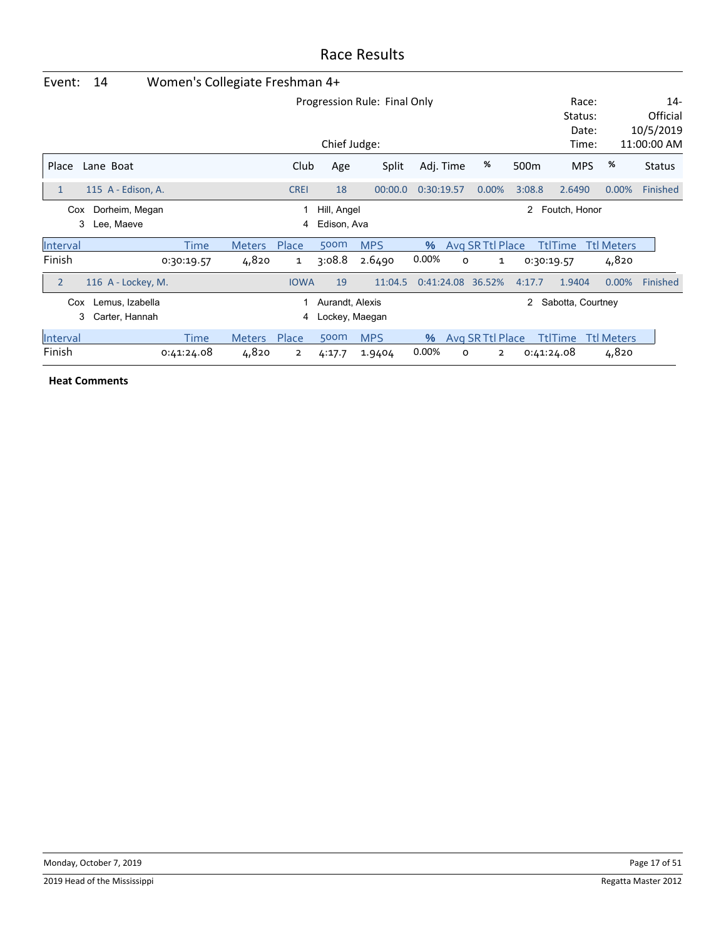| Event:                                         | 14                                | Women's Collegiate Freshman 4+ |               |                |                                   |                              |            |   |                  |                  |                                    |                   |                                                |
|------------------------------------------------|-----------------------------------|--------------------------------|---------------|----------------|-----------------------------------|------------------------------|------------|---|------------------|------------------|------------------------------------|-------------------|------------------------------------------------|
|                                                |                                   |                                |               |                | Chief Judge:                      | Progression Rule: Final Only |            |   |                  |                  | Race:<br>Status:<br>Date:<br>Time: |                   | $14 -$<br>Official<br>10/5/2019<br>11:00:00 AM |
| Place                                          | Lane Boat                         |                                |               | Club           | Age                               | Split                        | Adj. Time  |   | %                | 500 <sub>m</sub> | <b>MPS</b>                         | %                 | <b>Status</b>                                  |
| 1                                              | 115 A - Edison, A.                |                                |               | <b>CREI</b>    | 18                                | 00:00.0                      | 0:30:19.57 |   | 0.00%            | 3:08.8           | 2.6490                             | 0.00%             | Finished                                       |
| Dorheim, Megan<br>Hill, Angel<br>2<br>Cox<br>1 |                                   |                                |               |                |                                   |                              |            |   |                  |                  | Foutch, Honor                      |                   |                                                |
| 3                                              | Lee, Maeve                        |                                |               | 4              | Edison, Ava                       |                              |            |   |                  |                  |                                    |                   |                                                |
| Interval                                       |                                   | Time                           | <b>Meters</b> | Place          | 500m                              | <b>MPS</b>                   | $\%$       |   | Avg SR Ttl Place |                  | TtlTime                            | <b>Ttl Meters</b> |                                                |
| Finish                                         |                                   | 0:30:19.57                     | 4,820         | 1              | 3:08.8                            | 2.6490                       | 0.00%      | 0 | 1                | 0:30:19.57       |                                    | 4,820             |                                                |
| $\overline{2}$                                 | 116 A - Lockey, M.                |                                |               | <b>IOWA</b>    | 19                                | 11:04.5                      | 0:41:24.08 |   | 36.52%           | 4:17.7           | 1.9404                             | 0.00%             | Finished                                       |
| Cox<br>3                                       | Lemus, Izabella<br>Carter, Hannah |                                |               | 1<br>4         | Aurandt, Alexis<br>Lockey, Maegan |                              |            |   |                  | 2                | Sabotta, Courtney                  |                   |                                                |
| Interval                                       |                                   | Time                           | <b>Meters</b> | Place          | 500m                              | <b>MPS</b>                   | $\%$       |   | Avg SR Ttl Place |                  | <b>TtlTime</b>                     | <b>Ttl Meters</b> |                                                |
| Finish                                         |                                   | 0:41:24.08                     | 4,820         | $\overline{2}$ | 4:17.7                            | 1.9404                       | 0.00%      | 0 | $\overline{2}$   |                  | 0:41:24.08                         | 4,820             |                                                |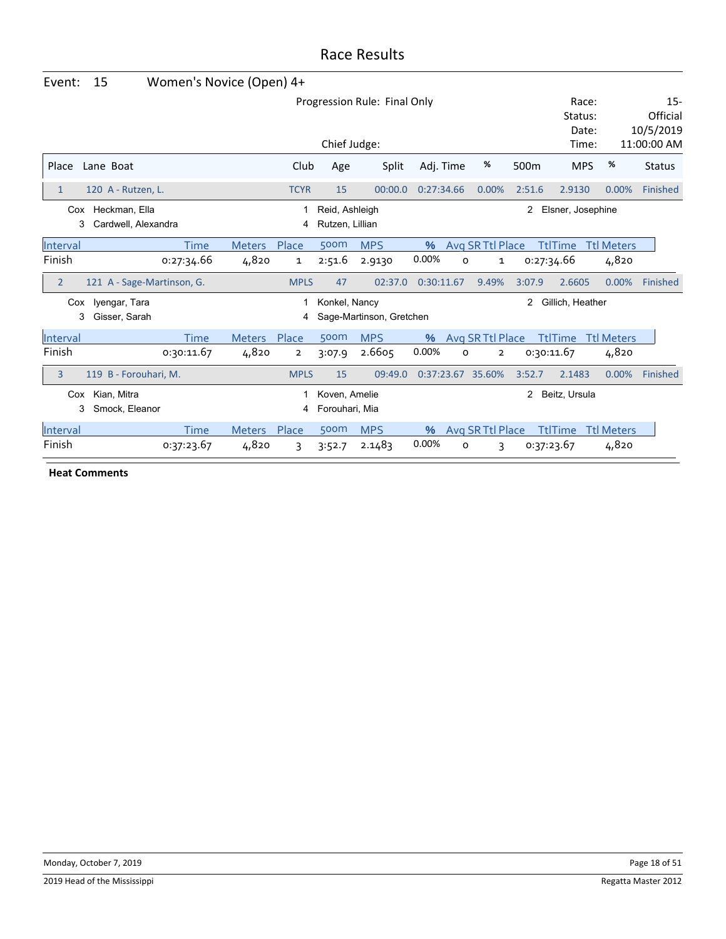| Event:         | 15                                       | Women's Novice (Open) 4+ |               |                |                                   |                          |                           |                   |                                 |                   |                   |               |
|----------------|------------------------------------------|--------------------------|---------------|----------------|-----------------------------------|--------------------------|---------------------------|-------------------|---------------------------------|-------------------|-------------------|---------------|
|                |                                          |                          |               |                | Progression Rule: Final Only      |                          | Race:<br>Status:<br>Date: |                   | $15 -$<br>Official<br>10/5/2019 |                   |                   |               |
|                |                                          |                          |               |                | Chief Judge:                      |                          |                           |                   |                                 | Time:             |                   | 11:00:00 AM   |
| Place          | Lane Boat                                |                          |               | Club           | Age                               | Split                    | Adj. Time                 | %                 | 500 <sub>m</sub>                | <b>MPS</b>        | %                 | <b>Status</b> |
| $\mathbf{1}$   | 120 A - Rutzen, L.                       |                          |               | <b>TCYR</b>    | 15                                | 00:00.0                  | 0:27:34.66                | 0.00%             | 2:51.6                          | 2.9130            | 0.00%             | Finished      |
| 3              | Cox Heckman, Ella<br>Cardwell, Alexandra |                          |               | 4              | Reid, Ashleigh<br>Rutzen, Lillian |                          |                           |                   | 2                               | Elsner, Josephine |                   |               |
| Interval       |                                          | <b>Time</b>              | <b>Meters</b> | Place          | 500m                              | <b>MPS</b>               | $\%$                      | Avg SR Ttl Place  |                                 | <b>TtlTime</b>    | <b>Ttl Meters</b> |               |
| Finish         |                                          | 0:27:34.66               | 4,820         | 1              | 2:51.6                            | 2.9130                   | 0.00%                     | O<br>1            |                                 | 0:27:34.66        | 4,820             |               |
| $\overline{2}$ | 121 A - Sage-Martinson, G.               |                          |               | <b>MPLS</b>    | 47                                | 02:37.0                  | 0:30:11.67                | 9.49%             | 3:07.9                          | 2.6605            | 0.00%             | Finished      |
| Cox            | Iyengar, Tara                            |                          |               | 1              | Konkel, Nancy                     |                          |                           |                   | 2                               | Gillich, Heather  |                   |               |
| 3              | Gisser, Sarah                            |                          |               | 4              |                                   | Sage-Martinson, Gretchen |                           |                   |                                 |                   |                   |               |
| Interval       |                                          | <b>Time</b>              | <b>Meters</b> | Place          | 500m                              | <b>MPS</b>               | %                         | Avg SR Ttl Place  |                                 | <b>TtlTime</b>    | <b>Ttl Meters</b> |               |
| Finish         |                                          | 0:30:11.67               | 4,820         | $\overline{2}$ | 3:07.9                            | 2.6605                   | 0.00%                     | O<br>2            |                                 | 0:30:11.67        | 4,820             |               |
| 3              | 119 B - Forouhari, M.                    |                          |               | <b>MPLS</b>    | 15                                | 09:49.0                  |                           | 0:37:23.67 35.60% | 3:52.7                          | 2.1483            | 0.00%             | Finished      |
| Cox<br>3       | Kian, Mitra<br>Smock, Eleanor            |                          |               | 1<br>4         | Koven, Amelie<br>Forouhari, Mia   |                          |                           |                   | 2                               | Beitz, Ursula     |                   |               |
| Interval       |                                          | <b>Time</b>              | <b>Meters</b> | Place          | 500m                              | <b>MPS</b>               | $\%$                      | Avg SR Ttl Place  |                                 | <b>TtlTime</b>    | <b>Ttl Meters</b> |               |
| Finish         |                                          | 0:37:23.67               | 4,820         | 3              | 3:52.7                            | 2.1483                   | 0.00%                     | o<br>3            |                                 | 0:37:23.67        | 4,820             |               |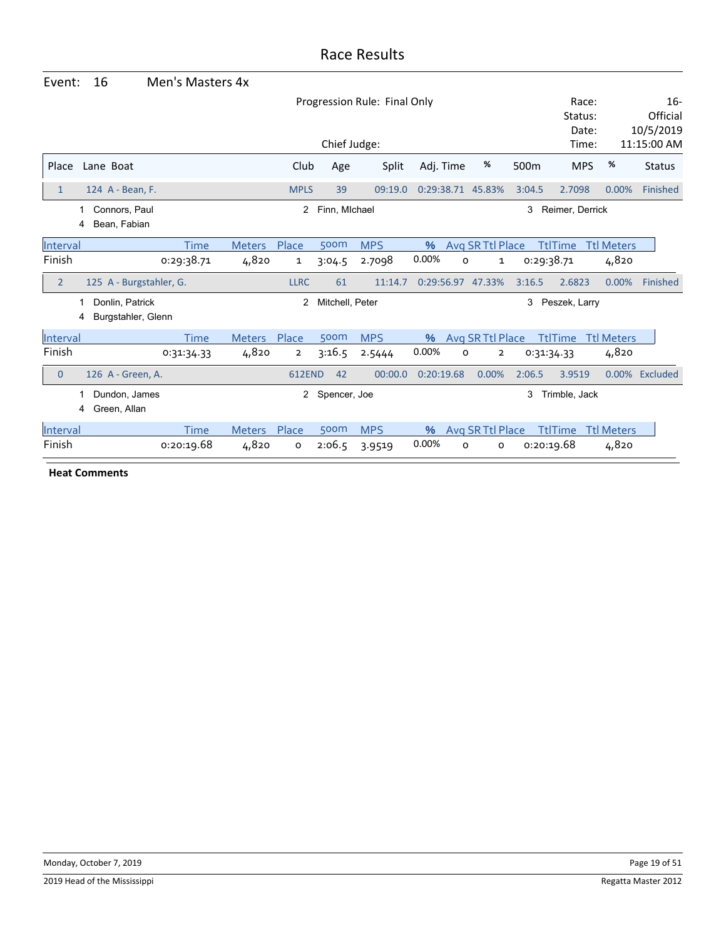| Event:         | 16                                         | Men's Masters 4x |               |                                              |                 |            |            |                              |                  |                                    |                   |                                               |
|----------------|--------------------------------------------|------------------|---------------|----------------------------------------------|-----------------|------------|------------|------------------------------|------------------|------------------------------------|-------------------|-----------------------------------------------|
|                |                                            |                  |               | Progression Rule: Final Only<br>Chief Judge: |                 |            |            |                              |                  | Race:<br>Status:<br>Date:<br>Time: |                   | $16-$<br>Official<br>10/5/2019<br>11:15:00 AM |
| Place          | Lane Boat                                  |                  |               | Club                                         | Age             | Split      | Adj. Time  | %                            | 500 <sub>m</sub> | <b>MPS</b>                         | %                 | <b>Status</b>                                 |
|                |                                            |                  |               |                                              |                 |            |            |                              |                  |                                    |                   |                                               |
| $\mathbf{1}$   | 124 A - Bean, F.                           |                  |               | <b>MPLS</b>                                  | 39              | 09:19.0    |            | 0:29:38.71 45.83%            | 3:04.5           | 2.7098                             | 0.00%             | Finished                                      |
|                | Connors, Paul<br>1<br>Bean, Fabian<br>4    |                  |               | 2                                            | Finn, Michael   |            |            |                              | 3                | Reimer, Derrick                    |                   |                                               |
| Interval       |                                            | <b>Time</b>      | <b>Meters</b> | Place                                        | 500m            | <b>MPS</b> | %          | Avg SR Ttl Place             |                  | <b>TtlTime</b>                     | <b>Ttl Meters</b> |                                               |
| Finish         |                                            | 0:29:38.71       | 4,820         | 1                                            | 3:04.5          | 2.7098     | 0.00%      | O<br>1                       | 0:29:38.71       |                                    | 4,820             |                                               |
| $\overline{2}$ | 125 A - Burgstahler, G.                    |                  |               | <b>LLRC</b>                                  | 61              | 11:14.7    |            | 0:29:56.97 47.33%            | 3:16.5           | 2.6823                             | 0.00%             | Finished                                      |
|                | Donlin, Patrick<br>Burgstahler, Glenn<br>4 |                  |               | 2                                            | Mitchell, Peter |            |            |                              | 3                | Peszek, Larry                      |                   |                                               |
| Interval       |                                            | <b>Time</b>      | <b>Meters</b> | Place                                        | 500m            | <b>MPS</b> | %          | Avg SR Ttl Place             |                  | <b>TtlTime</b>                     | <b>Ttl Meters</b> |                                               |
| Finish         |                                            | 0:31:34.33       | 4,820         | $\overline{2}$                               | 3:16.5          | 2.5444     | 0.00%      | O<br>$\overline{\mathbf{2}}$ | 0:31:34.33       |                                    | 4,820             |                                               |
| $\overline{0}$ | 126 A - Green, A.                          |                  |               | <b>612END</b>                                | 42              | 00:00.0    | 0:20:19.68 | 0.00%                        | 2:06.5           | 3.9519                             |                   | 0.00% Excluded                                |
|                | Dundon, James<br>Green, Allan<br>4         |                  |               | $\mathbf{2}$                                 | Spencer, Joe    |            |            |                              | 3                | Trimble, Jack                      |                   |                                               |
| Interval       |                                            | <b>Time</b>      | <b>Meters</b> | Place                                        | 500m            | <b>MPS</b> | $\%$       | Avg SR Ttl Place             |                  | <b>TtlTime</b>                     | <b>Ttl Meters</b> |                                               |
| Finish         |                                            | 0:20:19.68       | 4,820         | o                                            | 2:06.5          | 3.9519     | 0.00%      | o<br>о                       | 0:20:19.68       |                                    | 4,820             |                                               |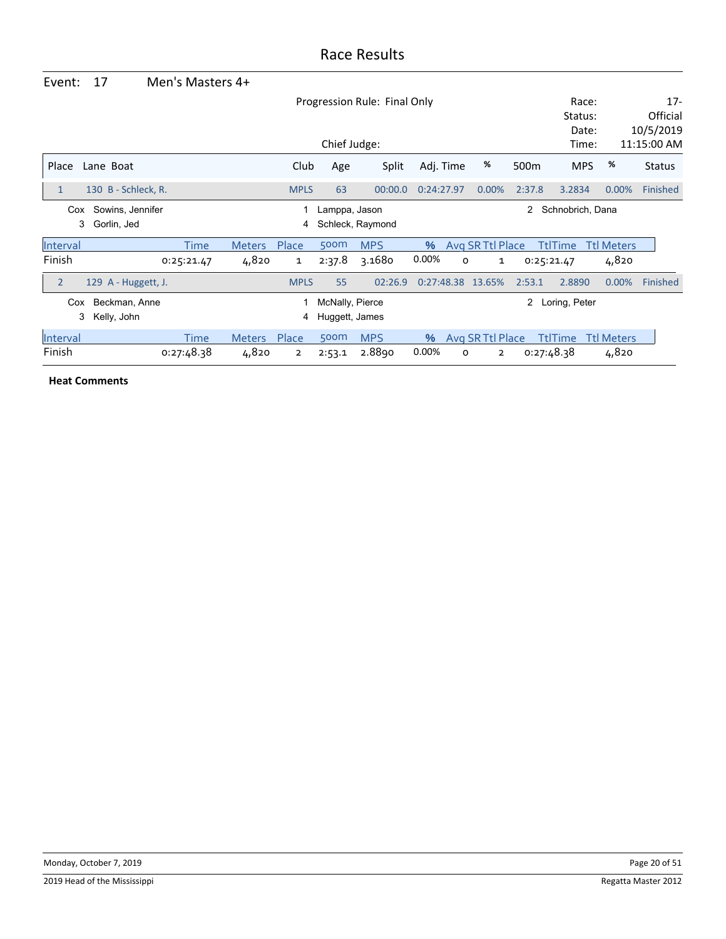| Event:         | 17                  | Men's Masters 4+ |               |                |                 |                              |            |   |                  |        |                  |                   |                          |
|----------------|---------------------|------------------|---------------|----------------|-----------------|------------------------------|------------|---|------------------|--------|------------------|-------------------|--------------------------|
|                |                     |                  |               |                |                 | Progression Rule: Final Only |            |   |                  |        | Race:<br>Status: |                   | $17 -$<br>Official       |
|                |                     |                  |               |                | Chief Judge:    |                              |            |   |                  |        | Date:<br>Time:   |                   | 10/5/2019<br>11:15:00 AM |
| Place          | Lane Boat           |                  |               | Club           | Age             | Split                        | Adj. Time  |   | %                | 500m   | <b>MPS</b>       | %                 | <b>Status</b>            |
| 1              | 130 B - Schleck, R. |                  |               | <b>MPLS</b>    | 63              | 00:00.0                      | 0:24:27.97 |   | 0.00%            | 2:37.8 | 3.2834           | 0.00%             | Finished                 |
| Cox            | Sowins, Jennifer    |                  |               |                | Lamppa, Jason   |                              |            |   |                  | 2      | Schnobrich, Dana |                   |                          |
| 3              | Gorlin, Jed         |                  |               | 4              |                 | Schleck, Raymond             |            |   |                  |        |                  |                   |                          |
| Interval       |                     | Time             | <b>Meters</b> | Place          | 500m            | <b>MPS</b>                   | $\%$       |   | Avg SR Ttl Place |        | <b>TtlTime</b>   | <b>Ttl Meters</b> |                          |
| Finish         |                     | 0:25:21.47       | 4,820         | $\mathbf{1}$   | 2:37.8          | 3.1680                       | 0.00%      | 0 | 1                |        | 0:25:21.47       | 4,820             |                          |
| $\overline{2}$ | 129 A - Huggett, J. |                  |               | <b>MPLS</b>    | 55              | 02:26.9                      | 0:27:48.38 |   | 13.65%           | 2:53.1 | 2.8890           | 0.00%             | Finished                 |
| Cox            | Beckman, Anne       |                  |               |                | McNally, Pierce |                              |            |   |                  | 2      | Loring, Peter    |                   |                          |
| 3              | Kelly, John         |                  |               | 4              | Huggett, James  |                              |            |   |                  |        |                  |                   |                          |
| Interval       |                     | Time             | <b>Meters</b> | Place          | 500m            | <b>MPS</b>                   | $\%$       |   | Avg SR Ttl Place |        | <b>TtlTime</b>   | <b>Ttl Meters</b> |                          |
| Finish         |                     | 0:27:48.38       | 4,820         | $\overline{2}$ | 2:53.1          | 2.8890                       | 0.00%      | 0 | $\overline{2}$   |        | 0:27:48.38       | 4,820             |                          |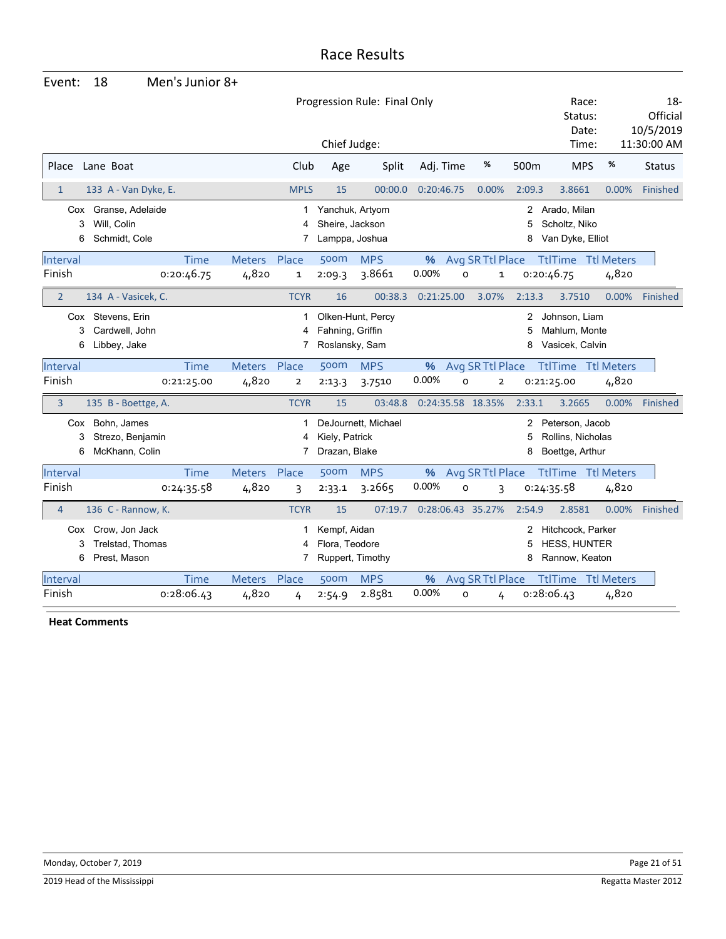| Event:             | 18                                                               | Men's Junior 8+           |                       |                |                                                      |                              |               |                                        |                        |                                                            |                   |                                 |
|--------------------|------------------------------------------------------------------|---------------------------|-----------------------|----------------|------------------------------------------------------|------------------------------|---------------|----------------------------------------|------------------------|------------------------------------------------------------|-------------------|---------------------------------|
|                    |                                                                  |                           |                       |                |                                                      | Progression Rule: Final Only |               |                                        |                        | Race:<br>Status:<br>Date:                                  |                   | $18 -$<br>Official<br>10/5/2019 |
|                    |                                                                  |                           |                       |                | Chief Judge:                                         |                              |               |                                        |                        | Time:                                                      |                   | 11:30:00 AM                     |
| Place              | Lane Boat                                                        |                           |                       | Club           | Age                                                  | Split                        | Adj. Time     | %                                      | 500 <sub>m</sub>       | <b>MPS</b>                                                 | $\%$              | <b>Status</b>                   |
| $\mathbf{1}$       | 133 A - Van Dyke, E.                                             |                           |                       | <b>MPLS</b>    | 15                                                   | 00:00.0                      | 0:20:46.75    | 0.00%                                  | 2:09.3                 | 3.8661                                                     | 0.00%             | Finished                        |
| Cox                | Granse, Adelaide<br>Will, Colin<br>3<br>Schmidt, Cole<br>6       |                           |                       | 1<br>7         | Yanchuk, Artyom<br>Sheire, Jackson<br>Lamppa, Joshua |                              |               |                                        | $\mathbf{2}$<br>5<br>8 | Arado, Milan<br>Scholtz, Niko<br>Van Dyke, Elliot          |                   |                                 |
| Interval<br>Finish |                                                                  | <b>Time</b><br>0:20:46.75 | Meters Place<br>4,820 | 1              | 500m<br>2:09.3                                       | <b>MPS</b><br>3.8661         | 0.00%         | % Avg SR Ttl Place<br>O<br>$\mathbf 1$ |                        | <b>TtlTime Ttl Meters</b><br>0:20:46.75                    | 4,820             |                                 |
| $\overline{2}$     | 134 A - Vasicek, C.                                              |                           |                       | <b>TCYR</b>    | 16                                                   | 00:38.3                      | 0:21:25.00    | 3.07%                                  | 2:13.3                 | 3.7510                                                     | 0.00%             | Finished                        |
| Cox                | Stevens, Erin<br>Cardwell, John<br>3<br>Libbey, Jake<br>6        |                           |                       | 1<br>4<br>7    | Fahning, Griffin<br>Roslansky, Sam                   | Olken-Hunt, Percy            |               |                                        | 2<br>5<br>8            | Johnson, Liam<br>Mahlum, Monte<br>Vasicek, Calvin          |                   |                                 |
| Interval           |                                                                  | <b>Time</b>               | Meters Place          |                | 500m                                                 | <b>MPS</b>                   | %             | Avg SR Ttl Place                       |                        | <b>TtlTime Ttl Meters</b>                                  |                   |                                 |
| Finish             |                                                                  | 0:21:25.00                | 4,820                 | $\overline{2}$ | 2:13.3                                               | 3.7510                       | 0.00%         | O<br>$\mathbf{2}$                      |                        | 0:21:25.00                                                 | 4,820             |                                 |
| $\overline{3}$     | 135 B - Boettge, A.                                              |                           |                       | <b>TCYR</b>    | 15                                                   | 03:48.8                      |               | 0:24:35.58 18.35%                      | 2:33.1                 | 3.2665                                                     | 0.00%             | Finished                        |
| Cox                | Bohn, James<br>Strezo, Benjamin<br>3<br>6<br>McKhann, Colin      |                           |                       | 1<br>7         | Kiely, Patrick<br>Drazan, Blake                      | DeJournett, Michael          |               |                                        | 2<br>8                 | Peterson, Jacob<br>Rollins, Nicholas<br>Boettge, Arthur    |                   |                                 |
| Interval           |                                                                  | <b>Time</b>               | Meters Place          |                | 500m                                                 | <b>MPS</b>                   | %             | Avg SR Ttl Place                       |                        | <b>TtlTime</b> Ttl Meters                                  |                   |                                 |
| Finish             |                                                                  | 0:24:35.58                | 4,820                 | 3              | 2:33.1                                               | 3.2665                       | 0.00%         | O<br>3                                 |                        | 0:24:35.58                                                 | 4,820             |                                 |
| $\overline{4}$     | 136 C - Rannow, K.                                               |                           |                       | <b>TCYR</b>    | 15                                                   | 07:19.7                      |               | 0:28:06.43 35.27%                      | 2:54.9                 | 2.8581                                                     | 0.00%             | Finished                        |
|                    | Cox Crow, Jon Jack<br>Trelstad, Thomas<br>3<br>Prest, Mason<br>6 |                           |                       | 1<br>7         | Kempf, Aidan<br>Flora, Teodore                       | Ruppert, Timothy             |               |                                        | 2<br>5<br>8            | Hitchcock, Parker<br><b>HESS, HUNTER</b><br>Rannow, Keaton |                   |                                 |
| Interval           |                                                                  | <b>Time</b>               | <b>Meters</b>         | Place          | 500m                                                 | <b>MPS</b>                   | $\frac{9}{6}$ | Avg SR Ttl Place                       |                        | <b>TtlTime</b>                                             | <b>Ttl Meters</b> |                                 |
| Finish             |                                                                  | 0:28:06.43                | 4,820                 | 4              | 2:54.9                                               | 2.8581                       | 0.00%         | O<br>4                                 |                        | 0:28:06.43                                                 | 4,820             |                                 |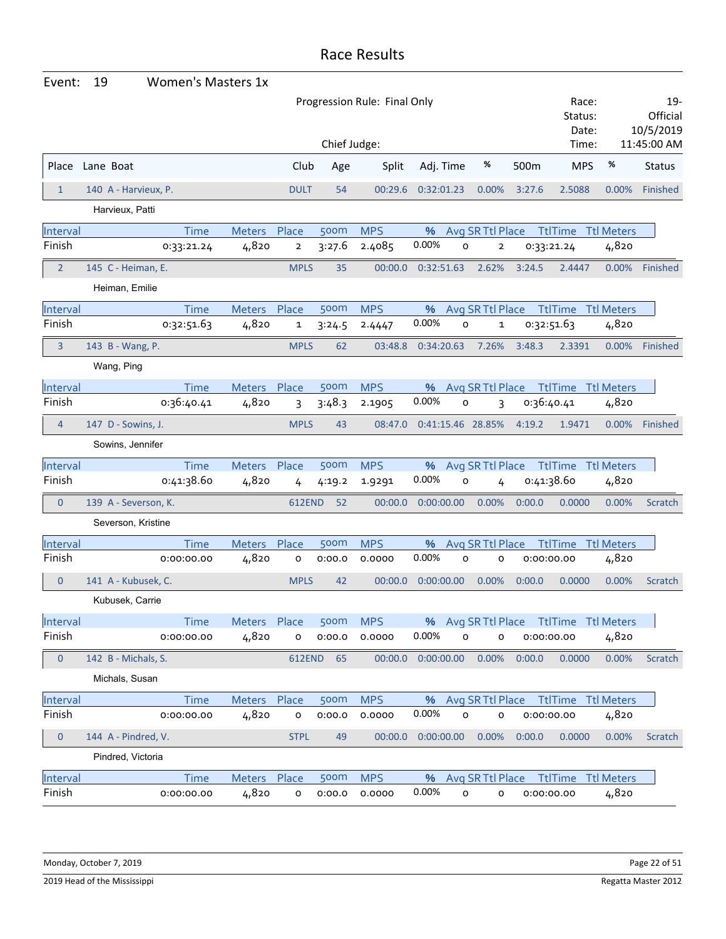| Event:           | 19<br><b>Women's Masters 1x</b> |               |                         |              |                              |                   |                              |                                        |                           |                   |                              |
|------------------|---------------------------------|---------------|-------------------------|--------------|------------------------------|-------------------|------------------------------|----------------------------------------|---------------------------|-------------------|------------------------------|
|                  |                                 |               |                         |              | Progression Rule: Final Only |                   |                              |                                        | Race:<br>Status:<br>Date: |                   | 19-<br>Official<br>10/5/2019 |
|                  |                                 |               |                         | Chief Judge: |                              |                   |                              |                                        | Time:                     |                   | 11:45:00 AM                  |
|                  | Place Lane Boat                 |               | Club                    | Age          | Split                        | Adj. Time         | %                            | 500 <sub>m</sub>                       | <b>MPS</b>                | %                 | <b>Status</b>                |
| $\mathbf{1}$     | 140 A - Harvieux, P.            |               | <b>DULT</b>             | 54           | 00:29.6                      | 0:32:01.23        | 0.00%                        | 3:27.6                                 | 2.5088                    | 0.00%             | Finished                     |
|                  | Harvieux, Patti                 |               |                         |              |                              |                   |                              |                                        |                           |                   |                              |
| Interval         | <b>Time</b>                     | Meters        | Place                   | 500m         | <b>MPS</b>                   | %                 | Avg SR Ttl Place             |                                        | <b>TtlTime Ttl Meters</b> |                   |                              |
| Finish           | 0:33:21.24                      | 4,820         | $\overline{\mathbf{2}}$ | 3:27.6       | 2.4085                       | 0.00%             | O<br>$\overline{\mathbf{2}}$ | 0:33:21.24                             |                           | 4,820             |                              |
| $\overline{2}$   | 145 C - Heiman, E.              |               | <b>MPLS</b>             | 35           | 00:00.0                      | 0:32:51.63        | 2.62%                        | 3:24.5                                 | 2.4447                    | $0.00\%$          | Finished                     |
|                  | Heiman, Emilie                  |               |                         |              |                              |                   |                              |                                        |                           |                   |                              |
| Interval         | <b>Time</b>                     | Meters Place  |                         | 500m         | <b>MPS</b>                   | %                 | Avg SR Ttl Place             |                                        | <b>TtlTime</b> Ttl Meters |                   |                              |
| Finish           | 0:32:51.63                      | 4,820         | $\mathbf{1}$            | 3:24.5       | 2.4447                       | 0.00%             | O<br>1                       | 0:32:51.63                             |                           | 4,820             |                              |
| 3                | 143 B - Wang, P.                |               | <b>MPLS</b>             | 62           | 03:48.8                      | 0:34:20.63        | 7.26%                        | 3:48.3                                 | 2.3391                    | 0.00%             | Finished                     |
|                  | Wang, Ping                      |               |                         |              |                              |                   |                              |                                        |                           |                   |                              |
| Interval         | <b>Time</b>                     | Meters Place  |                         | 500m         | <b>MPS</b>                   | %                 |                              | Avg SR Ttl Place Ttl Time Ttl Meters   |                           |                   |                              |
| Finish           | 0:36:40.41                      | 4,820         | 3                       | 3:48.3       | 2.1905                       | 0.00%             | 0<br>3                       | 0:36:40.41                             |                           | 4,820             |                              |
| $\overline{4}$   | 147 D - Sowins, J.              |               | <b>MPLS</b>             | 43           | 08:47.0                      | 0:41:15.46 28.85% |                              | 4:19.2                                 | 1.9471                    | 0.00%             | Finished                     |
|                  | Sowins, Jennifer                |               |                         |              |                              |                   |                              |                                        |                           |                   |                              |
| Interval         | <b>Time</b>                     | Meters Place  |                         | 500m         | <b>MPS</b>                   | %                 | Avg SR Ttl Place             |                                        | <b>TtlTime Ttl Meters</b> |                   |                              |
| Finish           | 0:41:38.60                      | 4,820         | 4                       | 4:19.2       | 1.9291                       | 0.00%             | O<br>4                       | 0:41:38.60                             |                           | 4,820             |                              |
| $\mathbf{0}$     | 139 A - Severson, K.            |               | 612END                  | -52          | 00:00.0                      | 0:00:00.00        | 0.00%                        | 0:00.0                                 | 0.0000                    | 0.00%             | Scratch                      |
|                  | Severson, Kristine              |               |                         |              |                              |                   |                              |                                        |                           |                   |                              |
| Interval         | <b>Time</b>                     | <b>Meters</b> | Place                   | 500m         | <b>MPS</b>                   | %                 | Avg SR Ttl Place             |                                        | <b>TtlTime</b>            | <b>Ttl Meters</b> |                              |
| Finish           | 0:00:00.00                      | 4,820         | o                       | 0:00.0       | 0.0000                       | 0.00%             | $\circ$<br>o                 | 0:00:00.00                             |                           | 4,820             |                              |
| $\boldsymbol{0}$ | 141 A - Kubusek, C.             |               | <b>MPLS</b>             | 42           | 00:00.0                      | 0:00:00.00        | 0.00%                        | 0:00.0                                 | 0.0000                    | 0.00%             | Scratch                      |
|                  | Kubusek, Carrie                 |               |                         |              |                              |                   |                              |                                        |                           |                   |                              |
| Interval         | Time                            | Meters Place  |                         | 500m         | <b>MPS</b>                   |                   |                              | % Avg SR Ttl Place Ttl Time Ttl Meters |                           |                   |                              |
| Finish           | 0:00:00.00                      | 4,820         | $\mathsf{o}\xspace$     | 0:00.0       | 0.0000                       | 0.00%             | 0<br>o                       | 0:00:00.00                             |                           | 4,820             |                              |
| $\mathbf 0$      | 142 B - Michals, S.             |               |                         | 612END 65    | 00:00.0                      | 0:00:00.00        | 0.00%                        | 0:00.0                                 | 0.0000                    | 0.00%             | Scratch                      |
|                  | Michals, Susan                  |               |                         |              |                              |                   |                              |                                        |                           |                   |                              |
| Interval         | <b>Time</b>                     | Meters        | Place                   | 500m         | <b>MPS</b>                   | %                 | Avg SR Ttl Place             |                                        | <b>TtlTime Ttl Meters</b> |                   |                              |
| Finish           | 0:00:00.00                      | 4,820         | o                       | 0:00.0       | 0.0000                       | 0.00%             | $\mathsf{o}$<br>0            | 0:00:00.00                             |                           | 4,820             |                              |
| $\pmb{0}$        | 144 A - Pindred, V.             |               | <b>STPL</b>             | 49           | 00:00.0                      | 0:00:00.00        | 0.00%                        | 0:00.0                                 | 0.0000                    | 0.00%             | Scratch                      |
|                  | Pindred, Victoria               |               |                         |              |                              |                   |                              |                                        |                           |                   |                              |
| Interval         | Time                            | Meters Place  |                         | 500m         | <b>MPS</b>                   | %                 | Avg SR Ttl Place             |                                        | <b>TtlTime</b> Ttl Meters |                   |                              |
| Finish           | 0:00:00.00                      | 4,820         | o                       | 0:00.0       | 0.0000                       | 0.00%             | 0<br>o                       | 0:00:00.00                             |                           | 4,820             |                              |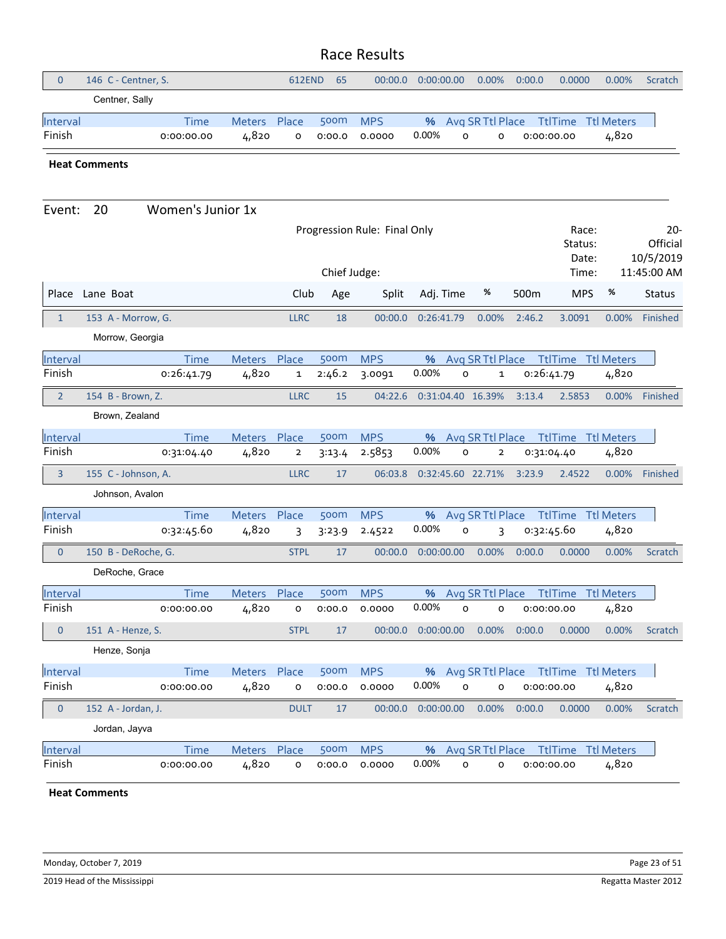| $\mathbf 0$        | 146 C - Centner, S.                   |                           |                        | 612END                | 65             | 00:00.0                      | 0:00:00.00 | 0.00%                                            | 0:00.0     | 0.0000                    | 0.00%             | Scratch                         |
|--------------------|---------------------------------------|---------------------------|------------------------|-----------------------|----------------|------------------------------|------------|--------------------------------------------------|------------|---------------------------|-------------------|---------------------------------|
|                    | Centner, Sally                        |                           |                        |                       |                |                              |            |                                                  |            |                           |                   |                                 |
| Interval<br>Finish |                                       | <b>Time</b><br>0:00:00.00 | Meters<br>4,820        | Place<br>o            | 500m<br>0:00.0 | <b>MPS</b><br>0.0000         | %<br>0.00% | Avg SR Ttl Place<br>$\circ$<br>o                 | 0:00:00.00 | <b>TtlTime Ttl Meters</b> | 4,820             |                                 |
|                    | <b>Heat Comments</b>                  |                           |                        |                       |                |                              |            |                                                  |            |                           |                   |                                 |
| Event:             | 20                                    | Women's Junior 1x         |                        |                       |                |                              |            |                                                  |            |                           |                   |                                 |
|                    |                                       |                           |                        |                       |                | Progression Rule: Final Only |            |                                                  |            | Race:<br>Status:<br>Date: |                   | $20 -$<br>Official<br>10/5/2019 |
|                    |                                       |                           |                        |                       | Chief Judge:   |                              |            |                                                  |            | Time:                     |                   | 11:45:00 AM                     |
| Place              | Lane Boat                             |                           |                        | Club                  | Age            | Split                        | Adj. Time  | %                                                | 500m       | <b>MPS</b>                | %                 | <b>Status</b>                   |
| $\mathbf{1}$       | 153 A - Morrow, G.<br>Morrow, Georgia |                           |                        | <b>LLRC</b>           | 18             | 00:00.0                      | 0:26:41.79 | 0.00%                                            | 2:46.2     | 3.0091                    | 0.00%             | Finished                        |
| Interval           |                                       | <b>Time</b>               | <b>Meters</b>          | Place                 | 500m           | <b>MPS</b>                   | %          | Avg SR Ttl Place                                 |            | <b>TtlTime</b>            | <b>Ttl Meters</b> |                                 |
| Finish             |                                       | 0:26:41.79                | 4,820                  | $\mathbf{1}$          | 2:46.2         | 3.0091                       | 0.00%      | O<br>$\mathbf 1$                                 | 0:26:41.79 |                           | 4,820             |                                 |
| $\overline{2}$     | 154 B - Brown, Z.                     |                           |                        | <b>LLRC</b>           | 15             | 04:22.6                      |            | 0:31:04.40 16.39%                                | 3:13.4     | 2.5853                    | 0.00%             | Finished                        |
|                    | Brown, Zealand                        |                           |                        |                       |                |                              |            |                                                  |            |                           |                   |                                 |
| Interval<br>Finish |                                       | <b>Time</b><br>0:31:04.40 | <b>Meters</b><br>4,820 | Place<br>$\mathbf{2}$ | 500m<br>3:13.4 | <b>MPS</b><br>2.5853         | %<br>0.00% | Avg SR Ttl Place<br>o<br>$\overline{\mathbf{2}}$ | 0:31:04.40 | <b>TtlTime Ttl Meters</b> | 4,820             |                                 |
| 3                  | 155 C - Johnson, A.                   |                           |                        | <b>LLRC</b>           | 17             | 06:03.8                      |            | 0:32:45.60 22.71%                                | 3:23.9     | 2.4522                    | 0.00%             | Finished                        |
|                    | Johnson, Avalon                       |                           |                        |                       |                |                              |            |                                                  |            |                           |                   |                                 |
| Interval           |                                       | <b>Time</b>               | <b>Meters</b>          | Place                 | 500m           | <b>MPS</b>                   | %          | Avg SR Ttl Place                                 |            | <b>TtlTime</b>            | Ttl Meters        |                                 |
| Finish             |                                       | 0:32:45.60                | 4,820                  | 3                     | 3:23.9         | 2.4522                       | 0.00%      | 0<br>3                                           | 0:32:45.60 |                           | 4,820             |                                 |
| $\mathbf 0$        | 150 B - DeRoche, G.                   |                           |                        | <b>STPL</b>           | 17             | 00:00.0                      | 0:00:00.00 | 0.00%                                            | 0:00.0     | 0.0000                    | 0.00%             | Scratch                         |
|                    | DeRoche, Grace                        |                           |                        |                       |                |                              |            |                                                  |            |                           |                   |                                 |
| Interval           |                                       | <b>Time</b>               | <b>Meters</b>          | Place                 | 500m           | <b>MPS</b>                   | %          | Avg SR Ttl Place                                 |            | <b>TtlTime</b>            | Ttl Meters        |                                 |
| Finish             |                                       | 0:00:00.00                | 4,820                  | o                     | 0:00.0         | 0.0000                       | 0.00%      | o<br>o                                           | 0:00:00.00 |                           | 4,820             |                                 |
| $\pmb{0}$          | 151 A - Henze, S.                     |                           |                        | <b>STPL</b>           | $17$           | 00:00.0                      | 0:00:00.00 | 0.00%                                            | 0:00.0     | 0.0000                    | 0.00%             | Scratch                         |
|                    | Henze, Sonja                          |                           |                        |                       |                |                              |            |                                                  |            |                           |                   |                                 |
| Interval           |                                       | <b>Time</b>               | Meters Place           |                       | 500m           | <b>MPS</b>                   | %          | Avg SR Ttl Place                                 |            | <b>TtlTime Ttl Meters</b> |                   |                                 |
| Finish             |                                       | 0:00:00.00                | 4,820                  | o                     | 0:00.0         | 0.0000                       | 0.00%      | $\circ$<br>0                                     | 0:00:00.00 |                           | 4,820             |                                 |
| $\theta$           | 152 A - Jordan, J.<br>Jordan, Jayva   |                           |                        | <b>DULT</b>           | 17             | 00:00.0                      | 0:00:00.00 | 0.00%                                            | 0:00.0     | 0.0000                    | 0.00%             | Scratch                         |
| Interval           |                                       | <b>Time</b>               | <b>Meters</b>          | Place                 | 500m           | <b>MPS</b>                   | %          | Avg SR Ttl Place                                 |            | <b>TtlTime</b>            | <b>Ttl Meters</b> |                                 |
| Finish             |                                       | 0:00:00.00                | 4,820                  | o                     | 0:00.0         | 0.0000                       | 0.00%      | $\circ$<br>o                                     | 0:00:00.00 |                           | 4,820             |                                 |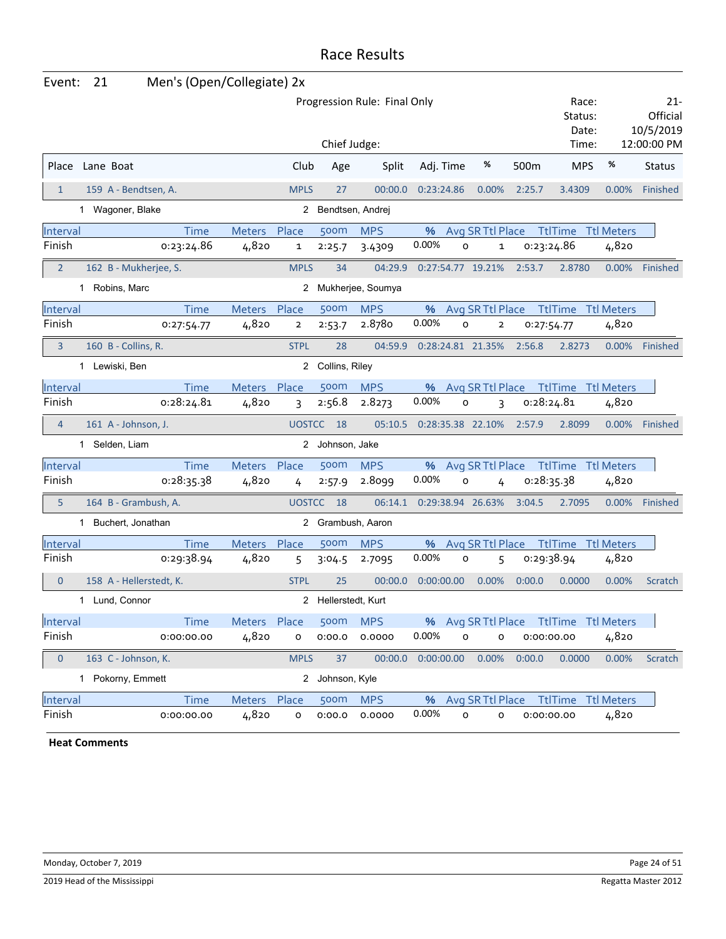| Event:         | 21                      | Men's (Open/Collegiate) 2x |               |                |                     |                              |            |              |                   |                  |                                        |                   |                              |
|----------------|-------------------------|----------------------------|---------------|----------------|---------------------|------------------------------|------------|--------------|-------------------|------------------|----------------------------------------|-------------------|------------------------------|
|                |                         |                            |               |                |                     | Progression Rule: Final Only |            |              |                   |                  | Race:<br>Status:<br>Date:              |                   | 21-<br>Official<br>10/5/2019 |
|                |                         |                            |               |                | Chief Judge:        |                              |            |              |                   |                  | Time:                                  |                   | 12:00:00 PM                  |
|                | Place Lane Boat         |                            |               | Club           | Age                 | Split                        | Adj. Time  |              | %                 | 500 <sub>m</sub> | <b>MPS</b>                             | %                 | <b>Status</b>                |
| $\mathbf{1}$   | 159 A - Bendtsen, A.    |                            |               | <b>MPLS</b>    | 27                  | 00:00.0                      | 0:23:24.86 |              | 0.00%             | 2:25.7           | 3.4309                                 | 0.00%             | Finished                     |
|                | 1 Wagoner, Blake        |                            |               |                | 2 Bendtsen, Andrej  |                              |            |              |                   |                  |                                        |                   |                              |
| Interval       |                         | <b>Time</b>                | Meters        | Place          | 500m                | <b>MPS</b>                   | %          |              | Avg SR Ttl Place  |                  | <b>TtlTime</b>                         | <b>Ttl Meters</b> |                              |
| Finish         |                         | 0:23:24.86                 | 4,820         | 1              | 2:25.7              | 3.4309                       | 0.00%      | O            | 1                 |                  | 0:23:24.86                             | 4,820             |                              |
| $\overline{2}$ | 162 B - Mukherjee, S.   |                            |               | <b>MPLS</b>    | 34                  | 04:29.9                      |            |              | 0:27:54.77 19.21% | 2:53.7           | 2.8780                                 | $0.00\%$          | Finished                     |
|                | 1 Robins, Marc          |                            |               |                |                     | 2 Mukherjee, Soumya          |            |              |                   |                  |                                        |                   |                              |
| Interval       |                         | <b>Time</b>                | Meters        | Place          | 500m                | <b>MPS</b>                   | %          |              | Avg SR Ttl Place  |                  | <b>TtlTime</b> Ttl Meters              |                   |                              |
| Finish         |                         | 0:27:54.77                 | 4,820         | $\overline{2}$ | 2:53.7              | 2.8780                       | 0.00%      | O            | $\overline{2}$    |                  | 0:27:54.77                             | 4,820             |                              |
| 3              | 160 B - Collins, R.     |                            |               | <b>STPL</b>    | 28                  | 04:59.9                      |            |              | 0:28:24.81 21.35% | 2:56.8           | 2.8273                                 | $0.00\%$          | Finished                     |
|                | 1 Lewiski, Ben          |                            |               |                | 2 Collins, Riley    |                              |            |              |                   |                  |                                        |                   |                              |
| Interval       |                         | <b>Time</b>                | Meters Place  |                | 500m                | <b>MPS</b>                   | %          |              |                   |                  | Avg SR Ttl Place Ttl Time Ttl Meters   |                   |                              |
| Finish         |                         | 0:28:24.81                 | 4,820         | 3              | 2:56.8              | 2.8273                       | 0.00%      | O            | 3                 |                  | 0:28:24.81                             | 4,820             |                              |
| $\overline{4}$ | 161 A - Johnson, J.     |                            |               | <b>UOSTCC</b>  | 18                  | 05:10.5                      |            |              | 0:28:35.38 22.10% | 2:57.9           | 2.8099                                 | 0.00%             | Finished                     |
|                | 1 Selden, Liam          |                            |               |                | 2 Johnson, Jake     |                              |            |              |                   |                  |                                        |                   |                              |
| Interval       |                         | <b>Time</b>                | <b>Meters</b> | Place          | 500m                | <b>MPS</b>                   | %          |              | Avg SR Ttl Place  |                  | TtlTime Ttl Meters                     |                   |                              |
| Finish         |                         | 0:28:35.38                 | 4,820         | 4              | 2:57.9              | 2.8099                       | 0.00%      | O            | 4                 |                  | 0:28:35.38                             | 4,820             |                              |
| 5              | 164 B - Grambush, A.    |                            |               | <b>UOSTCC</b>  | 18                  | 06:14.1                      |            |              | 0:29:38.94 26.63% | 3:04.5           | 2.7095                                 | 0.00%             | Finished                     |
|                | 1 Buchert, Jonathan     |                            |               |                |                     | 2 Grambush, Aaron            |            |              |                   |                  |                                        |                   |                              |
| Interval       |                         | <b>Time</b>                | <b>Meters</b> | Place          | 500m                | <b>MPS</b>                   | %          |              | Avg SR Ttl Place  |                  | TtlTime                                | <b>Ttl Meters</b> |                              |
| Finish         |                         | 0:29:38.94                 | 4,820         | 5              | 3:04.5              | 2.7095                       | 0.00%      | o            | 5                 |                  | 0:29:38.94                             | 4,820             |                              |
| $\mathbf{0}$   | 158 A - Hellerstedt, K. |                            |               | <b>STPL</b>    | 25                  | 00:00.0                      | 0:00:00.00 |              | 0.00%             | 0:00.0           | 0.0000                                 | 0.00%             | Scratch                      |
|                | 1 Lund. Connor          |                            |               |                | 2 Hellerstedt, Kurt |                              |            |              |                   |                  |                                        |                   |                              |
| Interval       |                         | Time                       | Meters Place  |                | 500m                | <b>MPS</b>                   |            |              |                   |                  | % Avg SR Ttl Place Ttl Time Ttl Meters |                   |                              |
| Finish         |                         | 0:00:00.00                 | 4,820         | O              | 0:00.0              | 0.0000                       | 0.00%      | $\mathsf{o}$ | o                 |                  | 0:00:00.00                             | 4,820             |                              |
| $\mathbf 0$    | 163 C - Johnson, K.     |                            |               | <b>MPLS</b>    | 37                  | 00:00.0                      | 0:00:00.00 |              | 0.00%             | 0:00.0           | 0.0000                                 | 0.00%             | Scratch                      |
|                | 1 Pokorny, Emmett       |                            |               |                | 2 Johnson, Kyle     |                              |            |              |                   |                  |                                        |                   |                              |
| Interval       |                         | <b>Time</b>                | Meters        | Place          | 500m                | <b>MPS</b>                   | %          |              | Avg SR Ttl Place  |                  | <b>TtlTime</b> Ttl Meters              |                   |                              |
| Finish         |                         | 0:00:00.00                 | 4,820         | o              | 0:00.0              | 0.0000                       | 0.00%      | $\circ$      | o                 |                  | 0:00:00.00                             | 4,820             |                              |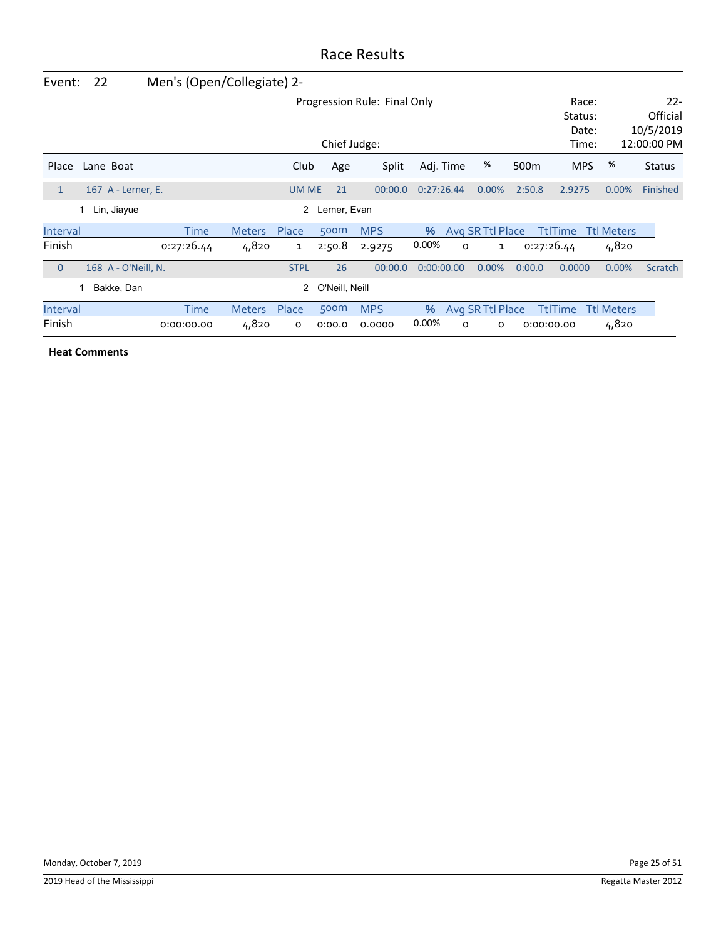| Event:         | 22                  | Men's (Open/Collegiate) 2- |               |              |                |                              |            |   |                  |                  |                                    |            |                                                |
|----------------|---------------------|----------------------------|---------------|--------------|----------------|------------------------------|------------|---|------------------|------------------|------------------------------------|------------|------------------------------------------------|
|                |                     |                            |               |              | Chief Judge:   | Progression Rule: Final Only |            |   |                  |                  | Race:<br>Status:<br>Date:<br>Time: |            | $22 -$<br>Official<br>10/5/2019<br>12:00:00 PM |
| Place          | Lane Boat           |                            |               | Club         | Age            | Split                        | Adj. Time  |   | %                | 500 <sub>m</sub> | <b>MPS</b>                         | %          | <b>Status</b>                                  |
| $\mathbf{1}$   | 167 A - Lerner, E.  |                            |               | <b>UM ME</b> | 21             | 00:00.0                      | 0:27:26.44 |   | 0.00%            | 2:50.8           | 2.9275                             | 0.00%      | Finished                                       |
|                | Lin, Jiayue         |                            |               | 2            | Lerner, Evan   |                              |            |   |                  |                  |                                    |            |                                                |
| Interval       |                     | Time                       | <b>Meters</b> | Place        | 500m           | <b>MPS</b>                   | %          |   | Avg SR Ttl Place |                  | <b>TtlTime</b>                     | Ttl Meters |                                                |
| Finish         |                     | 0:27:26.44                 | 4,820         | 1            | 2:50.8         | 2.9275                       | $0.00\%$   | 0 | 1                |                  | 0:27:26.44                         | 4,820      |                                                |
| $\overline{0}$ | 168 A - O'Neill, N. |                            |               | <b>STPL</b>  | 26             | 00:00.0                      | 0:00:00.00 |   | 0.00%            | 0:00.0           | 0.0000                             | 0.00%      | Scratch                                        |
|                | Bakke, Dan          |                            |               | 2            | O'Neill, Neill |                              |            |   |                  |                  |                                    |            |                                                |
| Interval       |                     | Time                       | <b>Meters</b> | Place        | 500m           | <b>MPS</b>                   | $\%$       |   | Avg SR Ttl Place |                  | <b>TtlTime</b>                     | Ttl Meters |                                                |
| Finish         |                     | 0:00:00.00                 | 4,820         | o            | 0:00.0         | 0.0000                       | 0.00%      | O | 0                |                  | 0:00:00.00                         | 4,820      |                                                |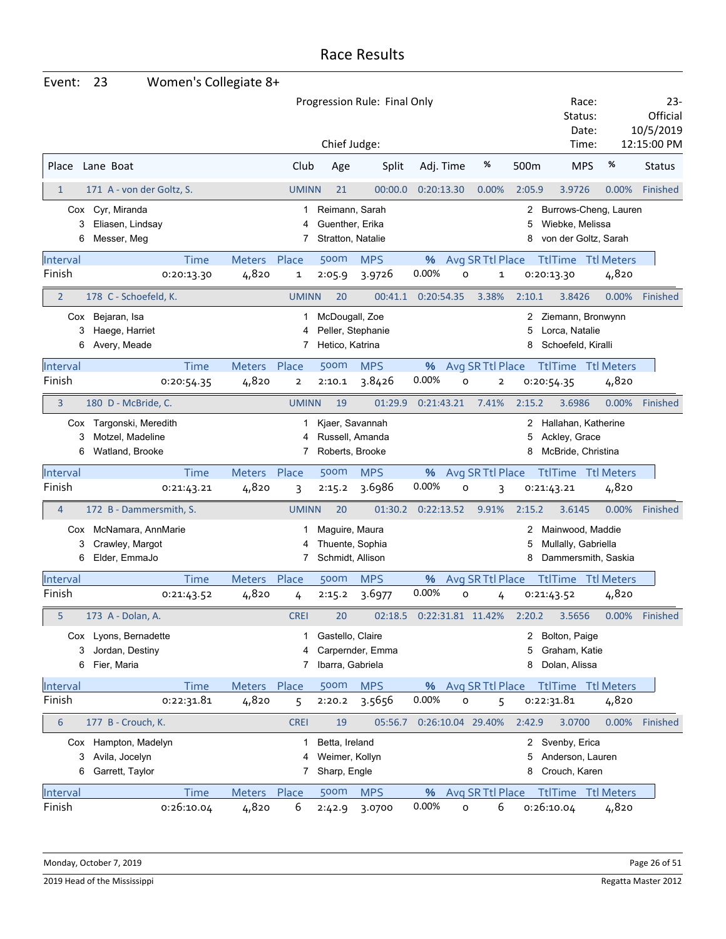| Event:           | 23                                                  | Women's Collegiate 8+ |               |                |                                                        |                              |            |                    |                         |             |                                                                  |                   |       |                                               |
|------------------|-----------------------------------------------------|-----------------------|---------------|----------------|--------------------------------------------------------|------------------------------|------------|--------------------|-------------------------|-------------|------------------------------------------------------------------|-------------------|-------|-----------------------------------------------|
|                  |                                                     |                       |               |                | Chief Judge:                                           | Progression Rule: Final Only |            |                    |                         |             | Status:<br>Time:                                                 | Race:<br>Date:    |       | $23-$<br>Official<br>10/5/2019<br>12:15:00 PM |
| Place            | Lane Boat                                           |                       |               | Club           | Age                                                    | Split                        | Adj. Time  |                    | %                       | 500m        | <b>MPS</b>                                                       | %                 |       | <b>Status</b>                                 |
| $\mathbf{1}$     | 171 A - von der Goltz, S.                           |                       |               | <b>UMINN</b>   | 21                                                     | 00:00.0                      | 0:20:13.30 |                    | 0.00%                   | 2:05.9      | 3.9726                                                           |                   | 0.00% | Finished                                      |
| 3<br>6           | Cox Cyr, Miranda<br>Eliasen, Lindsay<br>Messer, Meg |                       |               | 1<br>7         | Reimann, Sarah<br>Guenther, Erika<br>Stratton, Natalie |                              |            |                    |                         | 2<br>5<br>8 | Burrows-Cheng, Lauren<br>Wiebke, Melissa<br>von der Goltz, Sarah |                   |       |                                               |
| Interval         |                                                     | <b>Time</b>           | Meters Place  |                | 500m                                                   | <b>MPS</b>                   |            | % Avg SR Ttl Place |                         |             | <b>TtlTime Ttl Meters</b>                                        |                   |       |                                               |
| Finish           |                                                     | 0:20:13.30            | 4,820         | 1              | 2:05.9                                                 | 3.9726                       | 0.00%      | $\circ$            | $\mathbf 1$             |             | 0:20:13.30                                                       |                   | 4,820 |                                               |
| $\overline{2}$   | 178 C - Schoefeld, K.                               |                       |               | <b>UMINN</b>   | 20                                                     | 00:41.1                      | 0:20:54.35 |                    | 3.38%                   | 2:10.1      | 3.8426                                                           |                   | 0.00% | Finished                                      |
|                  | Cox Bejaran, Isa                                    |                       |               | 1              | McDougall, Zoe                                         |                              |            |                    |                         | 2           | Ziemann, Bronwynn                                                |                   |       |                                               |
| 3                | Haege, Harriet                                      |                       |               | 4              |                                                        | Peller, Stephanie            |            |                    |                         | 5           | Lorca, Natalie                                                   |                   |       |                                               |
| 6                | Avery, Meade                                        |                       |               | 7              | Hetico, Katrina                                        |                              |            |                    |                         | 8           | Schoefeld, Kiralli                                               |                   |       |                                               |
| Interval         |                                                     | <b>Time</b>           | Meters Place  |                | <b>500m</b>                                            | <b>MPS</b>                   | %          | Avg SR Ttl Place   |                         |             | <b>TtlTime Ttl Meters</b>                                        |                   |       |                                               |
| Finish           |                                                     | 0:20:54.35            | 4,820         | $\overline{2}$ | 2:10.1                                                 | 3.8426                       | 0.00%      | O                  | $\overline{\mathbf{2}}$ |             | 0:20:54.35                                                       |                   | 4,820 |                                               |
| 3                | 180 D - McBride, C.                                 |                       |               | <b>UMINN</b>   | 19                                                     | 01:29.9                      | 0:21:43.21 |                    | 7.41%                   | 2:15.2      | 3.6986                                                           |                   | 0.00% | Finished                                      |
|                  | Cox Targonski, Meredith                             |                       |               | 1              | Kjaer, Savannah                                        |                              |            |                    |                         | 2           | Hallahan, Katherine                                              |                   |       |                                               |
| 3                | Motzel, Madeline                                    |                       |               | 4              |                                                        | Russell, Amanda              |            |                    |                         | 5           | Ackley, Grace                                                    |                   |       |                                               |
| 6                | Watland, Brooke                                     |                       |               | 7              | Roberts, Brooke                                        |                              |            |                    |                         | 8           | McBride, Christina                                               |                   |       |                                               |
| Interval         |                                                     | <b>Time</b>           | Meters Place  |                | 500m                                                   | <b>MPS</b>                   |            | % Avg SR Ttl Place |                         |             | <b>TtlTime Ttl Meters</b>                                        |                   |       |                                               |
| Finish           |                                                     | 0:21:43.21            | 4,820         | 3              | 2:15.2                                                 | 3.6986                       | 0.00%      | o                  | 3                       |             | 0:21:43.21                                                       |                   | 4,820 |                                               |
| $\overline{4}$   | 172 B - Dammersmith, S.                             |                       |               | <b>UMINN</b>   | 20                                                     | 01:30.2                      | 0:22:13.52 |                    | 9.91%                   | 2:15.2      | 3.6145                                                           |                   | 0.00% | Finished                                      |
|                  | Cox McNamara, AnnMarie                              |                       |               |                | Maguire, Maura                                         |                              |            |                    |                         | 2           | Mainwood, Maddie                                                 |                   |       |                                               |
| 3                | Crawley, Margot                                     |                       |               | 4              | Thuente, Sophia                                        |                              |            |                    |                         | 5           | Mullally, Gabriella                                              |                   |       |                                               |
| 6                | Elder, EmmaJo                                       |                       |               | 7              | Schmidt, Allison                                       |                              |            |                    |                         | 8           | Dammersmith, Saskia                                              |                   |       |                                               |
| Interval         |                                                     | Time                  | <b>Meters</b> | Place          | 500m                                                   | <b>MPS</b>                   | %          | Avg SR Ttl Place   |                         |             | <b>TtlTime</b>                                                   | <b>Ttl Meters</b> |       |                                               |
| Finish           |                                                     | 0:21:43.52            | 4,820         | 4              | 2:15.2                                                 | 3.6977                       | 0.00%      | 0                  | 4                       |             | 0:21:43.52                                                       |                   | 4,820 |                                               |
| 5                | 173 A - Dolan, A.                                   |                       |               | <b>CREI</b>    | 20                                                     | 02:18.5                      |            | 0:22:31.81 11.42%  |                         | 2:20.2      | 3.5656                                                           |                   |       | 0.00% Finished                                |
|                  | Cox Lyons, Bernadette                               |                       |               | 1              | Gastello, Claire                                       |                              |            |                    |                         | 2           | Bolton, Paige                                                    |                   |       |                                               |
| 3                | Jordan, Destiny                                     |                       |               | 4              |                                                        | Carpernder, Emma             |            |                    |                         | 5           | Graham, Katie                                                    |                   |       |                                               |
| 6                | Fier, Maria                                         |                       |               | 7              | Ibarra, Gabriela                                       |                              |            |                    |                         | 8           | Dolan, Alissa                                                    |                   |       |                                               |
| Interval         |                                                     | <b>Time</b>           | Meters Place  |                | 500m                                                   | <b>MPS</b>                   | %          | Avg SR Ttl Place   |                         |             | <b>TtlTime Ttl Meters</b>                                        |                   |       |                                               |
| Finish           |                                                     | 0:22:31.81            | 4,820         | 5              | 2:20.2                                                 | 3.5656                       | 0.00%      | O                  | 5                       |             | 0:22:31.81                                                       |                   | 4,820 |                                               |
| $\boldsymbol{6}$ | 177 B - Crouch, K.                                  |                       |               | <b>CREI</b>    | 19                                                     | 05:56.7                      |            | 0:26:10.04 29.40%  |                         | 2:42.9      | 3.0700                                                           |                   | 0.00% | Finished                                      |
|                  | Cox Hampton, Madelyn                                |                       |               | 1              | Betta, Ireland                                         |                              |            |                    |                         | 2           | Svenby, Erica                                                    |                   |       |                                               |
| 3                | Avila, Jocelyn                                      |                       |               | 4              | Weimer, Kollyn                                         |                              |            |                    |                         | 5           | Anderson, Lauren                                                 |                   |       |                                               |
| 6                | Garrett, Taylor                                     |                       |               | 7              | Sharp, Engle                                           |                              |            |                    |                         | 8           | Crouch, Karen                                                    |                   |       |                                               |
| Interval         |                                                     | <b>Time</b>           | Meters Place  |                | 500m                                                   | <b>MPS</b>                   | %          | Avg SR Ttl Place   |                         |             | TtlTime Ttl Meters                                               |                   |       |                                               |
| Finish           |                                                     | 0:26:10.04            | 4,820         | 6              | 2:42.9                                                 | 3.0700                       | 0.00%      | 0                  | 6                       |             | 0:26:10.04                                                       |                   | 4,820 |                                               |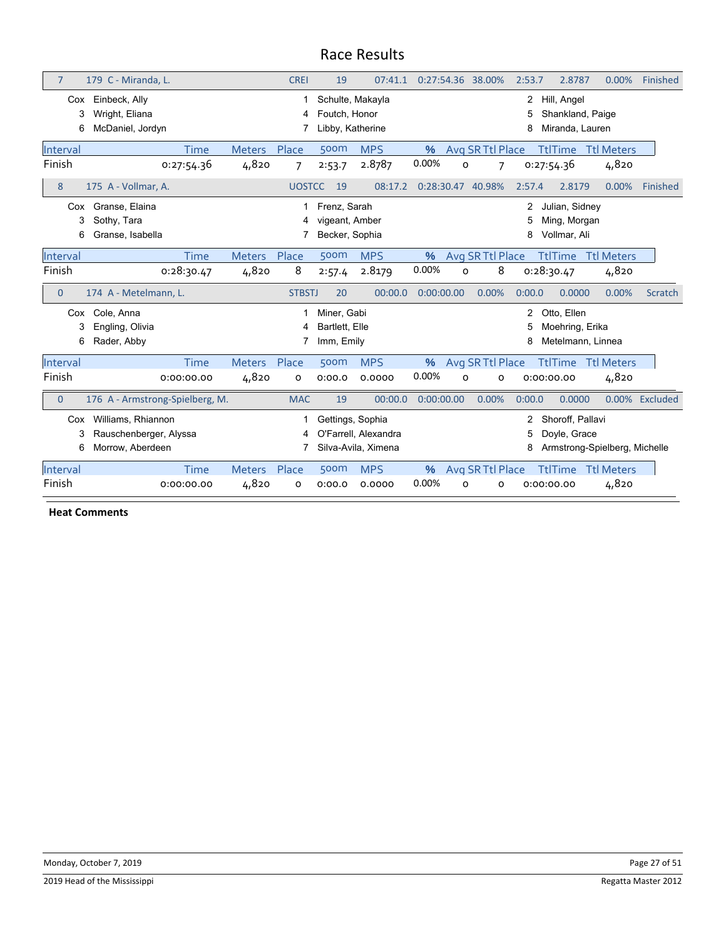| $\overline{7}$ | 179 C - Miranda, L.                                              |                        | <b>CREI</b>   | 19                                                    | 07:41.1                                     |            | 0:27:54.36 38.00% |                  | 2:53.7      | 2.8787                                              | 0.00%                         | Finished |
|----------------|------------------------------------------------------------------|------------------------|---------------|-------------------------------------------------------|---------------------------------------------|------------|-------------------|------------------|-------------|-----------------------------------------------------|-------------------------------|----------|
| Cox<br>3<br>6  | Einbeck, Ally<br>Wright, Eliana<br>McDaniel, Jordyn              |                        | 4             | Schulte, Makayla<br>Foutch. Honor<br>Libby, Katherine |                                             |            |                   |                  | 2<br>8      | Hill, Angel<br>Shankland, Paige<br>Miranda, Lauren  |                               |          |
| Interval       | Time                                                             | <b>Meters</b>          | Place         | 500m                                                  | <b>MPS</b>                                  | $\%$       |                   | Avg SR Ttl Place |             | <b>TtlTime</b>                                      | <b>Ttl Meters</b>             |          |
| Finish         | 0:27:54.36                                                       | 4,820                  | 7             | 2:53.7                                                | 2.8787                                      | 0.00%      | O                 | 7                |             | 0:27:54.36                                          | 4,820                         |          |
| 8              | 175 A - Vollmar, A.                                              |                        | <b>UOSTCC</b> | 19                                                    | 08:17.2                                     | 0:28:30.47 |                   | 40.98%           | 2:57.4      | 2.8179                                              | 0.00%                         | Finished |
| Cox<br>3<br>6  | Granse, Elaina<br>Sothy, Tara<br>Granse, Isabella                |                        | 4             | Frenz. Sarah<br>vigeant, Amber<br>Becker, Sophia      |                                             |            |                   |                  | 2<br>5<br>8 | Julian, Sidney<br>Ming, Morgan<br>Vollmar, Ali      |                               |          |
| Interval       | Time                                                             | <b>Meters</b>          | Place         | 500m                                                  | <b>MPS</b>                                  | %          |                   | Avg SR Ttl Place |             | <b>TtlTime</b>                                      | <b>Ttl Meters</b>             |          |
| Finish         | 0:28:30.47                                                       | 4,820                  | 8             | 2:57.4                                                | 2.8179                                      | 0.00%      | O                 | 8                |             | 0:28:30.47                                          | 4,820                         |          |
|                |                                                                  |                        |               |                                                       |                                             |            |                   |                  |             |                                                     |                               |          |
| $\overline{0}$ | 174 A - Metelmann, L.                                            |                        | <b>STBSTJ</b> | 20                                                    | 00:00.0                                     | 0:00:00.00 |                   | 0.00%            | 0:00.0      | 0.0000                                              | 0.00%                         | Scratch  |
| Cox<br>6       | Cole, Anna<br>Engling, Olivia<br>Rader, Abby                     |                        | 4             | Miner, Gabi<br>Bartlett. Elle<br>Imm, Emily           |                                             |            |                   |                  | 2<br>8      | Otto, Ellen<br>Moehring, Erika<br>Metelmann, Linnea |                               |          |
| Interval       | <b>Time</b>                                                      | <b>Meters</b>          | Place         | 500m                                                  | <b>MPS</b>                                  | $\%$       |                   | Avg SR Ttl Place |             | <b>TtlTime</b>                                      | <b>Ttl Meters</b>             |          |
| Finish         | 0:00:00.00                                                       | 4,820                  | o             | 0:00.0                                                | 0.0000                                      | 0.00%      | O                 | $\circ$          |             | 0:00:00.00                                          | 4,820                         |          |
| $\mathbf{0}$   | 176 A - Armstrong-Spielberg, M.                                  |                        | <b>MAC</b>    | 19                                                    | 00:00.0                                     | 0:00:00.00 |                   | 0.00%            | 0:00.0      | 0.0000                                              | $0.00\%$                      | Excluded |
| Cox<br>3<br>6  | Williams, Rhiannon<br>Rauschenberger, Alyssa<br>Morrow, Aberdeen |                        | 4             | Gettings, Sophia                                      | O'Farrell. Alexandra<br>Silva-Avila, Ximena |            |                   |                  | 2<br>5<br>8 | Shoroff, Pallavi<br>Doyle, Grace                    | Armstrong-Spielberg, Michelle |          |
| Interval       | Time                                                             | <b>Meters</b><br>4,820 | Place         | 500m                                                  | <b>MPS</b>                                  | %<br>0.00% |                   | Avg SR Ttl Place |             | <b>TtlTime</b>                                      | <b>Ttl Meters</b><br>4,820    |          |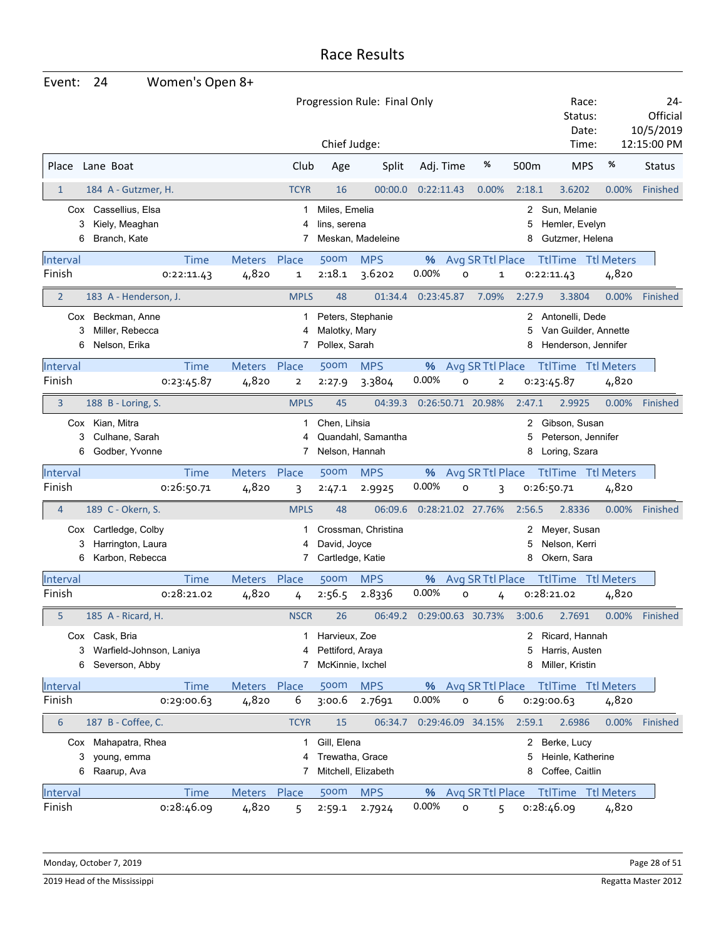| Event:                    | 24                                                                                   | Women's Open 8+                      |                             |                                                             |                                |                             |                                         |                       |                                                                  |       |                                             |
|---------------------------|--------------------------------------------------------------------------------------|--------------------------------------|-----------------------------|-------------------------------------------------------------|--------------------------------|-----------------------------|-----------------------------------------|-----------------------|------------------------------------------------------------------|-------|---------------------------------------------|
|                           |                                                                                      |                                      |                             | Chief Judge:                                                | Progression Rule: Final Only   |                             |                                         |                       | Race:<br>Status:<br>Date:<br>Time:                               |       | 24-<br>Official<br>10/5/2019<br>12:15:00 PM |
| Place                     | Lane Boat                                                                            |                                      | Club                        | Age                                                         | Split                          | Adj. Time                   | %                                       | 500m                  | <b>MPS</b>                                                       | $\%$  | <b>Status</b>                               |
| 1                         | 184 A - Gutzmer, H.                                                                  |                                      | <b>TCYR</b>                 | 16                                                          | 00:00.0                        | 0:22:11.43                  | 0.00%                                   | 2:18.1                | 3.6202                                                           | 0.00% | <b>Finished</b>                             |
| 3<br>6                    | Cox Cassellius, Elsa<br>Kiely, Meaghan<br>Branch, Kate                               |                                      | 1<br>4<br>7                 | Miles, Emelia<br>lins, serena                               | Meskan, Madeleine              |                             |                                         | 2<br>5<br>8           | Sun, Melanie<br>Hemler, Evelyn<br>Gutzmer, Helena                |       |                                             |
| Interval<br>Finish        | 0:22:11.43                                                                           | <b>Time</b><br>Meters Place<br>4,820 | 1                           | 500m<br>2:18.1                                              | <b>MPS</b><br>3.6202           | 0.00%                       | % Avg SR Ttl Place<br>O<br>$\mathbf 1$  |                       | <b>TtlTime Ttl Meters</b><br>0:22:11.43                          | 4,820 |                                             |
| $\overline{2}$            | 183 A - Henderson, J.                                                                |                                      | <b>MPLS</b>                 | 48                                                          | 01:34.4                        | 0:23:45.87                  | 7.09%                                   | 2:27.9                | 3.3804                                                           | 0.00% | Finished                                    |
| 3<br>6                    | Cox Beckman, Anne<br>Miller, Rebecca<br>Nelson, Erika                                |                                      | 1<br>4<br>7                 | Malotky, Mary<br>Pollex, Sarah                              | Peters, Stephanie              |                             |                                         | 5<br>8                | 2 Antonelli, Dede<br>Van Guilder, Annette<br>Henderson, Jennifer |       |                                             |
| Interval<br>Finish        | 0:23:45.87                                                                           | Meters Place<br><b>Time</b><br>4,820 | $\mathbf{2}$                | <b>500m</b><br>2:27.9                                       | <b>MPS</b><br>3.3804           | %<br>0.00%                  | Avg SR Ttl Place<br>O<br>$\overline{2}$ |                       | <b>TtlTime Ttl Meters</b><br>0:23:45.87                          | 4,820 |                                             |
| 3                         | 188 B - Loring, S.                                                                   |                                      | <b>MPLS</b>                 | 45                                                          | 04:39.3                        | 0:26:50.71 20.98%           |                                         | 2:47.1                | 2.9925                                                           | 0.00% | Finished                                    |
| 3<br>6                    | Cox Kian, Mitra<br>Culhane, Sarah<br>Godber, Yvonne                                  |                                      | 1<br>7                      | Chen, Lihsia<br>Nelson, Hannah                              | Quandahl, Samantha             |                             |                                         | 2<br>5<br>8           | Gibson, Susan<br>Peterson, Jennifer<br>Loring, Szara             |       |                                             |
| Interval                  |                                                                                      | <b>Time</b><br>Meters Place          |                             | 500m                                                        | <b>MPS</b>                     | %                           | Avg SR Ttl Place                        |                       | <b>TtlTime</b> Ttl Meters                                        |       |                                             |
| Finish                    | 0:26:50.71                                                                           | 4,820                                | 3                           | 2:47.1                                                      | 2.9925                         | 0.00%                       | O<br>3                                  |                       | 0:26:50.71                                                       | 4,820 |                                             |
| $\overline{4}$<br>3<br>6  | 189 C - Okern, S.<br>Cox Cartledge, Colby<br>Harrington, Laura<br>Karbon, Rebecca    |                                      | <b>MPLS</b><br>4<br>7       | 48<br>David, Joyce<br>Cartledge, Katie                      | 06:09.6<br>Crossman, Christina | 0:28:21.02 27.76%           |                                         | 2:56.5<br>2<br>5<br>8 | 2.8336<br>Meyer, Susan<br>Nelson, Kerri<br>Okern, Sara           | 0.00% | Finished                                    |
| Interval<br>Finish        | 0:28:21.02                                                                           | <b>Meters</b><br>Time<br>4,820       | Place                       | 500m<br>2:56.5                                              | <b>MPS</b><br>2.8336           | %<br>0.00%                  | Avg SR Ttl Place<br>O                   |                       | <b>TtlTime</b> Ttl Meters<br>0:28:21.02                          | 4,820 |                                             |
|                           |                                                                                      |                                      | 4                           |                                                             |                                |                             | 4                                       |                       |                                                                  |       |                                             |
| 5<br>6                    | 185 A - Ricard, H.<br>Cox Cask, Bria<br>3 Warfield-Johnson, Laniya<br>Severson, Abby |                                      | <b>NSCR</b><br>1.<br>4<br>7 | 26<br>Harvieux, Zoe<br>Pettiford, Araya<br>McKinnie, Ixchel |                                | 06:49.2  0:29:00.63  30.73% |                                         | 3:00.6<br>2<br>5<br>8 | 2.7691<br>Ricard, Hannah<br>Harris, Austen<br>Miller, Kristin    | 0.00% | Finished                                    |
| Interval                  |                                                                                      | Meters Place<br><b>Time</b>          |                             | <b>500m</b>                                                 | <b>MPS</b>                     | %                           | Avg SR Ttl Place                        |                       | <b>TtlTime</b> Ttl Meters                                        |       |                                             |
| Finish                    | 0:29:00.63                                                                           | 4,820                                | 6                           | 3:00.6                                                      | 2.7691                         | 0.00%                       | 6<br>O                                  |                       | 0:29:00.63                                                       | 4,820 |                                             |
| 6<br>3<br>6               | 187 B - Coffee, C.<br>Cox Mahapatra, Rhea<br>young, emma<br>Raarup, Ava              |                                      | <b>TCYR</b><br>1<br>4<br>7  | 15<br>Gill, Elena<br>Trewatha, Grace                        | 06:34.7<br>Mitchell, Elizabeth | 0:29:46.09 34.15%           |                                         | 2:59.1<br>2<br>5<br>8 | 2.6986<br>Berke, Lucy<br>Heinle, Katherine<br>Coffee, Caitlin    | 0.00% | Finished                                    |
| <b>Interval</b><br>Finish | 0:28:46.09                                                                           | Meters Place<br><b>Time</b><br>4,820 | 5                           | 500m<br>2:59.1                                              | <b>MPS</b><br>2.7924           | %<br>0.00%                  | Avg SR Ttl Place<br>o<br>5              |                       | <b>TtlTime Ttl Meters</b><br>0:28:46.09                          | 4,820 |                                             |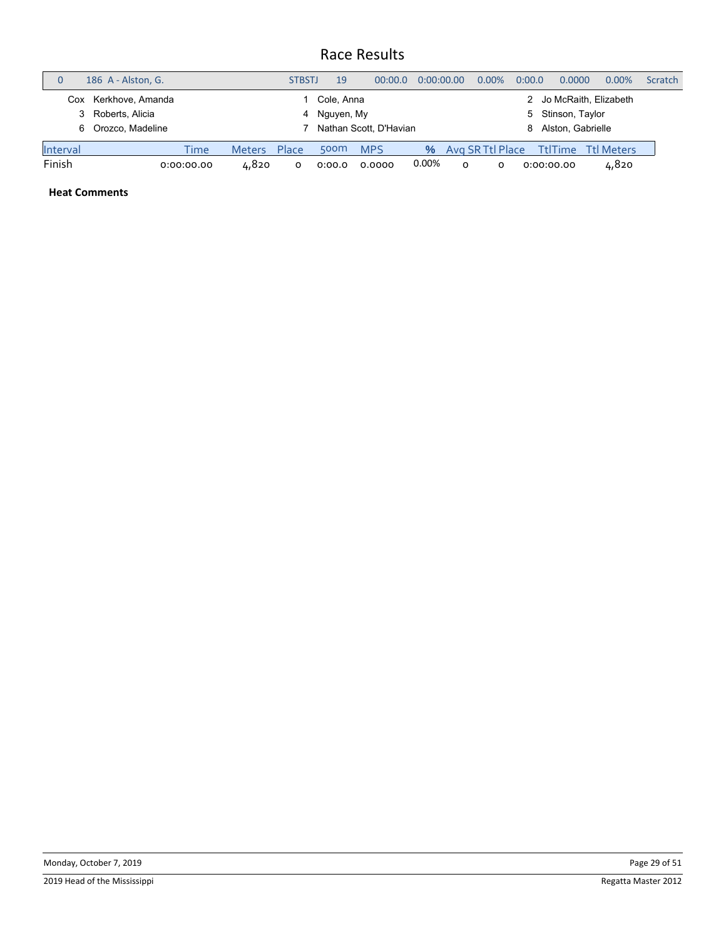|          | 186 A - Alston, G.                                             |            |               | <b>STBSTJ</b> | 19                         | 00:00.0                | 0:00:00.00 |   | $0.00\%$                  | 0:00.0     | 0.0000                               | $0.00\%$                | <b>Scratch</b> |
|----------|----------------------------------------------------------------|------------|---------------|---------------|----------------------------|------------------------|------------|---|---------------------------|------------|--------------------------------------|-------------------------|----------------|
| 3<br>6   | Kerkhove, Amanda<br>Cox<br>Roberts, Alicia<br>Orozco, Madeline |            |               |               | Cole, Anna<br>4 Nguyen, My | Nathan Scott, D'Havian |            |   |                           | 5.<br>8    | Stinson, Taylor<br>Alston, Gabrielle | 2 Jo McRaith, Elizabeth |                |
| Interval |                                                                | Time       | <b>Meters</b> | Place         | 500 <sub>m</sub>           | <b>MPS</b>             |            |   | <b>%</b> Avg SR Ttl Place |            |                                      | TtlTime Ttl Meters      |                |
| Finish   |                                                                | 0:00:00.00 | 4,820         |               | 0:00.0                     | 0.0000                 | 0.00%      | O | O                         | 0:00:00.00 |                                      | 4,820                   |                |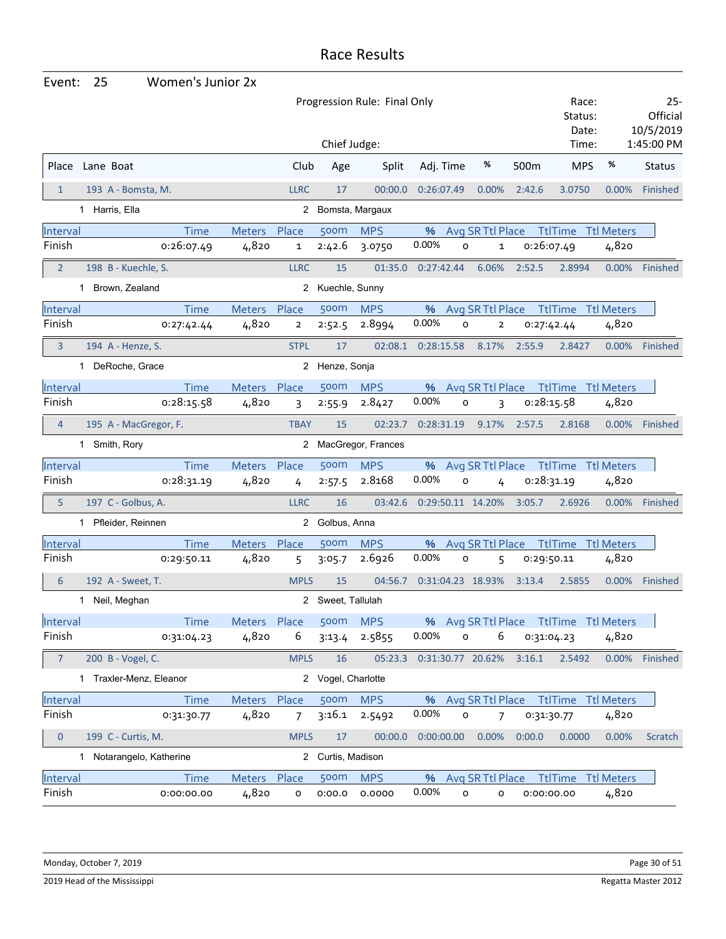| Event:         | 25<br>Women's Junior 2x  |              |                |                    |                              |                             |                  |            |                                        |          |                                 |
|----------------|--------------------------|--------------|----------------|--------------------|------------------------------|-----------------------------|------------------|------------|----------------------------------------|----------|---------------------------------|
|                |                          |              |                |                    | Progression Rule: Final Only |                             |                  |            | Race:<br>Status:<br>Date:              |          | $25 -$<br>Official<br>10/5/2019 |
|                |                          |              |                | Chief Judge:       |                              |                             |                  |            | Time:                                  |          | 1:45:00 PM                      |
|                | Place Lane Boat          |              | Club           | Age                | Split                        | Adj. Time                   | %                | 500m       | <b>MPS</b>                             | %        | <b>Status</b>                   |
| $\mathbf{1}$   | 193 A - Bomsta, M.       |              | <b>LLRC</b>    | 17                 | 00:00.0                      | 0:26:07.49                  | 0.00%            | 2:42.6     | 3.0750                                 | 0.00%    | Finished                        |
|                | 1 Harris, Ella           |              | $\mathbf{2}$   |                    | Bomsta, Margaux              |                             |                  |            |                                        |          |                                 |
| Interval       | Time                     | Meters Place |                | 500m               | <b>MPS</b>                   | % Avg SR Ttl Place          |                  |            | <b>TtlTime Ttl Meters</b>              |          |                                 |
| Finish         | 0:26:07.49               | 4,820        | $\mathbf{1}$   | 2:42.6             | 3.0750                       | 0.00%<br>$\mathsf{o}$       | 1                | 0:26:07.49 |                                        | 4,820    |                                 |
| $\overline{2}$ | 198 B - Kuechle, S.      |              | <b>LLRC</b>    | 15                 | 01:35.0                      | 0:27:42.44                  | 6.06%            | 2:52.5     | 2.8994                                 | 0.00%    | Finished                        |
|                | 1 Brown, Zealand         |              | 2              | Kuechle, Sunny     |                              |                             |                  |            |                                        |          |                                 |
| Interval       | Time                     | Meters       | Place          | 500m               | <b>MPS</b>                   | %                           | Avg SR Ttl Place |            | TtlTime Ttl Meters                     |          |                                 |
| Finish         | 0:27:42.44               | 4,820        | $\overline{2}$ | 2:52.5             | 2.8994                       | 0.00%<br>$\mathsf{o}$       | $\overline{2}$   | 0:27:42.44 |                                        | 4,820    |                                 |
| $\overline{3}$ | 194 A - Henze, S.        |              | <b>STPL</b>    | 17                 | 02:08.1                      | 0:28:15.58                  | 8.17%            | 2:55.9     | 2.8427                                 | 0.00%    | Finished                        |
|                | 1 DeRoche, Grace         |              |                | 2 Henze, Sonja     |                              |                             |                  |            |                                        |          |                                 |
| Interval       | Time                     | Meters Place |                | 500m               | <b>MPS</b>                   | %                           | Avg SR Ttl Place |            | TtlTime Ttl Meters                     |          |                                 |
| Finish         | 0:28:15.58               | 4,820        | 3              | 2:55.9             | 2.8427                       | 0.00%<br>$\mathsf{o}$       | 3                | 0:28:15.58 |                                        | 4,820    |                                 |
| $\overline{4}$ | 195 A - MacGregor, F.    |              | <b>TBAY</b>    | 15                 | 02:23.7                      | 0:28:31.19                  | 9.17%            | 2:57.5     | 2.8168                                 | $0.00\%$ | Finished                        |
|                | 1 Smith, Rory            |              |                |                    | 2 MacGregor, Frances         |                             |                  |            |                                        |          |                                 |
| Interval       | Time                     | Meters Place |                | 500m               | <b>MPS</b>                   | %                           |                  |            | Avg SR Ttl Place TtlTime Ttl Meters    |          |                                 |
| Finish         | 0:28:31.19               | 4,820        | 4              | 2:57.5             | 2.8168                       | 0.00%<br>0                  | 4                | 0:28:31.19 |                                        | 4,820    |                                 |
| 5              | 197 C - Golbus, A.       |              | <b>LLRC</b>    | 16                 | 03:42.6                      | 0:29:50.11 14.20%           |                  | 3:05.7     | 2.6926                                 | $0.00\%$ | Finished                        |
|                | 1 Pfleider, Reinnen      |              |                | 2 Golbus, Anna     |                              |                             |                  |            |                                        |          |                                 |
| Interval       | <b>Time</b>              | Meters Place |                | 500m               | <b>MPS</b>                   | %                           | Avg SR Ttl Place |            | <b>TtlTime Ttl Meters</b>              |          |                                 |
| Finish         | 0:29:50.11               | 4,820        | 5              | 3:05.7             | 2.6926                       | 0.00%<br>o                  | 5                | 0:29:50.11 |                                        | 4,820    |                                 |
| 6              | 192 A - Sweet, T.        |              | <b>MPLS</b>    | 15                 | 04:56.7                      | 0:31:04.23 18.93%           |                  | 3:13.4     | 2.5855                                 | 0.00%    | Finished                        |
|                | 1 Neil, Meghan           |              |                | 2 Sweet, Tallulah  |                              |                             |                  |            |                                        |          |                                 |
| Interval       | Time                     | Meters Place |                | 500 <sub>m</sub>   | <b>MPS</b>                   |                             |                  |            | % Avg SR Ttl Place Ttl Time Ttl Meters |          |                                 |
| Finish         | 0:31:04.23               | 4,820        | 6              | 3:13.4             | 2.5855                       | 0.00%<br>$\mathsf{o}$       | 6                | 0:31:04.23 |                                        | 4,820    |                                 |
| 7              | 200 B - Vogel, C.        |              | <b>MPLS</b>    | 16                 |                              | 05:23.3  0:31:30.77  20.62% |                  | 3:16.1     | 2.5492                                 |          | 0.00% Finished                  |
|                | 1 Traxler-Menz, Eleanor  |              |                | 2 Vogel, Charlotte |                              |                             |                  |            |                                        |          |                                 |
| Interval       | Time                     | Meters Place |                | 500 <sub>m</sub>   | <b>MPS</b>                   |                             |                  |            | % Avg SR Ttl Place Ttl Time Ttl Meters |          |                                 |
| Finish         | 0:31:30.77               | 4,820        | 7              | 3:16.1             | 2.5492                       | 0.00%<br>$\mathsf{o}$       | 7                | 0:31:30.77 |                                        | 4,820    |                                 |
| $\mathbf{0}$   | 199 C - Curtis, M.       |              | <b>MPLS</b>    | 17                 | 00:00.0                      | 0:00:00.00                  | 0.00%            | 0:00.0     | 0.0000                                 | 0.00%    | Scratch                         |
|                | 1 Notarangelo, Katherine |              | 2              | Curtis, Madison    |                              |                             |                  |            |                                        |          |                                 |
| Interval       | Time                     | Meters Place |                | 500m               | <b>MPS</b>                   |                             |                  |            | % Avg SR Ttl Place Ttl Time Ttl Meters |          |                                 |
| Finish         | 0:00:00.00               | 4,820        | 0              | 0:00.0             | 0.0000                       | 0.00%<br>o                  | 0                | 0:00:00.00 |                                        | 4,820    |                                 |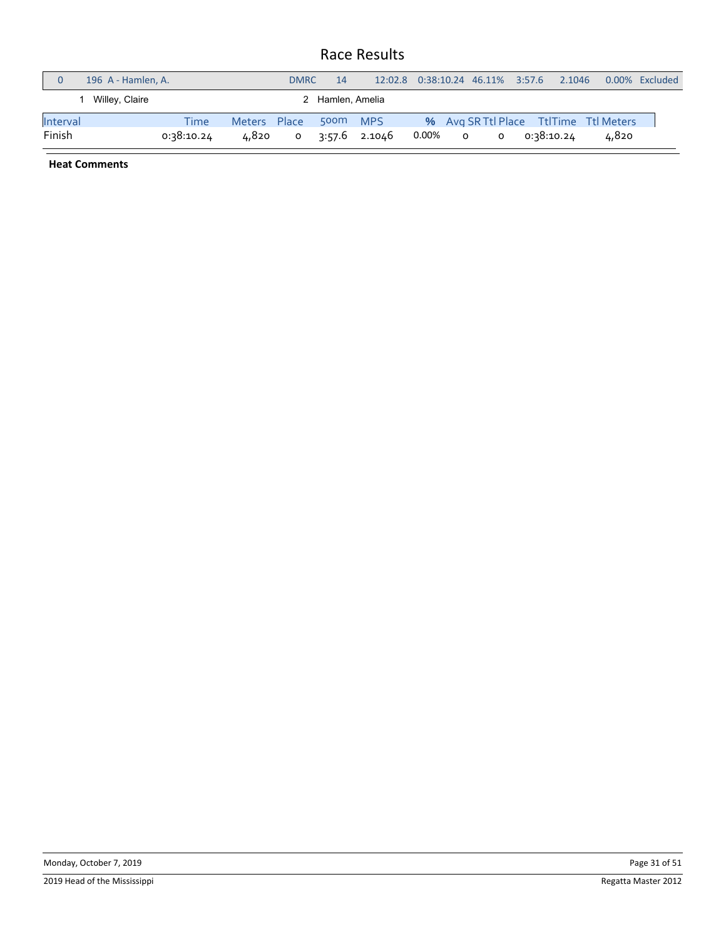|          | 196 A - Hamlen, A. |            |              | <b>DMRC</b> | 14               | 12:02.8  0:38:10.24  46.11%  3:57.6 |       |         |         | 2.1046     | 0.00% Excluded                         |  |
|----------|--------------------|------------|--------------|-------------|------------------|-------------------------------------|-------|---------|---------|------------|----------------------------------------|--|
|          | Willey, Claire     |            |              |             | 2 Hamlen, Amelia |                                     |       |         |         |            |                                        |  |
| Interval |                    | Time       | Meters Place |             | 500m             | <b>MPS</b>                          |       |         |         |            | % Avg SR Ttl Place Ttl Time Ttl Meters |  |
| Finish   |                    | 0:38:10.24 | 4,820        | $\circ$     |                  | 3:57.6 2.1046                       | 0.00% | $\circ$ | $\circ$ | 0:38:10.24 | 4,820                                  |  |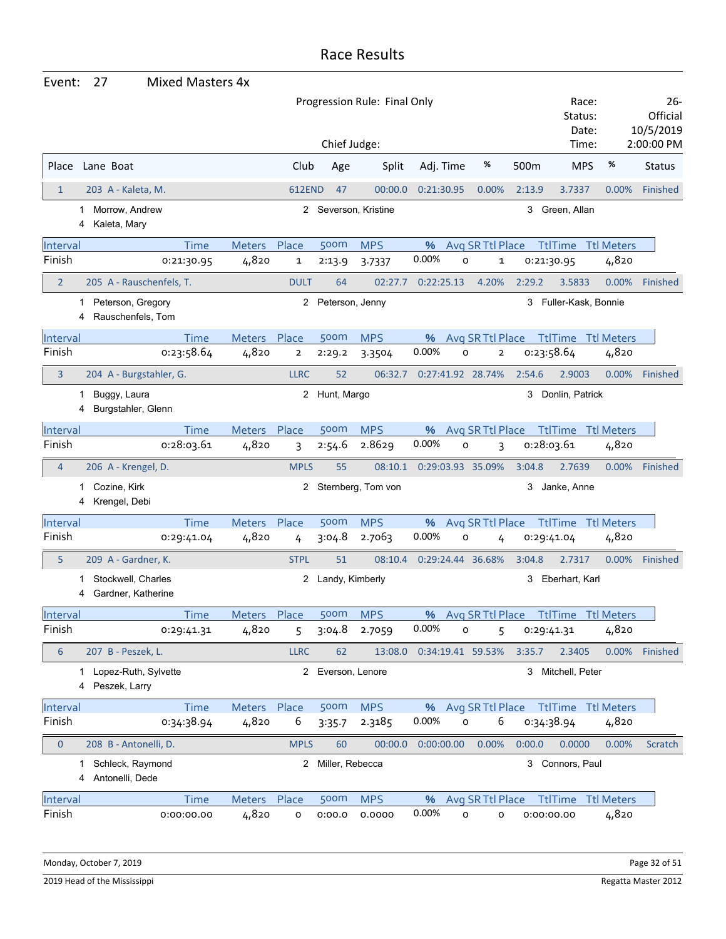| Event:           | 27                                              | <b>Mixed Masters 4x</b> |               |               |                   |                              |                             |                   |                  |        |                                        |                         |          |                                              |
|------------------|-------------------------------------------------|-------------------------|---------------|---------------|-------------------|------------------------------|-----------------------------|-------------------|------------------|--------|----------------------------------------|-------------------------|----------|----------------------------------------------|
|                  |                                                 |                         |               |               | Chief Judge:      | Progression Rule: Final Only |                             |                   |                  |        | Status:                                | Race:<br>Date:<br>Time: |          | $26-$<br>Official<br>10/5/2019<br>2:00:00 PM |
| Place            | Lane Boat                                       |                         |               | Club          | Age               | Split                        | Adj. Time                   |                   | %                | 500m   | <b>MPS</b>                             |                         | %        | <b>Status</b>                                |
| 1                | 203 A - Kaleta, M.                              |                         |               | <b>612END</b> | 47                | 00:00.0                      | 0:21:30.95                  |                   | 0.00%            | 2:13.9 | 3.7337                                 |                         | 0.00%    | <b>Finished</b>                              |
|                  | Morrow, Andrew<br>1<br>Kaleta, Mary<br>4        |                         |               |               |                   | 2 Severson, Kristine         |                             |                   |                  | 3      | Green, Allan                           |                         |          |                                              |
| Interval         |                                                 | <b>Time</b>             | <b>Meters</b> | Place         | 500m              | <b>MPS</b>                   | %                           |                   | Avg SR Ttl Place |        | <b>TtlTime</b> Ttl Meters              |                         |          |                                              |
| Finish           |                                                 | 0:21:30.95              | 4,820         | 1             | 2:13.9            | 3.7337                       | 0.00%                       | $\circ$           | 1                |        | 0:21:30.95                             |                         | 4,820    |                                              |
| $\overline{2}$   | 205 A - Rauschenfels, T.                        |                         |               | <b>DULT</b>   | 64                | 02:27.7                      | 0:22:25.13                  |                   | 4.20%            | 2:29.2 | 3.5833                                 |                         | 0.00%    | Finished                                     |
|                  | Peterson, Gregory<br>1<br>Rauschenfels, Tom     |                         |               |               | 2 Peterson, Jenny |                              |                             |                   |                  | 3      | Fuller-Kask, Bonnie                    |                         |          |                                              |
| Interval         |                                                 | <b>Time</b>             | <b>Meters</b> | Place         | <b>500m</b>       | <b>MPS</b>                   | %                           |                   | Avg SR Ttl Place |        | <b>TtlTime Ttl Meters</b>              |                         |          |                                              |
| Finish           |                                                 | 0:23:58.64              | 4,820         | $\mathbf{2}$  | 2:29.2            | 3.3504                       | 0.00%                       | $\circ$           | $\overline{2}$   |        | 0:23:58.64                             |                         | 4,820    |                                              |
| 3                | 204 A - Burgstahler, G.                         |                         |               | <b>LLRC</b>   | 52                | 06:32.7                      |                             | 0:27:41.92 28.74% |                  | 2:54.6 | 2.9003                                 |                         | 0.00%    | Finished                                     |
|                  | Buggy, Laura<br>1<br>Burgstahler, Glenn         |                         |               |               | 2 Hunt, Margo     |                              |                             |                   |                  |        | 3 Donlin, Patrick                      |                         |          |                                              |
| Interval         |                                                 | <b>Time</b>             | <b>Meters</b> | Place         | 500m              | <b>MPS</b>                   | %                           |                   | Avg SR Ttl Place |        | <b>TtlTime Ttl Meters</b>              |                         |          |                                              |
| Finish           |                                                 | 0:28:03.61              | 4,820         | 3             | 2:54.6            | 2.8629                       | 0.00%                       | $\circ$           | 3                |        | 0:28:03.61                             |                         | 4,820    |                                              |
| $\overline{4}$   | 206 A - Krengel, D.                             |                         |               | <b>MPLS</b>   | 55                | 08:10.1                      |                             | 0:29:03.93 35.09% |                  | 3:04.8 | 2.7639                                 |                         | 0.00%    | Finished                                     |
|                  | Cozine, Kirk<br>Krengel, Debi                   |                         |               | 2             |                   | Sternberg, Tom von           |                             |                   |                  | 3      | Janke, Anne                            |                         |          |                                              |
| Interval         |                                                 | <b>Time</b>             | Meters        | Place         | 500m              | <b>MPS</b>                   | %                           |                   | Avg SR Ttl Place |        | <b>TtlTime Ttl Meters</b>              |                         |          |                                              |
| Finish           |                                                 | 0:29:41.04              | 4,820         | 4             | 3:04.8            | 2.7063                       | 0.00%                       | o                 | 4                |        | 0:29:41.04                             |                         | 4,820    |                                              |
| 5                | 209 A - Gardner, K.                             |                         |               | <b>STPL</b>   | 51                | 08:10.4                      |                             | 0:29:24.44 36.68% |                  | 3:04.8 | 2.7317                                 |                         | 0.00%    | Finished                                     |
|                  | Stockwell, Charles<br>Gardner, Katherine        |                         |               | 2             | Landy, Kimberly   |                              |                             |                   |                  | 3      | Eberhart, Karl                         |                         |          |                                              |
| Interval         |                                                 | <b>Time</b>             | Meters Place  |               | <b>500m</b>       | <b>MPS</b>                   |                             |                   |                  |        | % Avg SR Ttl Place Ttl Time Ttl Meters |                         |          |                                              |
| Finish           |                                                 | 0:29:41.31              | 4,820         | 5             | 3:04.8            | 2.7059                       | 0.00%                       | 0                 | 5                |        | 0:29:41.31                             |                         | 4,820    |                                              |
| 6                | 207 B - Peszek, L.                              |                         |               | <b>LLRC</b>   | 62                |                              | 13:08.0  0:34:19.41  59.53% |                   |                  | 3:35.7 | 2.3405                                 |                         | $0.00\%$ | Finished                                     |
|                  | Lopez-Ruth, Sylvette<br>1<br>Peszek, Larry<br>4 |                         |               |               | 2 Everson, Lenore |                              |                             |                   |                  |        | 3 Mitchell, Peter                      |                         |          |                                              |
| Interval         |                                                 | <b>Time</b>             | Meters Place  |               | 500 <sub>m</sub>  | <b>MPS</b>                   |                             |                   |                  |        | % Avg SR Ttl Place Ttl Time Ttl Meters |                         |          |                                              |
| Finish           |                                                 | 0:34:38.94              | 4,820         | 6             | 3:35.7            | 2.3185                       | 0.00%                       | $\mathsf{o}$      | 6                |        | 0:34:38.94                             |                         | 4,820    |                                              |
| $\boldsymbol{0}$ | 208 B - Antonelli, D.                           |                         |               | <b>MPLS</b>   | 60                | 00:00.0                      | 0:00:00.00                  |                   | 0.00%            | 0:00.0 | 0.0000                                 |                         | $0.00\%$ | Scratch                                      |
|                  | Schleck, Raymond<br>1<br>Antonelli, Dede<br>4   |                         |               |               | 2 Miller, Rebecca |                              |                             |                   |                  |        | 3 Connors, Paul                        |                         |          |                                              |
| <b>Interval</b>  |                                                 | <b>Time</b>             | Meters Place  |               | 500m              | <b>MPS</b>                   | %                           |                   | Avg SR Ttl Place |        | <b>TtlTime</b> Ttl Meters              |                         |          |                                              |
| Finish           |                                                 | 0:00:00.00              | 4,820         | o             | 0:00.0            | 0.0000                       | 0.00%                       | o                 | о                |        | 0:00:00.00                             |                         | 4,820    |                                              |

Monday, October 7, 2019 **Page 32 of 51** Page 32 of 51

2019 Head of the Mississippi Regatta Master 2012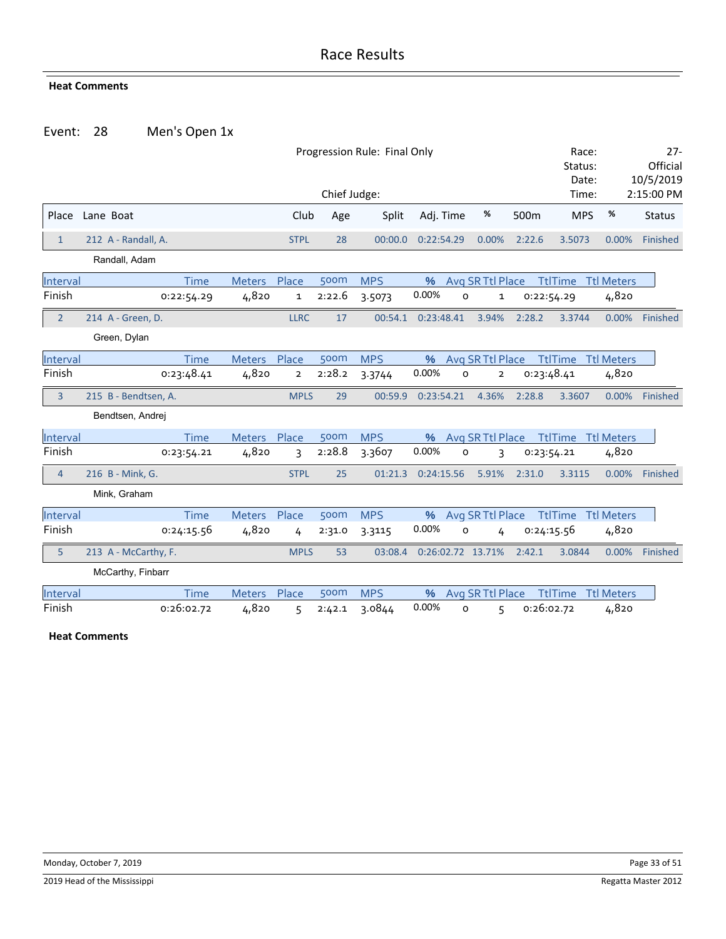#### **Heat Comments**

#### Event: 28 Men's Open 1x

|                |                      |             | Race:<br>Status:<br>Date: |                | $27 -$<br>Official<br>10/5/2019 |            |            |         |                   |            |                           |                   |               |
|----------------|----------------------|-------------|---------------------------|----------------|---------------------------------|------------|------------|---------|-------------------|------------|---------------------------|-------------------|---------------|
|                |                      |             |                           |                | Chief Judge:                    |            |            |         |                   |            | Time:                     |                   | 2:15:00 PM    |
| Place          | Lane Boat            |             |                           | Club           | Age                             | Split      | Adj. Time  |         | %                 | 500m       | <b>MPS</b>                | %                 | <b>Status</b> |
| $\mathbf{1}$   | 212 A - Randall, A.  |             |                           | <b>STPL</b>    | 28                              | 00:00.0    | 0:22:54.29 |         | 0.00%             | 2:22.6     | 3.5073                    | 0.00%             | Finished      |
|                | Randall, Adam        |             |                           |                |                                 |            |            |         |                   |            |                           |                   |               |
| Interval       |                      | <b>Time</b> | <b>Meters</b>             | Place          | 500m                            | <b>MPS</b> | $\%$       |         | Avg SR Ttl Place  |            | <b>TtlTime Ttl Meters</b> |                   |               |
| Finish         |                      | 0:22:54.29  | 4,820                     | $\mathbf{1}$   | 2:22.6                          | 3.5073     | 0.00%      | $\circ$ | $\mathbf 1$       | 0:22:54.29 |                           | 4,820             |               |
| $\overline{2}$ | 214 A - Green, D.    |             |                           | <b>LLRC</b>    | 17                              | 00:54.1    | 0:23:48.41 |         | 3.94%             | 2:28.2     | 3.3744                    | 0.00%             | Finished      |
|                | Green, Dylan         |             |                           |                |                                 |            |            |         |                   |            |                           |                   |               |
| Interval       |                      | Time        | Meters Place              |                | 500m                            | <b>MPS</b> | $\%$       |         | Avg SR Ttl Place  |            | <b>TtlTime Ttl Meters</b> |                   |               |
| Finish         |                      | 0:23:48.41  | 4,820                     | $\overline{2}$ | 2:28.2                          | 3.3744     | 0.00%      | 0       | $\overline{2}$    | 0:23:48.41 |                           | 4,820             |               |
| $\overline{3}$ | 215 B - Bendtsen, A. |             |                           | <b>MPLS</b>    | 29                              | 00:59.9    | 0:23:54.21 |         | 4.36%             | 2:28.8     | 3.3607                    | 0.00%             | Finished      |
|                | Bendtsen, Andrej     |             |                           |                |                                 |            |            |         |                   |            |                           |                   |               |
| Interval       |                      | <b>Time</b> | Meters Place              |                | 500m                            | <b>MPS</b> | %          |         | Avg SR Ttl Place  |            | <b>TtlTime</b>            | <b>Ttl Meters</b> |               |
| Finish         |                      | 0:23:54.21  | 4,820                     | 3              | 2:28.8                          | 3.3607     | 0.00%      | o       | 3                 |            | 0:23:54.21                | 4,820             |               |
| $\overline{4}$ | 216 B - Mink, G.     |             |                           | <b>STPL</b>    | 25                              | 01:21.3    | 0:24:15.56 |         | 5.91%             | 2:31.0     | 3.3115                    | 0.00%             | Finished      |
|                | Mink, Graham         |             |                           |                |                                 |            |            |         |                   |            |                           |                   |               |
| Interval       |                      | <b>Time</b> | <b>Meters</b>             | Place          | 500m                            | <b>MPS</b> | %          |         | Avg SR Ttl Place  |            | <b>TtlTime</b>            | <b>Ttl Meters</b> |               |
| Finish         |                      | 0:24:15.56  | 4,820                     | 4              | 2:31.0                          | 3.3115     | 0.00%      | O       | 4                 | 0:24:15.56 |                           | 4,820             |               |
| 5              | 213 A - McCarthy, F. |             |                           | <b>MPLS</b>    | 53                              | 03:08.4    |            |         | 0:26:02.72 13.71% | 2:42.1     | 3.0844                    | 0.00%             | Finished      |
|                | McCarthy, Finbarr    |             |                           |                |                                 |            |            |         |                   |            |                           |                   |               |
| Interval       |                      | <b>Time</b> | <b>Meters</b>             | Place          | 500m                            | <b>MPS</b> | %          |         | Avg SR Ttl Place  |            | <b>TtlTime</b>            | <b>Ttl Meters</b> |               |
| Finish         |                      | 0:26:02.72  | 4,820                     | 5              | 2:42.1                          | 3.0844     | 0.00%      | 0       | 5                 | 0:26:02.72 |                           | 4,820             |               |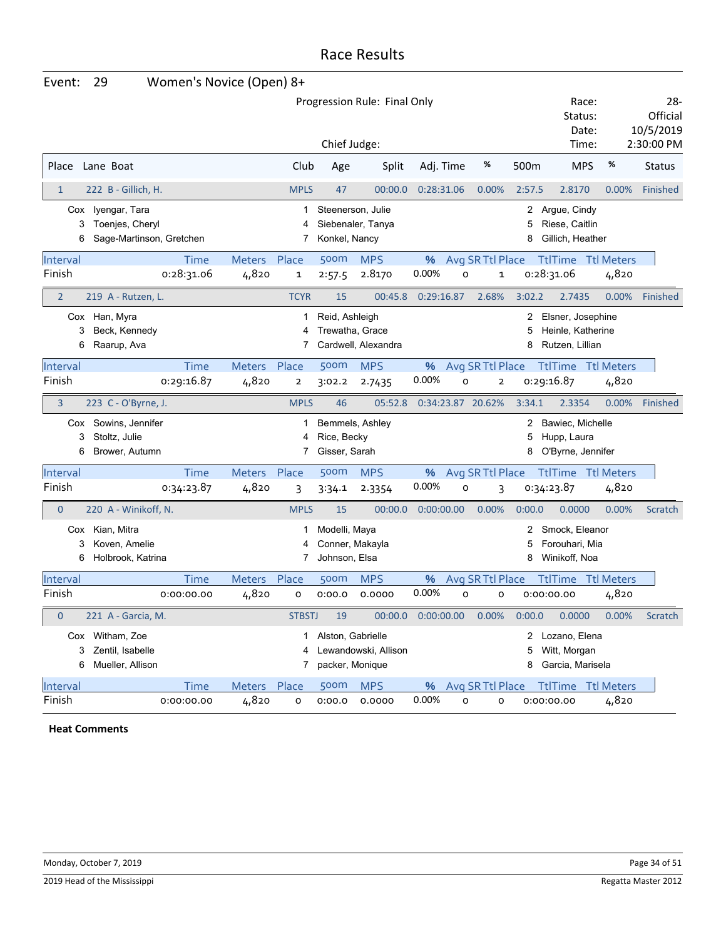| Event:         | 29                                                           | Women's Novice (Open) 8+ |               |                         |                                                   |                                        |            |                         |             |                                                           |                   |                                            |
|----------------|--------------------------------------------------------------|--------------------------|---------------|-------------------------|---------------------------------------------------|----------------------------------------|------------|-------------------------|-------------|-----------------------------------------------------------|-------------------|--------------------------------------------|
|                |                                                              |                          |               |                         | Chief Judge:                                      | Progression Rule: Final Only           |            |                         |             | Race:<br>Status:<br>Date:<br>Time:                        |                   | -28<br>Official<br>10/5/2019<br>2:30:00 PM |
|                |                                                              |                          |               |                         |                                                   |                                        |            |                         |             |                                                           |                   |                                            |
| Place          | Lane Boat                                                    |                          |               | Club                    | Age                                               | Split                                  | Adj. Time  | %                       | 500m        | <b>MPS</b>                                                | %                 | Status                                     |
| $\mathbf{1}$   | 222 B - Gillich, H.                                          |                          |               | <b>MPLS</b>             | 47                                                | 00:00.0                                | 0:28:31.06 | 0.00%                   | 2:57.5      | 2.8170                                                    | 0.00%             | Finished                                   |
| Cox<br>3<br>6  | Iyengar, Tara<br>Toenjes, Cheryl<br>Sage-Martinson, Gretchen |                          |               | 1<br>4<br>7             | Konkel, Nancy                                     | Steenerson, Julie<br>Siebenaler, Tanya |            |                         | 2<br>5<br>8 | Argue, Cindy<br>Riese, Caitlin<br>Gillich, Heather        |                   |                                            |
| Interval       |                                                              | Time                     | Meters        | Place                   | 500m                                              | <b>MPS</b>                             | %          | Avg SR Ttl Place        |             | <b>TtlTime Ttl Meters</b>                                 |                   |                                            |
| Finish         |                                                              | 0:28:31.06               | 4,820         | $\mathbf 1$             | 2:57.5                                            | 2.8170                                 | 0.00%      | o<br>$\mathbf 1$        |             | 0:28:31.06                                                | 4,820             |                                            |
| $\overline{2}$ | 219 A - Rutzen, L.                                           |                          |               | <b>TCYR</b>             | 15                                                | 00:45.8                                | 0:29:16.87 | 2.68%                   | 3:02.2      | 2.7435                                                    | 0.00%             | Finished                                   |
| 3<br>6         | Cox Han, Myra<br>Beck, Kennedy<br>Raarup, Ava                |                          |               | 1<br>4<br>7             | Reid, Ashleigh<br>Trewatha, Grace                 | Cardwell, Alexandra                    |            |                         | 2<br>5<br>8 | Elsner, Josephine<br>Heinle, Katherine<br>Rutzen, Lillian |                   |                                            |
| Interval       |                                                              | Time                     | Meters        | Place                   | 500m                                              | <b>MPS</b>                             | %          | Avg SR Ttl Place        |             | <b>TtlTime Ttl Meters</b>                                 |                   |                                            |
| Finish         |                                                              | 0:29:16.87               | 4,820         | $\overline{\mathbf{2}}$ | 3:02.2                                            | 2.7435                                 | 0.00%      | $\circ$<br>$\mathbf{2}$ |             | 0:29:16.87                                                | 4,820             |                                            |
| 3              | 223 C - O'Byrne, J.                                          |                          |               | <b>MPLS</b>             | 46                                                | 05:52.8                                |            | 0:34:23.87 20.62%       | 3:34.1      | 2.3354                                                    | 0.00%             | Finished                                   |
| 3<br>6         | Cox Sowins, Jennifer<br>Stoltz, Julie<br>Brower, Autumn      |                          |               | 1<br>4<br>7             | Rice, Becky<br>Gisser, Sarah                      | Bemmels, Ashley                        |            |                         | 2<br>5<br>8 | Bawiec, Michelle<br>Hupp, Laura<br>O'Byrne, Jennifer      |                   |                                            |
| Interval       |                                                              | Time                     | <b>Meters</b> | Place                   | 500m                                              | <b>MPS</b>                             | %          | Avg SR Ttl Place        |             | <b>TtlTime Ttl Meters</b>                                 |                   |                                            |
| Finish         |                                                              | 0:34:23.87               | 4,820         | 3                       | 3:34.1                                            | 2.3354                                 | 0.00%      | o<br>3                  |             | 0:34:23.87                                                | 4,820             |                                            |
| $\mathbf 0$    | 220 A - Winikoff, N.                                         |                          |               | <b>MPLS</b>             | 15                                                | 00:00.0                                | 0:00:00.00 | 0.00%                   | 0:00.0      | 0.0000                                                    | 0.00%             | Scratch                                    |
| 3<br>6         | Cox Kian, Mitra<br>Koven, Amelie<br>Holbrook, Katrina        |                          |               | 1<br>4<br>7             | Modelli, Maya<br>Conner, Makayla<br>Johnson, Elsa |                                        |            |                         | 2<br>5<br>8 | Smock, Eleanor<br>Forouhari, Mia<br>Winikoff, Noa         |                   |                                            |
| Interval       |                                                              | <b>Time</b>              | <b>Meters</b> | Place                   | 500m                                              | <b>MPS</b>                             | %          | Avg SR Ttl Place        |             | <b>TtlTime</b>                                            | <b>Ttl Meters</b> |                                            |
| Finish         |                                                              | 0:00:00.00               | 4,820         | o                       | 0:00.0                                            | 0.0000                                 | 0.00%      | o<br>о                  |             | 0:00:00.00                                                | 4,820             |                                            |
| $\mathbf 0$    | 221 A - Garcia, M.                                           |                          |               | <b>STBSTJ</b>           | 19                                                | 00:00.0                                | 0:00:00.00 | 0.00%                   | 0:00.0      | 0.0000                                                    | 0.00%             | Scratch                                    |
| 3<br>6         | Cox Witham, Zoe<br>Zentil, Isabelle<br>Mueller, Allison      |                          |               | 1<br>4<br>7             | Alston, Gabrielle<br>packer, Monique              | Lewandowski, Allison                   |            |                         | 2<br>5<br>8 | Lozano, Elena<br>Witt, Morgan<br>Garcia, Marisela         |                   |                                            |
| Interval       |                                                              | <b>Time</b>              | <b>Meters</b> | Place                   | 500m                                              | <b>MPS</b>                             | %          | Avg SR Ttl Place        |             | <b>TtlTime Ttl Meters</b>                                 |                   |                                            |
| Finish         |                                                              | 0:00:00.00               | 4,820         | o                       | 0:00.0                                            | 0.0000                                 | 0.00%      | o<br>о                  |             | 0:00:00.00                                                | 4,820             |                                            |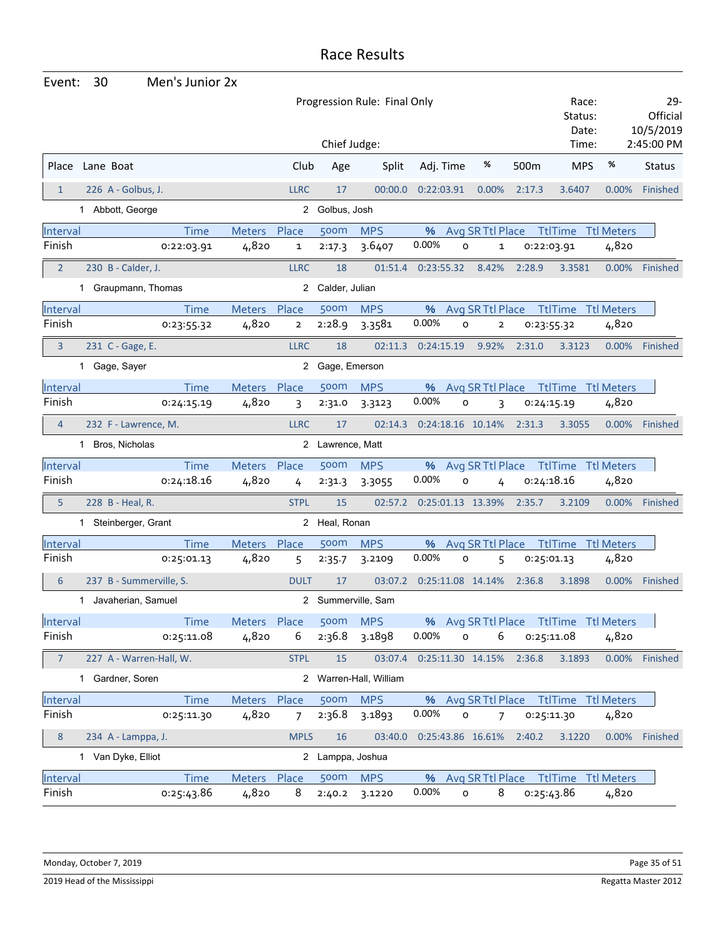| Event:         | 30                      | Men's Junior 2x |               |                |                  |                              |            |                     |                   |        |                                        |          |                                 |
|----------------|-------------------------|-----------------|---------------|----------------|------------------|------------------------------|------------|---------------------|-------------------|--------|----------------------------------------|----------|---------------------------------|
|                |                         |                 |               |                |                  | Progression Rule: Final Only |            |                     |                   |        | Race:<br>Status:<br>Date:              |          | $29 -$<br>Official<br>10/5/2019 |
|                |                         |                 |               |                | Chief Judge:     |                              |            |                     | %                 |        | Time:                                  |          | 2:45:00 PM                      |
| Place          | Lane Boat               |                 |               | Club           | Age              | Split                        | Adj. Time  |                     |                   | 500m   | <b>MPS</b>                             | %        | <b>Status</b>                   |
| $\mathbf{1}$   | 226 A - Golbus, J.      |                 |               | <b>LLRC</b>    | 17               | 00:00.0                      | 0:22:03.91 |                     | 0.00%             | 2:17.3 | 3.6407                                 | 0.00%    | Finished                        |
|                | 1 Abbott, George        |                 |               |                | 2 Golbus, Josh   |                              |            |                     |                   |        |                                        |          |                                 |
| Interval       |                         | <b>Time</b>     | Meters Place  |                | 500m             | <b>MPS</b>                   |            |                     |                   |        | % Avg SR Ttl Place Ttl Time Ttl Meters |          |                                 |
| Finish         |                         | 0:22:03.91      | 4,820         | 1              | 2:17.3           | 3.6407                       | 0.00%      | $\mathsf{o}$        | 1                 |        | 0:22:03.91                             | 4,820    |                                 |
| $\overline{2}$ | 230 B - Calder, J.      |                 |               | <b>LLRC</b>    | 18               | 01:51.4                      | 0:23:55.32 |                     | 8.42%             | 2:28.9 | 3.3581                                 | 0.00%    | Finished                        |
|                | 1 Graupmann, Thomas     |                 |               |                | 2 Calder, Julian |                              |            |                     |                   |        |                                        |          |                                 |
| Interval       |                         | <b>Time</b>     | <b>Meters</b> | Place          | 500m             | <b>MPS</b>                   | %          |                     | Avg SR Ttl Place  |        | <b>TtlTime Ttl Meters</b>              |          |                                 |
| Finish         |                         | 0:23:55.32      | 4,820         | $\overline{2}$ | 2:28.9           | 3.3581                       | 0.00%      | $\circ$             | $\overline{2}$    |        | 0:23:55.32                             | 4,820    |                                 |
| 3              | 231 C - Gage, E.        |                 |               | <b>LLRC</b>    | 18               | 02:11.3                      | 0:24:15.19 |                     | 9.92%             | 2:31.0 | 3.3123                                 | 0.00%    | Finished                        |
|                | 1 Gage, Sayer           |                 |               |                | 2 Gage, Emerson  |                              |            |                     |                   |        |                                        |          |                                 |
| Interval       |                         | <b>Time</b>     | Meters Place  |                | 500m             | <b>MPS</b>                   |            |                     |                   |        | % Avg SR Ttl Place Ttl Time Ttl Meters |          |                                 |
| Finish         |                         | 0:24:15.19      | 4,820         | 3              | 2:31.0           | 3.3123                       | 0.00%      | $\circ$             | 3                 |        | 0:24:15.19                             | 4,820    |                                 |
| $\overline{4}$ | 232 F - Lawrence, M.    |                 |               | <b>LLRC</b>    | 17               | 02:14.3                      |            |                     | 0:24:18.16 10.14% | 2:31.3 | 3.3055                                 | 0.00%    | Finished                        |
|                | 1 Bros, Nicholas        |                 |               |                | 2 Lawrence, Matt |                              |            |                     |                   |        |                                        |          |                                 |
| Interval       |                         | <b>Time</b>     | Meters        | Place          | 500m             | <b>MPS</b>                   | %          |                     | Avg SR Ttl Place  |        | TtlTime Ttl Meters                     |          |                                 |
| Finish         |                         | 0:24:18.16      | 4,820         | 4              | 2:31.3           | 3.3055                       | 0.00%      | $\circ$             | 4                 |        | 0:24:18.16                             | 4,820    |                                 |
| 5              | 228 B - Heal, R.        |                 |               | <b>STPL</b>    | 15               | 02:57.2                      |            |                     | 0:25:01.13 13.39% | 2:35.7 | 3.2109                                 | $0.00\%$ | Finished                        |
|                | 1 Steinberger, Grant    |                 |               |                | 2 Heal, Ronan    |                              |            |                     |                   |        |                                        |          |                                 |
| Interval       |                         | Time            | Meters Place  |                | 500m             | <b>MPS</b>                   | %          |                     | Avg SR Ttl Place  |        | <b>TtlTime Ttl Meters</b>              |          |                                 |
| Finish         |                         | 0:25:01.13      | 4,820         | 5              | 2:35.7           | 3.2109                       | 0.00%      | $\circ$             | 5                 |        | 0:25:01.13                             | 4,820    |                                 |
| 6              | 237 B - Summerville, S. |                 |               | <b>DULT</b>    | 17               | 03:07.2                      |            |                     | 0:25:11.08 14.14% | 2:36.8 | 3.1898                                 | 0.00%    | Finished                        |
|                | 1 Javaherian, Samuel    |                 |               |                |                  | 2 Summerville, Sam           |            |                     |                   |        |                                        |          |                                 |
| Interval       |                         | <b>Time</b>     | Meters Place  |                | 500m             | <b>MPS</b>                   |            |                     |                   |        | % Avg SR Ttl Place Ttl Time Ttl Meters |          |                                 |
| Finish         |                         | 0:25:11.08      | 4,820         | 6              | 2:36.8           | 3.1898                       | 0.00%      | $\mathsf{o}\xspace$ | 6                 |        | 0:25:11.08                             | 4,820    |                                 |
| $\overline{7}$ | 227 A - Warren-Hall, W. |                 |               | <b>STPL</b>    | 15               | 03:07.4  0:25:11.30  14.15%  |            |                     |                   | 2:36.8 | 3.1893                                 | 0.00%    | Finished                        |
|                | 1 Gardner, Soren        |                 |               |                |                  | 2 Warren-Hall, William       |            |                     |                   |        |                                        |          |                                 |
| Interval       |                         | <b>Time</b>     | Meters Place  |                | 500m             | <b>MPS</b>                   |            |                     |                   |        | % Avg SR Ttl Place Ttl Time Ttl Meters |          |                                 |
| Finish         |                         | 0:25:11.30      | 4,820         | $\overline{7}$ | 2:36.8           | 3.1893                       | 0.00%      | $\mathsf{o}$        | 7                 |        | 0:25:11.30                             | 4,820    |                                 |
| 8              | 234 A - Lamppa, J.      |                 |               | <b>MPLS</b>    | 16               | 03:40.0                      |            |                     | 0:25:43.86 16.61% | 2:40.2 | 3.1220                                 | 0.00%    | Finished                        |
|                | 1 Van Dyke, Elliot      |                 |               |                | 2 Lamppa, Joshua |                              |            |                     |                   |        |                                        |          |                                 |
| Interval       |                         | <b>Time</b>     | Meters Place  |                | 500m             | <b>MPS</b>                   |            |                     |                   |        | % Avg SR Ttl Place Ttl Time Ttl Meters |          |                                 |
| Finish         |                         | 0:25:43.86      | 4,820         | 8              | 2:40.2           | 3.1220                       | 0.00%      | $\mathsf{o}$        | 8                 |        | 0:25:43.86                             | 4,820    |                                 |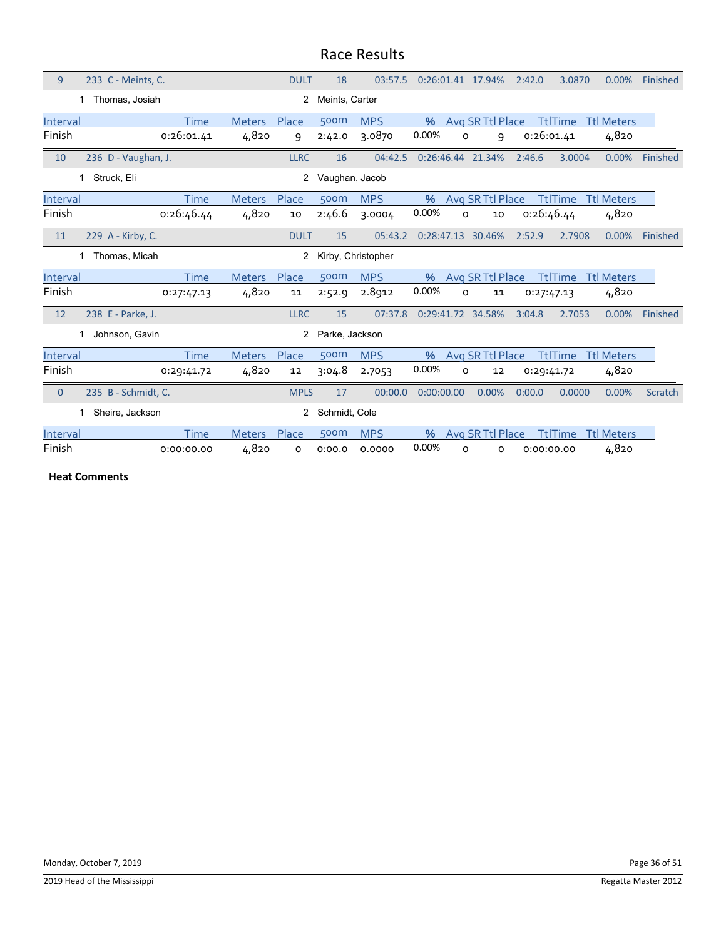| 9              | 233 C - Meints, C.              |             |               | <b>DULT</b>    | 18                   | 03:57.5    |            |          | 0:26:01.41 17.94% | 2:42.0     | 3.0870         | 0.00%             | Finished |
|----------------|---------------------------------|-------------|---------------|----------------|----------------------|------------|------------|----------|-------------------|------------|----------------|-------------------|----------|
|                | Thomas, Josiah                  |             |               | 2              | Meints, Carter       |            |            |          |                   |            |                |                   |          |
| Interval       |                                 | <b>Time</b> | <b>Meters</b> | Place          | 500m                 | <b>MPS</b> | $\%$       |          | Avg SR Ttl Place  |            | <b>TtlTime</b> | <b>Ttl Meters</b> |          |
| Finish         |                                 | 0:26:01.41  | 4,820         | 9              | 2:42.0               | 3.0870     | 0.00%      | O        | 9                 | 0:26:01.41 |                | 4,820             |          |
| 10             | 236 D - Vaughan, J.             |             |               | <b>LLRC</b>    | 16                   | 04:42.5    |            |          | 0:26:46.44 21.34% | 2:46.6     | 3.0004         | 0.00%             | Finished |
|                | 1 Struck, Eli                   |             |               | $\overline{2}$ | Vaughan, Jacob       |            |            |          |                   |            |                |                   |          |
| Interval       |                                 | <b>Time</b> | <b>Meters</b> | Place          | 500m                 | <b>MPS</b> | $\%$       |          | Avg SR Ttl Place  |            | <b>TtlTime</b> | <b>Ttl Meters</b> |          |
| Finish         |                                 | 0:26:46.44  | 4,820         | 10             | 2:46.6               | 3.0004     | 0.00%      | O        | 10                |            | 0:26:46.44     | 4,820             |          |
| 11             | 229 A - Kirby, C.               |             |               | <b>DULT</b>    | 15                   | 05:43.2    |            |          | 0:28:47.13 30.46% | 2:52.9     | 2.7908         | 0.00%             | Finished |
|                | 1 Thomas, Micah                 |             |               |                | 2 Kirby, Christopher |            |            |          |                   |            |                |                   |          |
| Interval       |                                 | <b>Time</b> | <b>Meters</b> | Place          | 500m                 | <b>MPS</b> | $\%$       |          | Avg SR Ttl Place  |            | <b>TtlTime</b> | <b>Ttl Meters</b> |          |
| Finish         |                                 | 0:27:47.13  | 4,820         | 11             | 2:52.9               | 2.8912     | 0.00%      | O        | 11                |            | 0:27:47.13     | 4,820             |          |
| 12             | 238 E - Parke, J.               |             |               | <b>LLRC</b>    | 15                   | 07:37.8    |            |          | 0:29:41.72 34.58% | 3:04.8     | 2.7053         | 0.00%             | Finished |
|                | Johnson, Gavin<br>1             |             |               | 2              | Parke, Jackson       |            |            |          |                   |            |                |                   |          |
| Interval       |                                 | Time        | <b>Meters</b> | Place          | 500m                 | <b>MPS</b> | $\%$       |          | Avg SR Ttl Place  |            | <b>TtlTime</b> | <b>Ttl Meters</b> |          |
| Finish         |                                 | 0:29:41.72  | 4,820         | 12             | 3:04.8               | 2.7053     | 0.00%      | $\circ$  | 12                | 0:29:41.72 |                | 4,820             |          |
| $\overline{0}$ | 235 B - Schmidt, C.             |             |               | <b>MPLS</b>    | 17                   | 00:00.0    | 0:00:00.00 |          | 0.00%             | 0:00.0     | 0.0000         | 0.00%             | Scratch  |
|                | Sheire, Jackson<br>$\mathbf{1}$ |             |               | $\mathbf{2}$   | Schmidt, Cole        |            |            |          |                   |            |                |                   |          |
| Interval       |                                 | <b>Time</b> | <b>Meters</b> | Place          | 500m                 | <b>MPS</b> | $\%$       |          | Avg SR Ttl Place  |            | <b>TtlTime</b> | <b>Ttl Meters</b> |          |
| Finish         |                                 | 0:00:00.00  | 4,820         | o              | 0:00.0               | 0.0000     | 0.00%      | $\Omega$ | $\circ$           | 0:00:00.00 |                | 4,820             |          |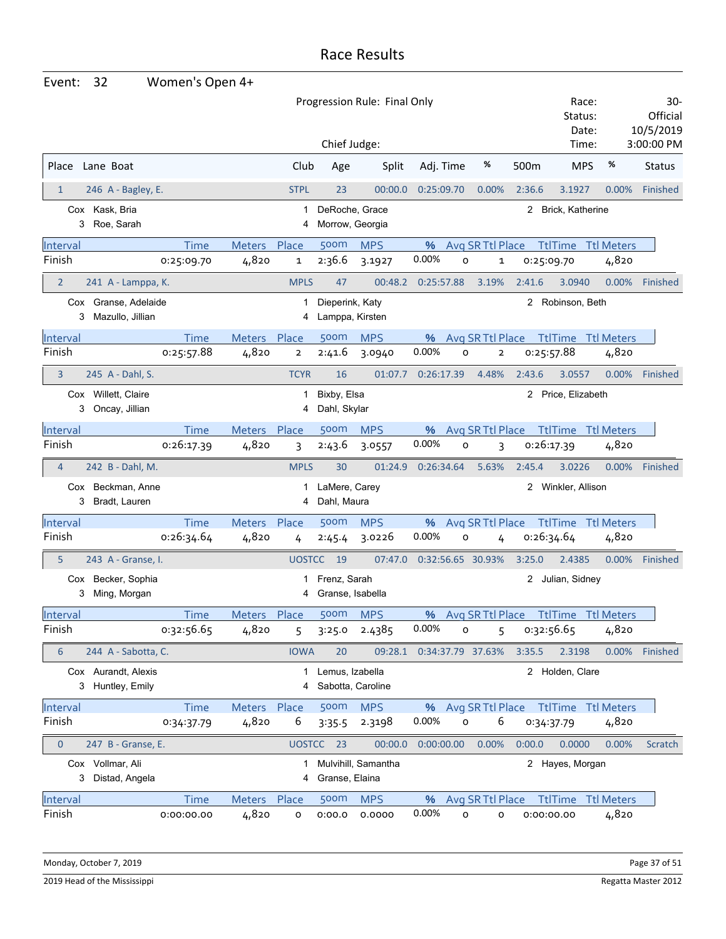| Event:          | 32                                       | Women's Open 4+ |               |                |                                    |                              |                   |                              |                  |                           |                   |                              |
|-----------------|------------------------------------------|-----------------|---------------|----------------|------------------------------------|------------------------------|-------------------|------------------------------|------------------|---------------------------|-------------------|------------------------------|
|                 |                                          |                 |               |                |                                    | Progression Rule: Final Only |                   |                              |                  | Race:<br>Status:<br>Date: |                   | 30-<br>Official<br>10/5/2019 |
|                 |                                          |                 |               |                | Chief Judge:                       |                              |                   |                              |                  | Time:                     |                   | 3:00:00 PM                   |
| Place           | Lane Boat                                |                 |               | Club           | Age                                | Split                        | Adj. Time         | %                            | 500 <sub>m</sub> | <b>MPS</b>                | %                 | <b>Status</b>                |
| $\mathbf{1}$    | 246 A - Bagley, E.                       |                 |               | <b>STPL</b>    | 23                                 | 00:00.0                      | 0:25:09.70        | 0.00%                        | 2:36.6           | 3.1927                    | 0.00%             | Finished                     |
| 3               | Cox Kask, Bria<br>Roe, Sarah             |                 |               | 1<br>4         | DeRoche, Grace<br>Morrow, Georgia  |                              |                   |                              | 2                | Brick, Katherine          |                   |                              |
| Interval        |                                          | <b>Time</b>     | <b>Meters</b> | Place          | 500m                               | <b>MPS</b>                   | %                 | Avg SR Ttl Place             |                  | <b>TtlTime</b>            | <b>Ttl Meters</b> |                              |
| Finish          |                                          | 0:25:09.70      | 4,820         | 1              | 2:36.6                             | 3.1927                       | 0.00%             | o<br>1                       |                  | 0:25:09.70                | 4,820             |                              |
| $\overline{2}$  | 241 A - Lamppa, K.                       |                 |               | <b>MPLS</b>    | 47                                 | 00:48.2                      | 0:25:57.88        | 3.19%                        | 2:41.6           | 3.0940                    | 0.00%             | <b>Finished</b>              |
| 3               | Cox Granse, Adelaide<br>Mazullo, Jillian |                 |               | 1<br>4         | Dieperink, Katy<br>Lamppa, Kirsten |                              |                   |                              | 2                | Robinson, Beth            |                   |                              |
| Interval        |                                          | <b>Time</b>     | <b>Meters</b> | Place          | 500m                               | <b>MPS</b>                   | %                 | Avg SR Ttl Place             |                  | <b>TtlTime Ttl Meters</b> |                   |                              |
| Finish          |                                          | 0:25:57.88      | 4,820         | $\overline{2}$ | 2:41.6                             | 3.0940                       | 0.00%             | o<br>$\overline{\mathbf{2}}$ |                  | 0:25:57.88                | 4,820             |                              |
| 3               | 245 A - Dahl, S.                         |                 |               | <b>TCYR</b>    | 16                                 | 01:07.7                      | 0:26:17.39        | 4.48%                        | 2:43.6           | 3.0557                    | 0.00%             | Finished                     |
| Cox<br>3        | Willett, Claire<br>Oncay, Jillian        |                 |               | 1<br>4         | Bixby, Elsa<br>Dahl, Skylar        |                              |                   |                              |                  | 2 Price, Elizabeth        |                   |                              |
| Interval        |                                          | Time            | <b>Meters</b> | Place          | 500m                               | <b>MPS</b>                   | %                 | Avg SR Ttl Place             |                  | <b>TtlTime</b>            | <b>Ttl Meters</b> |                              |
| Finish          |                                          | 0:26:17.39      | 4,820         | 3              | 2:43.6                             | 3.0557                       | 0.00%             | o<br>3                       |                  | 0:26:17.39                | 4,820             |                              |
| $\overline{4}$  | 242 B - Dahl, M.                         |                 |               | <b>MPLS</b>    | 30                                 | 01:24.9                      | 0:26:34.64        | 5.63%                        | 2:45.4           | 3.0226                    | $0.00\%$          | Finished                     |
| 3               | Cox Beckman, Anne<br>Bradt, Lauren       |                 |               | 4              | LaMere, Carey<br>Dahl, Maura       |                              |                   |                              | 2                | Winkler, Allison          |                   |                              |
| Interval        |                                          | <b>Time</b>     | Meters        | Place          | 500m                               | <b>MPS</b>                   | %                 | Avg SR Ttl Place             |                  | TtlTime                   | <b>Ttl Meters</b> |                              |
| Finish          |                                          | 0:26:34.64      | 4,820         | 4              | 2:45.4                             | 3.0226                       | 0.00%             | O<br>4                       |                  | 0:26:34.64                | 4,820             |                              |
| 5               | 243 A - Granse, I.                       |                 |               | <b>UOSTCC</b>  | 19                                 | 07:47.0                      | 0:32:56.65 30.93% |                              | 3:25.0           | 2.4385                    | 0.00%             | Finished                     |
| Cox<br>3        | Becker, Sophia<br>Ming, Morgan           |                 |               |                | Frenz, Sarah<br>Granse, Isabella   |                              |                   |                              | $^{2}$           | Julian, Sidney            |                   |                              |
| Interval        |                                          | Time            | Meters Place  |                | 500 <sub>m</sub>                   | <b>MPS</b>                   | %                 | Avg SR Ttl Place             |                  | <b>TtlTime Ttl Meters</b> |                   |                              |
| Finish          |                                          | 0:32:56.65      | 4,820         | 5              | 3:25.0                             | 2.4385                       | 0.00%             | 0<br>5                       |                  | 0:32:56.65                | 4,820             |                              |
| $6\phantom{1}6$ | 244 A - Sabotta, C.                      |                 |               | <b>IOWA</b>    | 20                                 | 09:28.1                      | 0:34:37.79 37.63% |                              | 3:35.5           | 2.3198                    |                   | 0.00% Finished               |
| 3               | Cox Aurandt, Alexis<br>Huntley, Emily    |                 |               | 1              | Lemus, Izabella                    | Sabotta, Caroline            |                   |                              |                  | 2 Holden, Clare           |                   |                              |
| Interval        |                                          | <b>Time</b>     | Meters Place  |                | 500m                               | <b>MPS</b>                   |                   | % Avg SR Ttl Place           |                  | <b>TtlTime</b> Ttl Meters |                   |                              |
| Finish          |                                          | 0:34:37.79      | 4,820         | 6              | 3:35.5                             | 2.3198                       | 0.00%             | 6<br>O                       |                  | 0:34:37.79                | 4,820             |                              |
| $\mathbf 0$     | 247 B - Granse, E.                       |                 |               |                | UOSTCC 23                          | 00:00.0                      | 0:00:00.00        | 0.00%                        | 0:00.0           | 0.0000                    | 0.00%             | Scratch                      |
| 3               | Cox Vollmar, Ali<br>Distad, Angela       |                 |               | 4              | Granse, Elaina                     | Mulvihill, Samantha          |                   |                              |                  | 2 Hayes, Morgan           |                   |                              |
| <b>Interval</b> |                                          | <b>Time</b>     | Meters Place  |                | 500m                               | <b>MPS</b>                   | %                 | Avg SR Ttl Place             |                  | <b>TtlTime</b> Ttl Meters |                   |                              |
| Finish          |                                          | 0:00:00.00      | 4,820         | o              | 0:00.0                             | 0.0000                       | 0.00%             | о<br>о                       |                  | 0:00:00.00                | 4,820             |                              |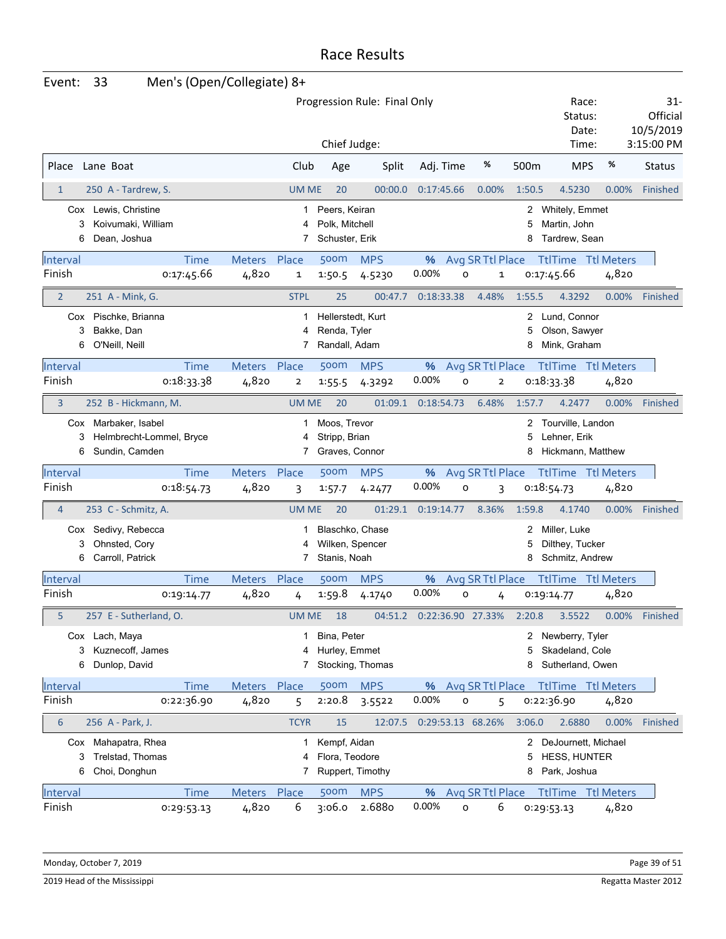| Event:                    | 33                                                                                 | Men's (Open/Collegiate) 8+ |                             |                                                    |                              |            |                                       |                       |                                                                      |                            |                                            |
|---------------------------|------------------------------------------------------------------------------------|----------------------------|-----------------------------|----------------------------------------------------|------------------------------|------------|---------------------------------------|-----------------------|----------------------------------------------------------------------|----------------------------|--------------------------------------------|
|                           |                                                                                    |                            |                             | Chief Judge:                                       | Progression Rule: Final Only |            |                                       |                       | Race:<br>Status:<br>Date:<br>Time:                                   |                            | 31-<br>Official<br>10/5/2019<br>3:15:00 PM |
| Place                     | Lane Boat                                                                          |                            | Club                        | Age                                                | Split                        | Adj. Time  | %                                     | 500m                  | <b>MPS</b>                                                           | %                          | <b>Status</b>                              |
| $\mathbf{1}$              | 250 A - Tardrew, S.                                                                |                            | <b>UM ME</b>                | 20                                                 | 00:00.0                      | 0:17:45.66 | 0.00%                                 | 1:50.5                | 4.5230                                                               | 0.00%                      | Finished                                   |
| 3<br>6                    | Cox Lewis, Christine<br>Koivumaki, William<br>Dean, Joshua                         |                            | 1<br>4<br>7                 | Peers, Keiran<br>Polk, Mitchell<br>Schuster, Erik  |                              |            |                                       | 2<br>5<br>8           | Whitely, Emmet<br>Martin, John<br>Tardrew, Sean                      |                            |                                            |
| Interval<br>Finish        | <b>Time</b><br>0:17:45.66                                                          | Meters Place<br>4,820      | 1                           | 500m<br>1:50.5                                     | <b>MPS</b><br>4.5230         | %<br>0.00% | Avg SR Ttl Place<br>O<br>$\mathbf 1$  |                       | <b>TtlTime Ttl Meters</b><br>0:17:45.66                              | 4,820                      |                                            |
| $\overline{2}$            | 251 A - Mink, G.                                                                   |                            | <b>STPL</b>                 | 25                                                 | 00:47.7                      | 0:18:33.38 | 4.48%                                 | 1:55.5                | 4.3292                                                               | 0.00%                      | Finished                                   |
| 3<br>6                    | Cox Pischke, Brianna<br>Bakke, Dan<br>O'Neill, Neill                               |                            | 1<br>4<br>7                 | Hellerstedt, Kurt<br>Renda, Tyler<br>Randall, Adam |                              |            |                                       | 5<br>8                | 2 Lund, Connor<br>Olson, Sawyer<br>Mink, Graham                      |                            |                                            |
| Interval<br>Finish        | <b>Time</b><br>0:18:33.38                                                          | <b>Meters</b><br>4,820     | Place<br>2                  | <b>500m</b><br>1:55.5                              | <b>MPS</b><br>4.3292         | %<br>0.00% | Avg SR Ttl Place<br>O<br>$\mathbf{2}$ |                       | <b>TtlTime Ttl Meters</b><br>0:18:33.38                              | 4,820                      |                                            |
| 3                         | 252 B - Hickmann, M.                                                               |                            | <b>UM ME</b>                | 20                                                 | 01:09.1                      | 0:18:54.73 | 6.48%                                 | 1:57.7                | 4.2477                                                               | 0.00%                      | Finished                                   |
| 3<br>6                    | Cox Marbaker, Isabel<br>Helmbrecht-Lommel, Bryce<br>Sundin, Camden                 |                            | 1<br>4<br>7                 | Moos, Trevor<br>Stripp, Brian<br>Graves, Connor    |                              |            |                                       | 2<br>5<br>8           | Tourville, Landon<br>Lehner, Erik<br>Hickmann, Matthew               |                            |                                            |
| Interval<br>Finish        | <b>Time</b><br>0:18:54.73                                                          | <b>Meters</b><br>4,820     | Place<br>3                  | 500m<br>1:57.7                                     | <b>MPS</b><br>4.2477         | %<br>0.00% | Avg SR Ttl Place<br>o<br>3            |                       | <b>TtlTime</b><br>0:18:54.73                                         | <b>Ttl Meters</b><br>4,820 |                                            |
| 4                         | 253 C - Schmitz, A.                                                                |                            | <b>UM ME</b>                | 20                                                 | 01:29.1                      | 0:19:14.77 | 8.36%                                 | 1:59.8                | 4.1740                                                               | 0.00%                      | Finished                                   |
| 3<br>6                    | Cox Sedivy, Rebecca<br>Ohnsted, Cory<br>Carroll, Patrick                           |                            | 4<br>7                      | Wilken, Spencer<br>Stanis, Noah                    | Blaschko, Chase              |            |                                       | 2<br>5<br>8           | Miller, Luke<br>Dilthey, Tucker<br>Schmitz, Andrew                   |                            |                                            |
| Interval                  | Time                                                                               | <b>Meters</b>              | Place                       | 500m                                               | <b>MPS</b>                   | %          | Avg SR Ttl Place                      |                       | <b>TtITime</b> TtI Meters                                            |                            |                                            |
| Finish                    | 0:19:14.77                                                                         | 4,820                      | 4                           | 1:59.8                                             | 4.1740                       | 0.00%      | $\circ$<br>4                          |                       | 0:19:14.77                                                           | 4,820                      |                                            |
| 5<br>6                    | 257 E - Sutherland, O.<br>Cox Lach, Maya<br>Kuznecoff, James<br>3<br>Dunlop, David |                            | <b>UM ME</b><br>1<br>4<br>7 | 18<br>Bina, Peter<br>Hurley, Emmet                 | 04:51.2<br>Stocking, Thomas  |            | 0:22:36.90 27.33%                     | 2:20.8<br>5<br>8      | 3.5522<br>2 Newberry, Tyler<br>Skadeland, Cole<br>Sutherland, Owen   | 0.00%                      | Finished                                   |
| Interval                  | <b>Time</b>                                                                        | Meters Place               |                             | 500m                                               | <b>MPS</b>                   | %          | Avg SR Ttl Place Ttl Time Ttl Meters  |                       |                                                                      |                            |                                            |
| Finish                    | 0:22:36.90                                                                         | 4,820                      | 5                           | 2:20.8                                             | 3.5522                       | 0.00%      | O<br>5                                |                       | 0:22:36.90                                                           | 4,820                      |                                            |
| $6\phantom{1}6$<br>3<br>6 | 256 A - Park, J.<br>Cox Mahapatra, Rhea<br>Trelstad, Thomas<br>Choi, Donghun       |                            | <b>TCYR</b><br>1<br>4<br>7  | 15<br>Kempf, Aidan<br>Flora, Teodore               | 12:07.5<br>Ruppert, Timothy  |            | 0:29:53.13 68.26%                     | 3:06.0<br>2<br>5<br>8 | 2.6880<br>DeJournett, Michael<br><b>HESS, HUNTER</b><br>Park, Joshua | 0.00%                      | Finished                                   |
| Interval<br>Finish        | <b>Time</b><br>0:29:53.13                                                          | Meters Place<br>4,820      | 6                           | 500m<br>3:06.0                                     | <b>MPS</b><br>2.6880         | 0.00%      | % Avg SR Ttl Place<br>6<br>$\circ$    |                       | <b>TtlTime</b> Ttl Meters<br>0:29:53.13                              | 4,820                      |                                            |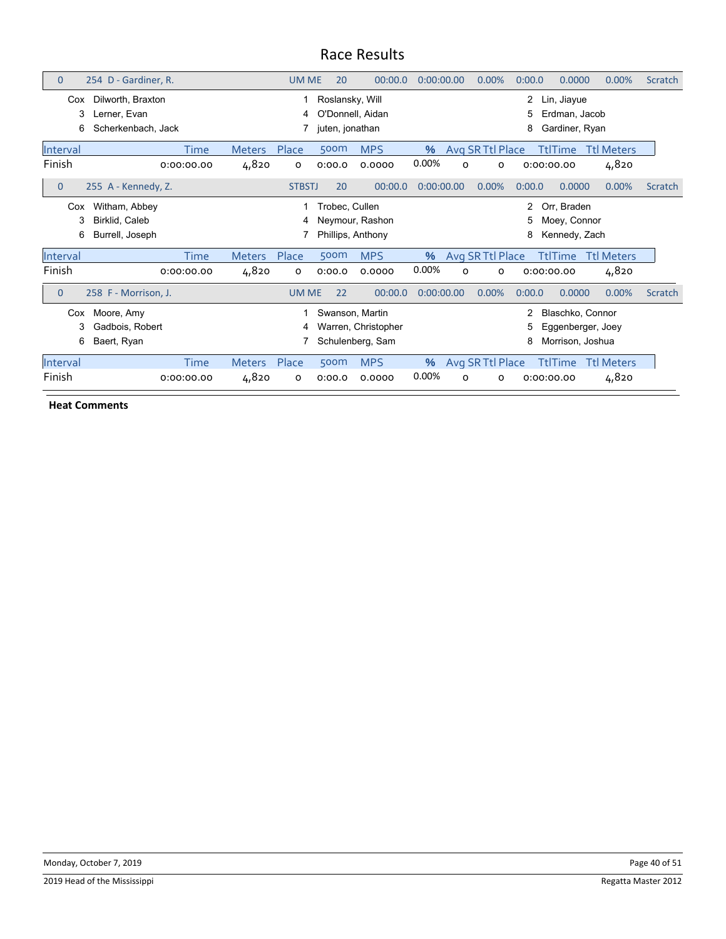| $\overline{0}$     | 254 D - Gardiner, R.                                   |                    |                        | <b>UM ME</b>  | 20                                                     | 00:00.0                                 | 0:00:00.00    |          | 0.00%                 | 0:00.0                   | 0.0000                                                    | 0.00%                      | Scratch |
|--------------------|--------------------------------------------------------|--------------------|------------------------|---------------|--------------------------------------------------------|-----------------------------------------|---------------|----------|-----------------------|--------------------------|-----------------------------------------------------------|----------------------------|---------|
| Cox<br>3<br>6      | Dilworth, Braxton<br>erner, Evan<br>Scherkenbach, Jack |                    |                        | 4             | Roslansky, Will<br>O'Donnell. Aidan<br>juten, jonathan |                                         |               |          |                       | $\overline{2}$<br>5<br>8 | Lin, Jiayue<br>Erdman, Jacob<br>Gardiner, Ryan            |                            |         |
| Interval           |                                                        | Time               | <b>Meters</b>          | Place         | 500m                                                   | <b>MPS</b>                              | %             |          | Avg SR Ttl Place      |                          | <b>TtlTime</b>                                            | <b>Ttl Meters</b>          |         |
| Finish             |                                                        | 0:00:00.00         | 4,820                  | 0             | 0:00.0                                                 | 0.0000                                  | 0.00%         | $\circ$  | O                     |                          | 0:00:00.00                                                | 4,820                      |         |
| 0                  | 255 A - Kennedy, Z.                                    |                    |                        | <b>STBSTJ</b> | 20                                                     | 00:00.0                                 | 0:00:00.00    |          | 0.00%                 | 0:00.0                   | 0.0000                                                    | 0.00%                      | Scratch |
| Cox<br>3<br>6      | Witham, Abbey<br>Birklid, Caleb<br>Burrell, Joseph     |                    |                        | 4             | Trobec, Cullen<br>Phillips, Anthony                    | Neymour, Rashon                         |               |          |                       | 2<br>5<br>8              | Orr, Braden<br>Moey, Connor<br>Kennedy, Zach              |                            |         |
| Interval           |                                                        | <b>Time</b>        | <b>Meters</b>          | Place         | 500m                                                   | <b>MPS</b>                              | $\%$          |          | Avg SR Ttl Place      |                          | TtlTime                                                   | <b>Ttl Meters</b>          |         |
| Finish             |                                                        | 0:00:00.00         | 4,820                  | 0             | 0:00.0                                                 | 0.0000                                  | 0.00%         | O        | o                     |                          | 0:00:00.00                                                | 4,820                      |         |
| $\mathbf{0}$       | 258 F - Morrison, J.                                   |                    |                        | <b>UM ME</b>  | 22                                                     | 00:00.0                                 | 0:00:00.00    |          | 0.00%                 | 0:00.0                   | 0.0000                                                    | 0.00%                      | Scratch |
| Cox<br>3<br>6      | Moore, Amy<br>Gadbois, Robert<br>Baert, Ryan           |                    |                        | 4             | Swanson, Martin                                        | Warren, Christopher<br>Schulenberg, Sam |               |          |                       | 5<br>8                   | Blaschko, Connor<br>Eggenberger, Joey<br>Morrison, Joshua |                            |         |
| Interval<br>Finish |                                                        | Time<br>0:00:00.00 | <b>Meters</b><br>4,820 | Place<br>о    | 500m<br>0:00.0                                         | <b>MPS</b><br>0.0000                    | $\%$<br>0.00% | $\Omega$ | Avg SR Ttl Place<br>O |                          | <b>TtlTime</b><br>0:00:00.00                              | <b>Ttl Meters</b><br>4,820 |         |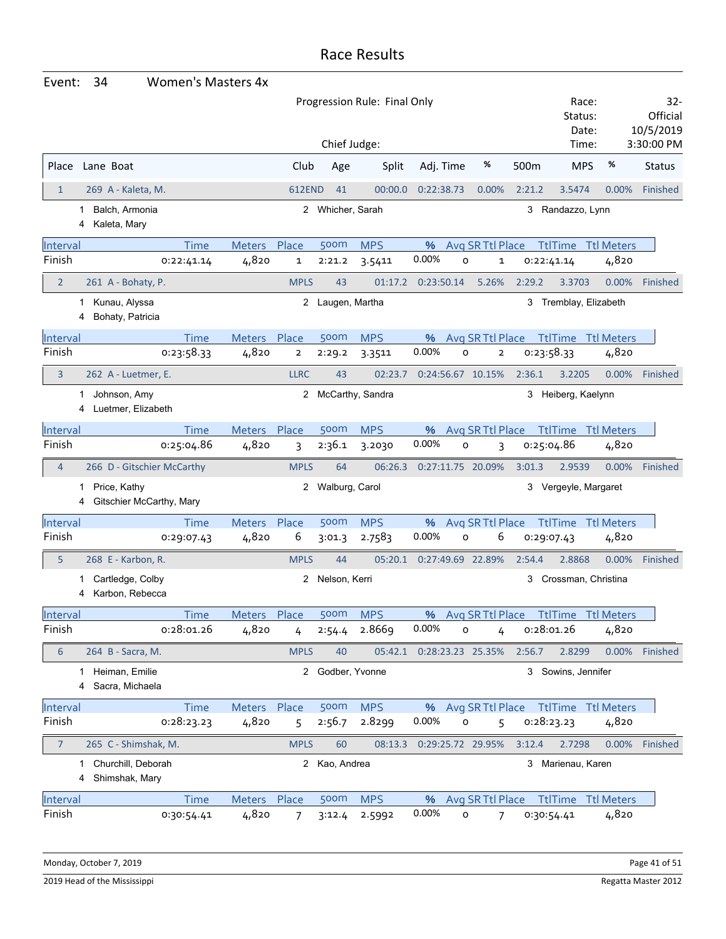| Event:         | 34<br><b>Women's Masters 4x</b>          |               |                |                  |                              |                   |                     |            |                                        |          |                                            |
|----------------|------------------------------------------|---------------|----------------|------------------|------------------------------|-------------------|---------------------|------------|----------------------------------------|----------|--------------------------------------------|
|                |                                          |               |                |                  | Progression Rule: Final Only |                   |                     |            | Race:<br>Status:<br>Date:<br>Time:     |          | 32-<br>Official<br>10/5/2019<br>3:30:00 PM |
|                |                                          |               |                | Chief Judge:     |                              |                   |                     |            |                                        |          |                                            |
| Place          | Lane Boat                                |               | Club           | Age              | Split                        | Adj. Time         | %                   | 500m       | <b>MPS</b>                             | %        | <b>Status</b>                              |
| $\mathbf{1}$   | 269 A - Kaleta, M.                       |               | <b>612END</b>  | 41               | 00:00.0                      | 0:22:38.73        | 0.00%               | 2:21.2     | 3.5474                                 | 0.00%    | Finished                                   |
| 1<br>4         | Balch, Armonia<br>Kaleta, Mary           |               |                | 2 Whicher, Sarah |                              |                   |                     | 3          | Randazzo, Lynn                         |          |                                            |
| Interval       | <b>Time</b>                              | Meters Place  |                | 500m             | <b>MPS</b>                   |                   | % Avg SR Ttl Place  |            | <b>TtlTime</b> Ttl Meters              |          |                                            |
| Finish         | 0:22:41.14                               | 4,820         | 1              | 2:21.2           | 3.5411                       | 0.00%             | O<br>1              | 0:22:41.14 |                                        | 4,820    |                                            |
| $\overline{2}$ | 261 A - Bohaty, P.                       |               | <b>MPLS</b>    | 43               | 01:17.2                      | 0:23:50.14        | 5.26%               | 2:29.2     | 3.3703                                 | 0.00%    | Finished                                   |
| 4              | 1 Kunau, Alyssa<br>Bohaty, Patricia      |               |                | 2 Laugen, Martha |                              |                   |                     |            | 3 Tremblay, Elizabeth                  |          |                                            |
| Interval       | <b>Time</b>                              | <b>Meters</b> | Place          | 500m             | <b>MPS</b>                   | %                 | Avg SR Ttl Place    |            | <b>TtlTime Ttl Meters</b>              |          |                                            |
| Finish         | 0:23:58.33                               | 4,820         | $\overline{2}$ | 2:29.2           | 3.3511                       | 0.00%             | O<br>$\overline{2}$ | 0:23:58.33 |                                        | 4,820    |                                            |
| 3              | 262 A - Luetmer, E.                      |               | <b>LLRC</b>    | 43               | 02:23.7                      | 0:24:56.67 10.15% |                     | 2:36.1     | 3.2205                                 | $0.00\%$ | Finished                                   |
| 1<br>4         | Johnson, Amy<br>Luetmer, Elizabeth       |               |                |                  | 2 McCarthy, Sandra           |                   |                     |            | 3 Heiberg, Kaelynn                     |          |                                            |
| Interval       | <b>Time</b>                              | Meters Place  |                | 500m             | <b>MPS</b>                   | %                 | Avg SR Ttl Place    |            | TtlTime Ttl Meters                     |          |                                            |
| Finish         | 0:25:04.86                               | 4,820         | 3              | 2:36.1           | 3.2030                       | 0.00%             | O<br>3              | 0:25:04.86 |                                        | 4,820    |                                            |
| $\overline{4}$ | 266 D - Gitschier McCarthy               |               | <b>MPLS</b>    | 64               | 06:26.3                      | 0:27:11.75 20.09% |                     | 3:01.3     | 2.9539                                 | 0.00%    | Finished                                   |
| 1<br>4         | Price, Kathy<br>Gitschier McCarthy, Mary |               | 2              | Walburg, Carol   |                              |                   |                     |            | 3 Vergeyle, Margaret                   |          |                                            |
| Interval       | Time                                     | <b>Meters</b> | Place          | 500m             | <b>MPS</b>                   | %                 | Avg SR Ttl Place    |            | <b>TtlTime Ttl Meters</b>              |          |                                            |
| Finish         | 0:29:07.43                               | 4,820         | 6              | 3:01.3           | 2.7583                       | 0.00%             | 6<br>O              | 0:29:07.43 |                                        | 4,820    |                                            |
| 5              | 268 E - Karbon, R.                       |               | <b>MPLS</b>    | 44               | 05:20.1                      | 0:27:49.69 22.89% |                     | 2:54.4     | 2.8868                                 | 0.00%    | Finished                                   |
| 1<br>4         | Cartledge, Colby<br>Karbon, Rebecca      |               | 2              | Nelson, Kerri    |                              |                   |                     | 3          | Crossman, Christina                    |          |                                            |
| Interval       | <b>Time</b>                              | Meters Place  |                | 500m             | <b>MPS</b>                   |                   |                     |            | % Avg SR Ttl Place Ttl Time Ttl Meters |          |                                            |
| Finish         | 0:28:01.26                               | 4,820         | 4              | 2:54.4           | 2.8669                       | 0.00%             | O<br>4              | 0:28:01.26 |                                        | 4,820    |                                            |
| 6              | 264 B - Sacra, M.                        |               | <b>MPLS</b>    | 40               | 05:42.1                      | 0:28:23.23 25.35% |                     | 2:56.7     | 2.8299                                 | $0.00\%$ | Finished                                   |
| 1<br>4         | Heiman, Emilie<br>Sacra, Michaela        |               |                | 2 Godber, Yvonne |                              |                   |                     |            | 3 Sowins, Jennifer                     |          |                                            |
| Interval       | Time                                     | Meters Place  |                | 500m             | <b>MPS</b>                   |                   | % Avg SR Ttl Place  |            | TtlTime Ttl Meters                     |          |                                            |
| Finish         | 0:28:23.23                               | 4,820         | 5              | 2:56.7           | 2.8299                       | 0.00%             | 0<br>5              | 0:28:23.23 |                                        | 4,820    |                                            |
| $\overline{7}$ | 265 C - Shimshak, M.                     |               | <b>MPLS</b>    | 60               | 08:13.3                      | 0:29:25.72 29.95% |                     | 3:12.4     | 2.7298                                 | $0.00\%$ | Finished                                   |
| 1.<br>4        | Churchill, Deborah<br>Shimshak, Mary     |               |                | 2 Kao, Andrea    |                              |                   |                     |            | 3 Marienau, Karen                      |          |                                            |
| Interval       | Time                                     | Meters Place  |                | 500m             | <b>MPS</b>                   |                   |                     |            | % Avg SR Ttl Place Ttl Time Ttl Meters |          |                                            |
| Finish         | 0:30:54.41                               | 4,820         | 7              | 3:12.4           | 2.5992                       | 0.00%             | 0<br>7              | 0:30:54.41 |                                        | 4,820    |                                            |

Monday, October 7, 2019 **Page 41 of 51** 

2019 Head of the Mississippi Regatta Master 2012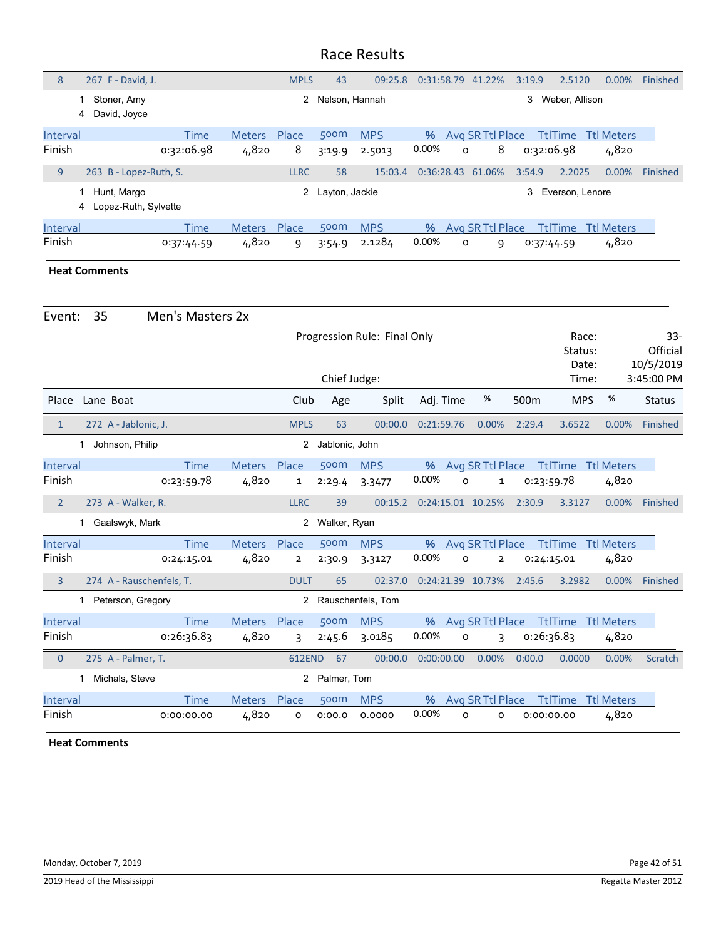| 8        | 267 F - David, J.                        |            |               | <b>MPLS</b>    | 43               | 09:25.8    |            | 0:31:58.79 41.22% |                  | 3:19.9     | 2.5120          | $0.00\%$          | Finished |
|----------|------------------------------------------|------------|---------------|----------------|------------------|------------|------------|-------------------|------------------|------------|-----------------|-------------------|----------|
|          | Stoner, Amy<br>David, Joyce<br>4         |            |               | $\overline{2}$ | Nelson, Hannah   |            |            |                   |                  | 3          | Weber, Allison  |                   |          |
| Interval |                                          | Time       | <b>Meters</b> | Place          | 500m             | <b>MPS</b> | $\%$       |                   | Avg SR Ttl Place |            | <b>TtlTime</b>  | <b>Ttl Meters</b> |          |
| Finish   |                                          | 0:32:06.98 | 4,820         | 8              | 3:19.9           | 2.5013     | 0.00%      | $\circ$           | 8                | 0:32:06.98 |                 | 4,820             |          |
| 9        | 263 B - Lopez-Ruth, S.                   |            |               | <b>LLRC</b>    | 58               | 15:03.4    | 0:36:28.43 |                   | 61.06%           | 3:54.9     | 2.2025          | 0.00%             | Finished |
|          | Hunt, Margo<br>Lopez-Ruth, Sylvette<br>4 |            |               |                | 2 Layton, Jackie |            |            |                   |                  | 3          | Everson, Lenore |                   |          |
| Interval |                                          | Time       | <b>Meters</b> | Place          | 500m             | <b>MPS</b> | $\%$       |                   | Avg SR Ttl Place |            | <b>TtlTime</b>  | <b>Ttl Meters</b> |          |
| Finish   |                                          | 0:37:44.59 | 4,820         | 9              | 3:54.9           | 2.1284     | 0.00%      | O                 | 9                | 0:37:44.59 |                 | 4,820             |          |

#### **Heat Comments**

| Event:             | 35                             | Men's Masters 2x          |                        |                |                |                              |                   |                                              |            |                           |                            |                                 |
|--------------------|--------------------------------|---------------------------|------------------------|----------------|----------------|------------------------------|-------------------|----------------------------------------------|------------|---------------------------|----------------------------|---------------------------------|
|                    |                                |                           |                        |                |                | Progression Rule: Final Only |                   |                                              |            | Race:<br>Status:<br>Date: |                            | $33 -$<br>Official<br>10/5/2019 |
|                    |                                |                           |                        |                | Chief Judge:   |                              |                   |                                              |            | Time:                     |                            | 3:45:00 PM                      |
| Place              | Lane Boat                      |                           |                        | Club           | Age            | Split                        | Adj. Time         | $\%$                                         | 500m       | <b>MPS</b>                | %                          | <b>Status</b>                   |
| $\mathbf{1}$       | 272 A - Jablonic, J.           |                           |                        | <b>MPLS</b>    | 63             | 00:00.0                      | 0:21:59.76        | 0.00%                                        | 2:29.4     | 3.6522                    | 0.00%                      | Finished                        |
|                    | Johnson, Philip<br>1           |                           |                        | $\overline{2}$ | Jablonic, John |                              |                   |                                              |            |                           |                            |                                 |
| Interval<br>Finish |                                | <b>Time</b><br>0:23:59.78 | <b>Meters</b><br>4,820 | Place<br>1     | 500m<br>2:29.4 | <b>MPS</b><br>3.3477         | $\%$<br>0.00%     | Avg SR Ttl Place<br>$\Omega$<br>$\mathbf{1}$ | 0.23:59.78 | <b>TtlTime</b>            | <b>Ttl Meters</b><br>4,820 |                                 |
| $\overline{2}$     | 273 A - Walker, R.             |                           |                        | <b>LLRC</b>    | 39             | 00:15.2                      | 0:24:15.01 10.25% |                                              | 2:30.9     | 3.3127                    | 0.00%                      | Finished                        |
|                    | Gaalswyk, Mark<br>$\mathbf{1}$ |                           |                        | 2              | Walker, Ryan   |                              |                   |                                              |            |                           |                            |                                 |
| Interval           |                                | <b>Time</b>               | <b>Meters</b>          | Place          | 500m           | <b>MPS</b>                   | $\%$              | Avg SR Ttl Place                             |            | <b>TtlTime</b>            | <b>Ttl Meters</b>          |                                 |
| Finish             |                                | 0:24:15.01                | 4,820                  | $\mathbf{2}$   | 2:30.9         | 3.3127                       | 0.00%             | $\circ$<br>$\overline{2}$                    | 0:24:15.01 |                           | 4,820                      |                                 |
| 3                  | 274 A - Rauschenfels, T.       |                           |                        | <b>DULT</b>    | 65             | 02:37.0                      | 0:24:21.39 10.73% |                                              | 2:45.6     | 3.2982                    | 0.00%                      | Finished                        |
|                    | 1 Peterson, Gregory            |                           |                        | 2              |                | Rauschenfels, Tom            |                   |                                              |            |                           |                            |                                 |
| Interval           |                                | <b>Time</b>               | <b>Meters</b>          | Place          | 500m           | <b>MPS</b>                   | %                 | Avg SR Ttl Place                             |            | <b>TtlTime</b>            | <b>Ttl Meters</b>          |                                 |
| Finish             |                                | 0.26.36.83                | 4,820                  | ξ              | 2:45.6         | 3.0185                       | 0.00%             | $\mathsf{o}$<br>ξ                            | 0:26:36.83 |                           | 4,820                      |                                 |
| $\overline{0}$     | 275 A - Palmer, T.             |                           |                        | 612END         | 67             | 00:00.0                      | 0:00:00.00        | 0.00%                                        | 0:00.0     | 0.0000                    | 0.00%                      | Scratch                         |
|                    | Michals, Steve                 |                           |                        | 2              | Palmer, Tom    |                              |                   |                                              |            |                           |                            |                                 |
| Interval           |                                | <b>Time</b>               | <b>Meters</b>          | Place          | 500m           | <b>MPS</b>                   | $\%$              | Avg SR Ttl Place                             |            | <b>TtlTime</b>            | <b>Ttl Meters</b>          |                                 |
| Finish             |                                | 0:00:00.00                | 4,820                  | o              | 0:00.0         | 0.0000                       | 0.00%             | o<br>o                                       | 0:00:00.00 |                           | 4,820                      |                                 |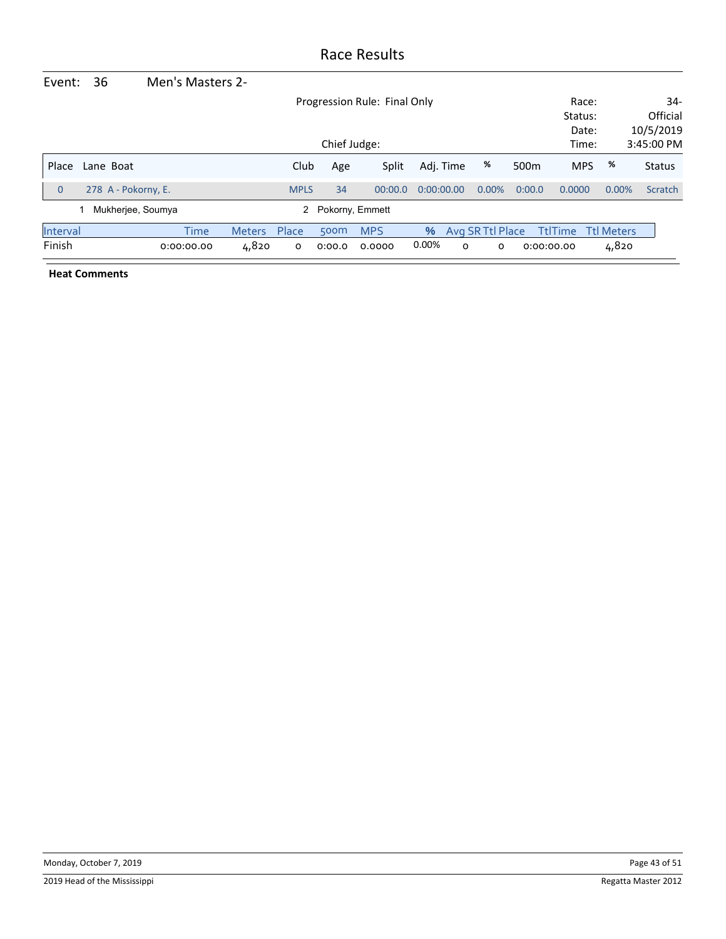| Event:         | 36                  | Men's Masters 2- |               |             |                   |                              |            |   |                  |                  |                |                   |               |
|----------------|---------------------|------------------|---------------|-------------|-------------------|------------------------------|------------|---|------------------|------------------|----------------|-------------------|---------------|
|                |                     |                  |               |             |                   | Progression Rule: Final Only |            |   |                  |                  | Race:          |                   | 34-           |
|                |                     |                  |               |             |                   |                              |            |   |                  |                  | Status:        |                   | Official      |
|                |                     |                  |               |             |                   |                              |            |   |                  |                  | Date:          |                   | 10/5/2019     |
|                |                     |                  |               |             | Chief Judge:      |                              |            |   |                  |                  | Time:          |                   | 3:45:00 PM    |
| Place          | Lane Boat           |                  |               | Club        | Age               | Split                        | Adj. Time  |   | %                | 500 <sub>m</sub> | <b>MPS</b>     | %                 | <b>Status</b> |
| $\overline{0}$ | 278 A - Pokorny, E. |                  |               | <b>MPLS</b> | 34                | 00:00.0                      | 0:00:00.00 |   | $0.00\%$         | 0:00.0           | 0.0000         | 0.00%             | Scratch       |
|                | Mukherjee, Soumya   |                  |               |             | 2 Pokorny, Emmett |                              |            |   |                  |                  |                |                   |               |
| Interval       |                     | <b>Time</b>      | <b>Meters</b> | Place       | 500m              | <b>MPS</b>                   | %          |   | Avg SR Ttl Place |                  | <b>TtlTime</b> | <b>Ttl Meters</b> |               |
| Finish         |                     | 0:00:00.00       | 4,820         | O           | 0:00.0            | 0.0000                       | 0.00%      | 0 | 0                |                  | 0:00:00.00     | 4,820             |               |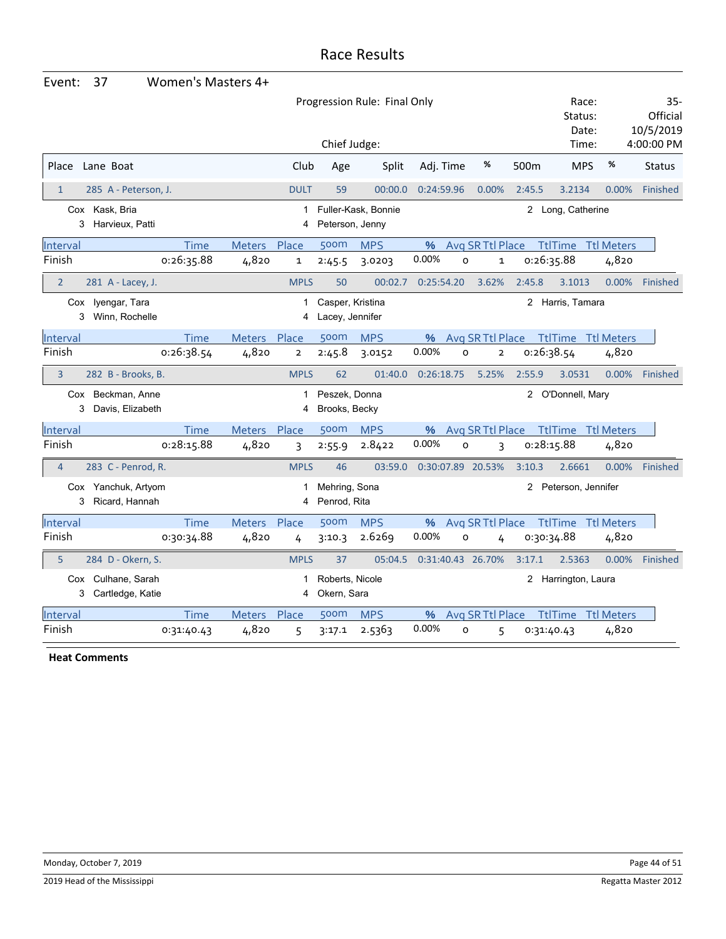| Event:         | 37                                         | Women's Masters 4+ |               |                   |                                     |                              |            |         |                   |                  |                           |                   |                                |
|----------------|--------------------------------------------|--------------------|---------------|-------------------|-------------------------------------|------------------------------|------------|---------|-------------------|------------------|---------------------------|-------------------|--------------------------------|
|                |                                            |                    |               |                   |                                     | Progression Rule: Final Only |            |         |                   |                  | Race:<br>Status:<br>Date: |                   | $35-$<br>Official<br>10/5/2019 |
|                |                                            |                    |               |                   | Chief Judge:                        |                              |            |         |                   |                  | Time:                     |                   | 4:00:00 PM                     |
| Place          | Lane Boat                                  |                    |               | Club              | Age                                 | Split                        | Adj. Time  |         | %                 | 500 <sub>m</sub> | <b>MPS</b>                | %                 | <b>Status</b>                  |
| $\mathbf{1}$   | 285 A - Peterson, J.                       |                    |               | <b>DULT</b>       | 59                                  | 00:00.0                      | 0:24:59.96 |         | 0.00%             | 2:45.5           | 3.2134                    | 0.00%             | Finished                       |
|                | Cox Kask, Bria<br>Harvieux, Patti<br>3     |                    |               | $\mathbf{1}$<br>4 | Peterson, Jenny                     | Fuller-Kask, Bonnie          |            |         |                   | $2^{\circ}$      | Long, Catherine           |                   |                                |
| Interval       |                                            | Time               | <b>Meters</b> | Place             | 500m                                | <b>MPS</b>                   | %          |         | Avg SR Ttl Place  |                  | <b>TtlTime</b>            | <b>Ttl Meters</b> |                                |
| Finish         |                                            | 0:26:35.88         | 4,820         | $\mathbf{1}$      | 2:45.5                              | 3.0203                       | 0.00%      | $\circ$ | $\mathbf 1$       |                  | 0:26:35.88                | 4,820             |                                |
| $\overline{2}$ | 281 A - Lacey, J.                          |                    |               | <b>MPLS</b>       | 50                                  | 00:02.7                      | 0:25:54.20 |         | 3.62%             | 2:45.8           | 3.1013                    | 0.00%             | Finished                       |
|                | Cox lyengar, Tara<br>Winn, Rochelle<br>3   |                    |               | 1<br>4            | Casper, Kristina<br>Lacey, Jennifer |                              |            |         |                   |                  | 2 Harris, Tamara          |                   |                                |
| Interval       |                                            | Time               | <b>Meters</b> | Place             | 500m                                | <b>MPS</b>                   | %          |         | Avg SR Ttl Place  |                  | <b>TtlTime</b>            | <b>Ttl Meters</b> |                                |
| Finish         |                                            | 0:26:38.54         | 4,820         | $\overline{2}$    | 2:45.8                              | 3.0152                       | 0.00%      | $\circ$ | $\overline{2}$    |                  | 0:26:38.54                | 4,820             |                                |
| 3              | 282 B - Brooks, B.                         |                    |               | <b>MPLS</b>       | 62                                  | 01:40.0                      | 0:26:18.75 |         | 5.25%             | 2:55.9           | 3.0531                    | 0.00%             | Finished                       |
|                | Cox Beckman, Anne<br>Davis, Elizabeth<br>3 |                    |               | 1<br>4            | Peszek, Donna<br>Brooks, Becky      |                              |            |         |                   |                  | 2 O'Donnell, Mary         |                   |                                |
| Interval       |                                            | <b>Time</b>        | Meters Place  |                   | 500m                                | <b>MPS</b>                   | %          |         | Avg SR Ttl Place  |                  | <b>TtlTime Ttl Meters</b> |                   |                                |
| Finish         |                                            | 0:28:15.88         | 4,820         | 3                 | 2:55.9                              | 2.8422                       | 0.00%      | O       | 3                 |                  | 0:28:15.88                | 4,820             |                                |
| $\overline{4}$ | 283 C - Penrod, R.                         |                    |               | <b>MPLS</b>       | 46                                  | 03:59.0                      |            |         | 0:30:07.89 20.53% | 3:10.3           | 2.6661                    | 0.00%             | Finished                       |
| 3              | Cox Yanchuk, Artyom<br>Ricard, Hannah      |                    |               | 1<br>4            | Mehring, Sona<br>Penrod, Rita       |                              |            |         |                   | 2                | Peterson, Jennifer        |                   |                                |
| Interval       |                                            | <b>Time</b>        | Meters        | Place             | 500m                                | <b>MPS</b>                   | %          |         | Avg SR Ttl Place  |                  | <b>TtlTime Ttl Meters</b> |                   |                                |
| Finish         |                                            | 0:30:34.88         | 4,820         | 4                 | 3:10.3                              | 2.6269                       | 0.00%      | $\circ$ | 4                 |                  | 0:30:34.88                | 4,820             |                                |
| 5              | 284 D - Okern, S.                          |                    |               | <b>MPLS</b>       | 37                                  | 05:04.5                      |            |         | 0:31:40.43 26.70% | 3:17.1           | 2.5363                    | 0.00%             | Finished                       |
|                | Cox Culhane, Sarah                         |                    |               | 1                 | Roberts, Nicole                     |                              |            |         |                   |                  | 2 Harrington, Laura       |                   |                                |
|                | 3<br>Cartledge, Katie                      |                    |               | 4                 | Okern, Sara                         |                              |            |         |                   |                  |                           |                   |                                |
| Interval       |                                            | Time               | <b>Meters</b> | Place             | 500m                                | <b>MPS</b>                   | %          |         | Avg SR Ttl Place  |                  | <b>TtlTime</b>            | <b>Ttl Meters</b> |                                |
| Finish         |                                            | 0:31:40.43         | 4,820         | 5                 | 3:17.1                              | 2.5363                       | 0.00%      | O       | 5                 |                  | 0:31:40.43                | 4,820             |                                |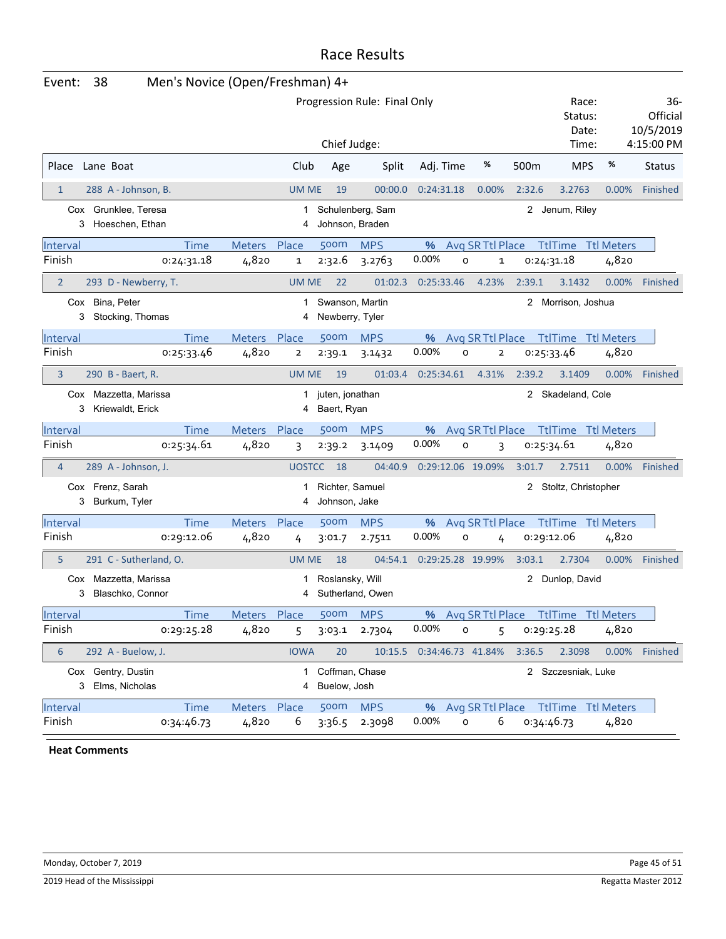| Event:         | 38                                        | Men's Novice (Open/Freshman) 4+ |               |                         |                                    |                                     |            |              |                    |              |                                      |       |                                 |
|----------------|-------------------------------------------|---------------------------------|---------------|-------------------------|------------------------------------|-------------------------------------|------------|--------------|--------------------|--------------|--------------------------------------|-------|---------------------------------|
|                |                                           |                                 |               |                         |                                    | Progression Rule: Final Only        |            |              |                    |              | Race:<br>Status:<br>Date:            |       | $36 -$<br>Official<br>10/5/2019 |
|                |                                           |                                 |               |                         | Chief Judge:                       |                                     |            |              |                    |              | Time:                                |       | 4:15:00 PM                      |
| Place          | Lane Boat                                 |                                 |               | Club                    | Age                                | Split                               |            | Adj. Time    | %                  | 500m         | <b>MPS</b>                           | %     | <b>Status</b>                   |
| $\mathbf{1}$   | 288 A - Johnson, B.                       |                                 |               | <b>UM ME</b>            | 19                                 | 00:00.0                             | 0:24:31.18 |              | 0.00%              | 2:32.6       | 3.2763                               | 0.00% | Finished                        |
| 3              | Cox Grunklee, Teresa<br>Hoeschen, Ethan   |                                 |               | 1<br>4                  |                                    | Schulenberg, Sam<br>Johnson, Braden |            |              |                    |              | 2 Jenum, Riley                       |       |                                 |
| Interval       |                                           | <b>Time</b>                     | Meters Place  |                         | 500m                               | <b>MPS</b>                          | %          |              | Avg SR Ttl Place   |              | TtlTime Ttl Meters                   |       |                                 |
| Finish         |                                           | 0:24:31.18                      | 4,820         | 1                       | 2:32.6                             | 3.2763                              | 0.00%      | o            | $\mathbf 1$        |              | 0:24:31.18                           | 4,820 |                                 |
| $\overline{2}$ | 293 D - Newberry, T.                      |                                 |               | <b>UM ME</b>            | 22                                 | 01:02.3                             | 0:25:33.46 |              | 4.23%              | 2:39.1       | 3.1432                               | 0.00% | Finished                        |
| 3              | Cox Bina, Peter<br>Stocking, Thomas       |                                 |               | 1<br>4                  | Swanson, Martin<br>Newberry, Tyler |                                     |            |              |                    | $\mathbf{2}$ | Morrison, Joshua                     |       |                                 |
| Interval       |                                           | <b>Time</b>                     | <b>Meters</b> | Place                   | 500m                               | <b>MPS</b>                          | %          |              | Avg SR Ttl Place   |              | <b>TtlTime Ttl Meters</b>            |       |                                 |
| Finish         |                                           | 0:25:33.46                      | 4,820         | $\overline{\mathbf{2}}$ | 2:39.1                             | 3.1432                              | 0.00%      | $\circ$      | $\overline{2}$     |              | 0:25:33.46                           | 4,820 |                                 |
| 3              | 290 B - Baert, R.                         |                                 |               | <b>UM ME</b>            | 19                                 | 01:03.4                             | 0:25:34.61 |              | 4.31%              | 2:39.2       | 3.1409                               | 0.00% | Finished                        |
| 3              | Cox Mazzetta, Marissa<br>Kriewaldt, Erick |                                 |               | 1<br>4                  | juten, jonathan<br>Baert, Ryan     |                                     |            |              |                    |              | 2 Skadeland, Cole                    |       |                                 |
| Interval       |                                           | <b>Time</b>                     | <b>Meters</b> | Place                   | 500m                               | <b>MPS</b>                          | %          |              | Avg SR Ttl Place   |              | <b>TtlTime Ttl Meters</b>            |       |                                 |
| Finish         |                                           | 0:25:34.61                      | 4,820         | 3                       | 2:39.2                             | 3.1409                              | 0.00%      | $\mathsf{o}$ | 3                  |              | 0:25:34.61                           | 4,820 |                                 |
| $\overline{4}$ | 289 A - Johnson, J.                       |                                 |               | <b>UOSTCC</b>           | 18                                 | 04:40.9                             |            |              | 0:29:12.06 19.09%  | 3:01.7       | 2.7511                               | 0.00% | Finished                        |
| 3              | Cox Frenz, Sarah<br>Burkum, Tyler         |                                 |               | 1<br>4                  | Richter, Samuel<br>Johnson, Jake   |                                     |            |              |                    | $^{2}$       | Stoltz, Christopher                  |       |                                 |
| Interval       |                                           | <b>Time</b>                     | Meters Place  |                         | 500 <sub>m</sub>                   | <b>MPS</b>                          | %          |              | Avg SR Ttl Place   |              | TtlTime Ttl Meters                   |       |                                 |
| Finish         |                                           | 0:29:12.06                      | 4,820         | 4                       | 3:01.7                             | 2.7511                              | 0.00%      | O            | 4                  |              | 0:29:12.06                           | 4,820 |                                 |
| 5              | 291 C - Sutherland, O.                    |                                 |               | <b>UM ME</b>            | 18                                 | 04:54.1                             |            |              | 0:29:25.28 19.99%  | 3:03.1       | 2.7304                               | 0.00% | Finished                        |
| 3              | Cox Mazzetta, Marissa<br>Blaschko, Connor |                                 |               | 1<br>4                  | Roslansky, Will                    | Sutherland, Owen                    |            |              |                    |              | 2 Dunlop, David                      |       |                                 |
| Interval       |                                           | <b>Time</b>                     | Meters Place  |                         | 500 <sub>m</sub>                   | <b>MPS</b>                          | %          |              |                    |              | Avg SR Ttl Place Ttl Time Ttl Meters |       |                                 |
| Finish         |                                           | 0:29:25.28                      | 4,820         | 5                       | 3:03.1                             | 2.7304                              | 0.00%      | o            | 5                  |              | 0:29:25.28                           | 4,820 |                                 |
| 6              | 292 A - Buelow, J.                        |                                 |               | <b>IOWA</b>             | 20                                 | 10:15.5  0:34:46.73  41.84%         |            |              |                    | 3:36.5       | 2.3098                               | 0.00% | Finished                        |
| 3              | Cox Gentry, Dustin<br>Elms, Nicholas      |                                 |               | 1<br>4                  | Coffman, Chase<br>Buelow, Josh     |                                     |            |              |                    |              | 2 Szczesniak, Luke                   |       |                                 |
| Interval       |                                           | <b>Time</b>                     | Meters Place  |                         | 500m                               | <b>MPS</b>                          |            |              | % Avg SR Ttl Place |              | TtlTime Ttl Meters                   |       |                                 |
| Finish         |                                           | 0:34:46.73                      | 4,820         | 6                       | 3:36.5                             | 2.3098                              | 0.00%      | o            | 6                  |              | 0:34:46.73                           | 4,820 |                                 |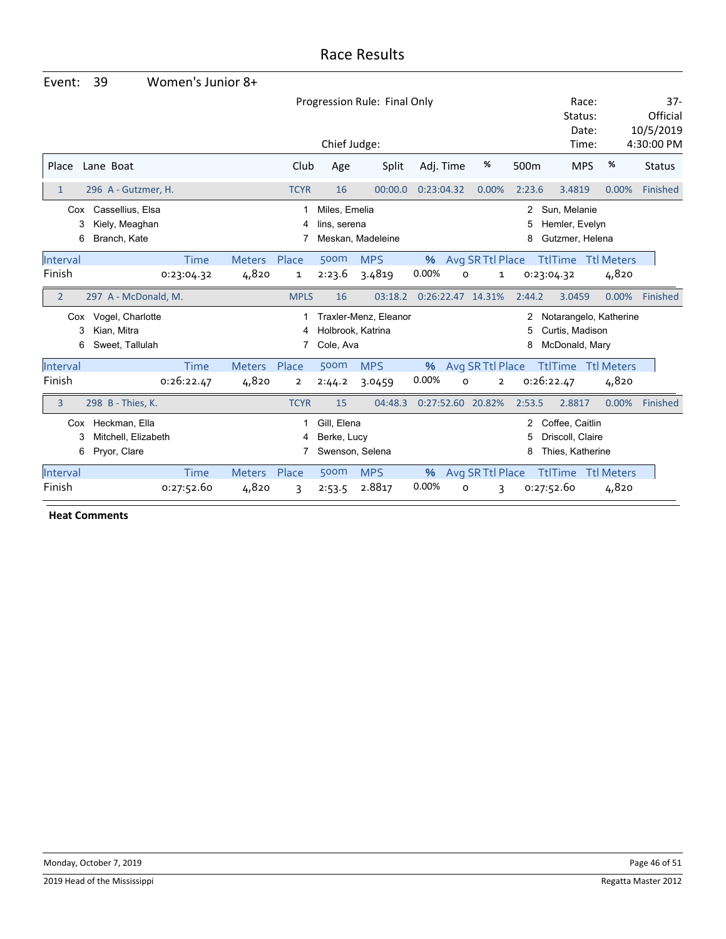| Event:             | 39                                                   | Women's Junior 8+  |                       |                |                               |                                            |               |                       |                  |                                                         |                            |                                 |
|--------------------|------------------------------------------------------|--------------------|-----------------------|----------------|-------------------------------|--------------------------------------------|---------------|-----------------------|------------------|---------------------------------------------------------|----------------------------|---------------------------------|
|                    |                                                      |                    |                       |                | Progression Rule: Final Only  |                                            |               |                       |                  |                                                         | Race:<br>Status:<br>Date:  | $37 -$<br>Official<br>10/5/2019 |
|                    |                                                      |                    |                       |                | Chief Judge:                  |                                            |               |                       |                  | Time:                                                   |                            | 4:30:00 PM                      |
| Place              | Lane Boat                                            |                    |                       | Club           | Age                           | Split                                      | Adj. Time     | %                     | 500 <sub>m</sub> | <b>MPS</b>                                              | %                          | <b>Status</b>                   |
| $\mathbf{1}$       | 296 A - Gutzmer, H.                                  |                    |                       | <b>TCYR</b>    | 16                            | 00:00.0                                    | 0:23:04.32    | 0.00%                 | 2:23.6           | 3.4819                                                  | 0.00%                      | Finished                        |
| Cox<br>3<br>6      | Cassellius, Elsa<br>Kiely, Meaghan<br>Branch, Kate   |                    |                       | 4              | Miles, Emelia<br>lins, serena | Meskan, Madeleine                          |               |                       | 2<br>5<br>8      | Sun, Melanie<br>Hemler, Evelyn<br>Gutzmer, Helena       |                            |                                 |
| Interval<br>Finish |                                                      | Time<br>0:23:04.32 | Meters Place<br>4,820 | 1              | 500m<br>2:23.6                | <b>MPS</b><br>3.4819                       | $\%$<br>0.00% | Avg SR Ttl Place<br>o | 1                | <b>TtlTime</b><br>0:23:04.32                            | <b>Ttl Meters</b><br>4,820 |                                 |
| $\overline{2}$     | 297 A - McDonald, M.                                 |                    |                       | <b>MPLS</b>    | 16                            | 03:18.2                                    |               | 0:26:22.47 14.31%     | 2:44.2           | 3.0459                                                  | 0.00%                      | Finished                        |
| Cox<br>3<br>6      | Vogel, Charlotte<br>Kian, Mitra<br>Sweet, Tallulah   |                    |                       | 4<br>7         | Cole, Ava                     | Traxler-Menz, Eleanor<br>Holbrook, Katrina |               |                       | 2<br>5<br>8      | Curtis, Madison<br>McDonald, Mary                       | Notarangelo, Katherine     |                                 |
| Interval           |                                                      | Time               | <b>Meters</b>         | Place          | 500m                          | <b>MPS</b>                                 | $\%$          | Avg SR Ttl Place      |                  | <b>TtlTime</b>                                          | <b>Ttl Meters</b>          |                                 |
| Finish             |                                                      | 0:26:22.47         | 4,820                 | $\overline{2}$ | 2:44.2                        | 3.0459                                     | 0.00%         | $\Omega$              | $\overline{2}$   | 0:26:22.47                                              | 4,820                      |                                 |
| 3                  | 298 B - Thies, K.                                    |                    |                       | <b>TCYR</b>    | 15                            | 04:48.3                                    |               | 0:27:52.60 20.82%     | 2:53.5           | 2.8817                                                  | 0.00%                      | Finished                        |
| Cox<br>3<br>6      | Heckman, Ella<br>Mitchell, Elizabeth<br>Pryor, Clare |                    |                       | 1<br>4<br>7    | Gill, Elena<br>Berke, Lucy    | Swenson, Selena                            |               |                       | 2<br>5<br>8      | Coffee, Caitlin<br>Driscoll, Claire<br>Thies, Katherine |                            |                                 |
| Interval           |                                                      | <b>Time</b>        | <b>Meters</b>         | Place          | 500m                          | <b>MPS</b>                                 | %             | Avg SR Ttl Place      |                  | <b>TtlTime</b>                                          | <b>Ttl Meters</b>          |                                 |
| Finish             |                                                      | 0:27:52.60         | 4,820                 |                |                               | 2.8817                                     | 0.00%         |                       |                  | 0:27:52.60                                              | 4,820                      |                                 |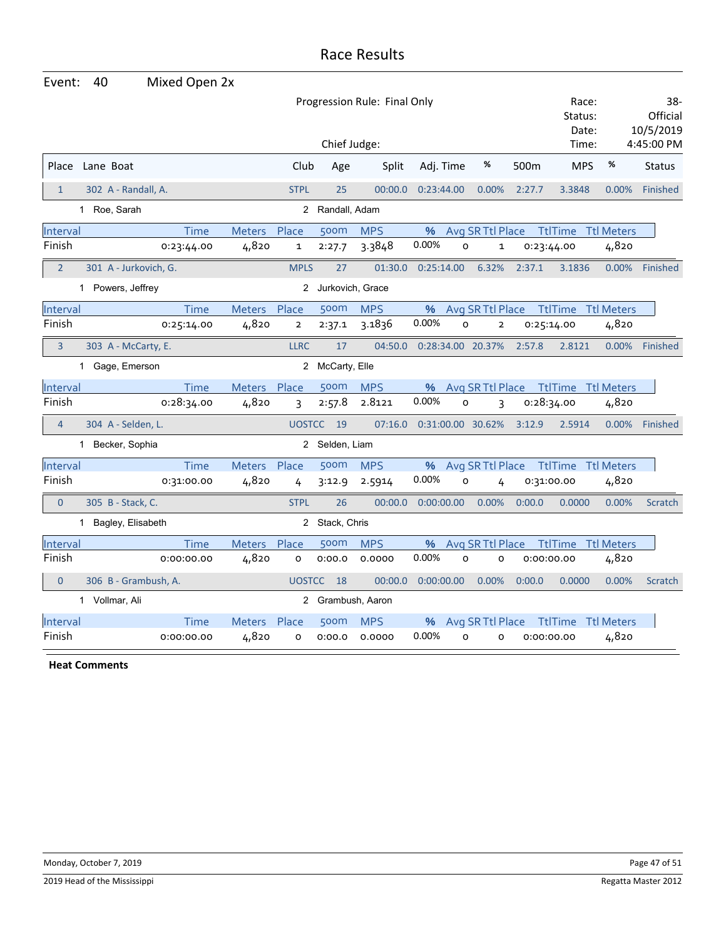| Event:         | 40                    | Mixed Open 2x                |               |                |                    |            |                       |                  |            |                           |                   |                              |
|----------------|-----------------------|------------------------------|---------------|----------------|--------------------|------------|-----------------------|------------------|------------|---------------------------|-------------------|------------------------------|
|                |                       | Progression Rule: Final Only |               |                |                    |            |                       |                  |            | Race:<br>Status:<br>Date: |                   | 38-<br>Official<br>10/5/2019 |
|                |                       |                              |               |                | Chief Judge:       |            |                       |                  |            | Time:                     |                   | 4:45:00 PM                   |
|                | Place Lane Boat       |                              |               | Club           | Age                | Split      | Adj. Time             | %                | 500m       | <b>MPS</b>                | %                 | <b>Status</b>                |
| $\mathbf{1}$   | 302 A - Randall, A.   |                              |               | <b>STPL</b>    | 25                 | 00:00.0    | 0:23:44.00            | 0.00%            | 2:27.7     | 3.3848                    | 0.00%             | Finished                     |
|                | 1 Roe, Sarah          |                              |               |                | 2 Randall, Adam    |            |                       |                  |            |                           |                   |                              |
| Interval       |                       | <b>Time</b>                  | <b>Meters</b> | Place          | 500m               | <b>MPS</b> | %                     | Avg SR Ttl Place |            | <b>TtlTime Ttl Meters</b> |                   |                              |
| Finish         |                       | 0:23:44.00                   | 4,820         | $\mathbf{1}$   | 2:27.7             | 3.3848     | 0.00%<br>$\circ$      | 1                | 0:23:44.00 |                           | 4,820             |                              |
| $\overline{2}$ | 301 A - Jurkovich, G. |                              |               | <b>MPLS</b>    | 27                 | 01:30.0    | 0:25:14.00            | 6.32%            | 2:37.1     | 3.1836                    | 0.00%             | Finished                     |
|                | 1 Powers, Jeffrey     |                              |               |                | 2 Jurkovich, Grace |            |                       |                  |            |                           |                   |                              |
| Interval       |                       | <b>Time</b>                  | <b>Meters</b> | Place          | 500m               | <b>MPS</b> | %                     | Avg SR Ttl Place |            | <b>TtlTime</b>            | <b>Ttl Meters</b> |                              |
| Finish         |                       | 0:25:14.00                   | 4,820         | $\overline{2}$ | 2:37.1             | 3.1836     | 0.00%<br>$\mathsf{o}$ | $\mathbf{2}$     | 0:25:14.00 |                           | 4,820             |                              |
| 3              | 303 A - McCarty, E.   |                              |               | <b>LLRC</b>    | 17                 | 04:50.0    | 0:28:34.00 20.37%     |                  | 2:57.8     | 2.8121                    | 0.00%             | Finished                     |
|                | 1 Gage, Emerson       |                              |               |                | 2 McCarty, Elle    |            |                       |                  |            |                           |                   |                              |
| Interval       |                       | Time                         | <b>Meters</b> | Place          | 500m               | <b>MPS</b> | %                     | Avg SR Ttl Place |            | TtlTime Ttl Meters        |                   |                              |
| Finish         |                       | 0:28:34.00                   | 4,820         | 3              | 2:57.8             | 2.8121     | 0.00%<br>O            | 3                | 0:28:34.00 |                           | 4,820             |                              |
| $\overline{4}$ | 304 A - Selden, L.    |                              |               |                | UOSTCC 19          | 07:16.0    | 0:31:00.00 30.62%     |                  | 3:12.9     | 2.5914                    |                   | 0.00% Finished               |
|                | 1 Becker, Sophia      |                              |               |                | 2 Selden, Liam     |            |                       |                  |            |                           |                   |                              |
| Interval       |                       | Time                         | <b>Meters</b> | Place          | 500m               | <b>MPS</b> | %                     | Avg SR Ttl Place |            | TtlTime Ttl Meters        |                   |                              |
| Finish         |                       | 0:31:00.00                   | 4,820         | 4              | 3:12.9             | 2.5914     | 0.00%<br>o            | 4                | 0:31:00.00 |                           | 4,820             |                              |
| $\mathbf{0}$   | 305 B - Stack, C.     |                              |               | <b>STPL</b>    | 26                 | 00:00.0    | 0:00:00.00            | 0.00%            | 0:00.0     | 0.0000                    | 0.00%             | Scratch                      |
|                | 1 Bagley, Elisabeth   |                              |               |                | 2 Stack, Chris     |            |                       |                  |            |                           |                   |                              |
| Interval       |                       | <b>Time</b>                  | Meters        | Place          | 500m               | <b>MPS</b> | %                     | Avg SR Ttl Place |            | <b>TtlTime</b>            | <b>Ttl Meters</b> |                              |
| Finish         |                       | 0:00:00.00                   | 4,820         | 0              | 0:00.0             | 0.0000     | 0.00%<br>$\circ$      | $\circ$          | 0:00:00.00 |                           | 4,820             |                              |
| $\overline{0}$ | 306 B - Grambush, A.  |                              |               | <b>UOSTCC</b>  | 18                 | 00:00.0    | 0:00:00.00            | 0.00%            | 0:00.0     | 0.0000                    | 0.00%             | Scratch                      |
|                | 1 Vollmar, Ali        |                              |               |                | 2 Grambush, Aaron  |            |                       |                  |            |                           |                   |                              |
| Interval       |                       | <b>Time</b>                  | <b>Meters</b> | Place          | 500m               | <b>MPS</b> | %                     | Avg SR Ttl Place |            | <b>TtlTime</b> Ttl Meters |                   |                              |
| Finish         |                       | 0:00:00.00                   | 4,820         | o              | 0:00.0             | 0.0000     | 0.00%<br>$\circ$      | o                | 0:00:00.00 |                           | 4,820             |                              |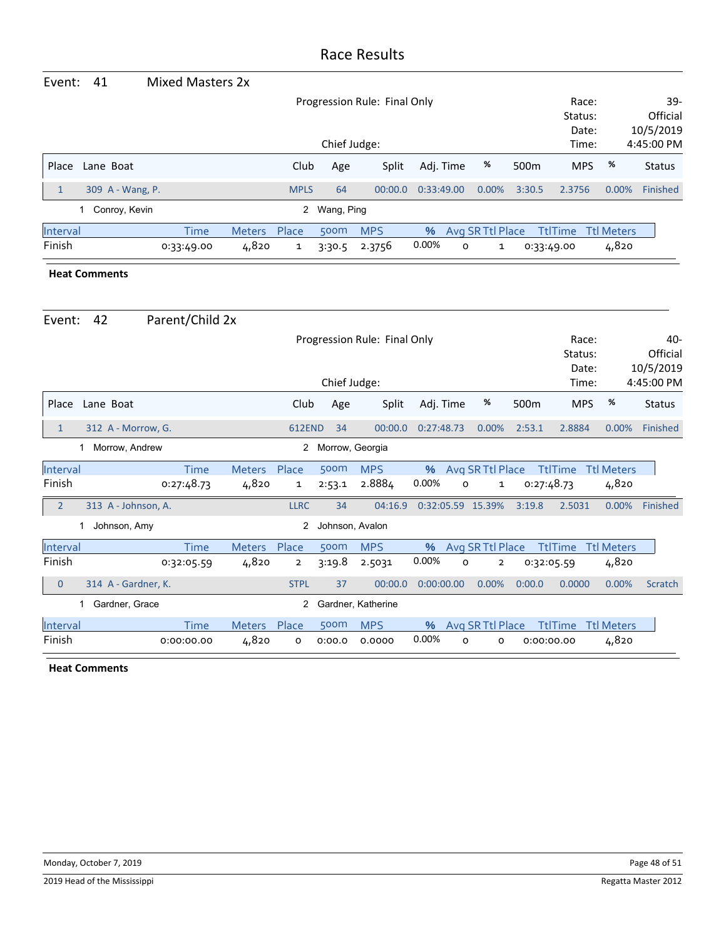| Event:                        | 41               | Mixed Masters 2x |               |              |                  |                              |            |                  |                  |                |                   |               |
|-------------------------------|------------------|------------------|---------------|--------------|------------------|------------------------------|------------|------------------|------------------|----------------|-------------------|---------------|
|                               |                  |                  |               |              |                  | Progression Rule: Final Only | Race:      |                  | $39-$            |                |                   |               |
|                               |                  |                  |               |              |                  |                              |            |                  |                  | Status:        |                   | Official      |
|                               |                  |                  |               |              |                  |                              |            |                  |                  | Date:          |                   | 10/5/2019     |
| Chief Judge:<br>Time:         |                  |                  |               |              |                  |                              |            |                  |                  |                |                   | 4:45:00 PM    |
| Place                         | Lane Boat        |                  |               | Club         | Age              | Split                        | Adj. Time  | %                | 500 <sub>m</sub> | <b>MPS</b>     | %                 | <b>Status</b> |
| 1                             | 309 A - Wang, P. |                  |               | <b>MPLS</b>  | 64               | 00:00.0                      | 0:33:49.00 | $0.00\%$         | 3:30.5           | 2.3756         | $0.00\%$          | Finished      |
| 2 Wang, Ping<br>Conroy, Kevin |                  |                  |               |              |                  |                              |            |                  |                  |                |                   |               |
| Interval                      |                  | Time             | <b>Meters</b> | Place        | 500 <sub>m</sub> | <b>MPS</b>                   | %          | Avg SR Ttl Place |                  | <b>TtlTime</b> | <b>Ttl Meters</b> |               |
| Finish                        |                  | 0:33:49.00       | 4,820         | $\mathbf{1}$ | 3:30.5           | 2.3756                       | 0.00%      | 0<br>1           |                  | 0:33:49.00     | 4,820             |               |

#### **Heat Comments**

| Event:         | 42                  | Parent/Child 2x |                |                |                    |                              |            |   |                   |                  |                           |                   |                              |
|----------------|---------------------|-----------------|----------------|----------------|--------------------|------------------------------|------------|---|-------------------|------------------|---------------------------|-------------------|------------------------------|
|                |                     |                 |                |                |                    | Progression Rule: Final Only |            |   |                   |                  | Race:<br>Status:<br>Date: |                   | 40-<br>Official<br>10/5/2019 |
|                |                     |                 |                |                | Chief Judge:       |                              |            |   |                   |                  | Time:                     |                   | 4:45:00 PM                   |
| Place          | Lane Boat           |                 |                | Club           | Age                | Split                        | Adj. Time  |   | %                 | 500 <sub>m</sub> | <b>MPS</b>                | %                 | <b>Status</b>                |
| 1              | 312 A - Morrow, G.  |                 |                | <b>612END</b>  | 34                 | 00:00.0                      | 0:27:48.73 |   | 0.00%             | 2:53.1           | 2.8884                    | 0.00%             | Finished                     |
|                | Morrow, Andrew      |                 |                | 2              | Morrow, Georgia    |                              |            |   |                   |                  |                           |                   |                              |
| Interval       |                     | <b>Time</b>     | <b>Meters</b>  | Place          | 500m               | <b>MPS</b>                   | %          |   | Avg SR Ttl Place  |                  | <b>TtlTime</b>            | <b>Ttl Meters</b> |                              |
| Finish         |                     | 0:27:48.73      | 4,820          | 1              | 2:53.1             | 2.8884                       | 0.00%      | 0 | 1                 |                  | 0:27:48.73                | 4,820             |                              |
| $\overline{2}$ | 313 A - Johnson, A. |                 |                | <b>LLRC</b>    | 34                 | 04:16.9                      |            |   | 0:32:05.59 15.39% | 3:19.8           | 2.5031                    | 0.00%             | Finished                     |
|                | Johnson, Amy<br>1   |                 |                | $\overline{2}$ | Johnson, Avalon    |                              |            |   |                   |                  |                           |                   |                              |
| Interval       |                     | <b>Time</b>     | <b>Meters</b>  | Place          | 500m               | <b>MPS</b>                   | %          |   | Avg SR Ttl Place  |                  | <b>TtlTime</b>            | <b>Ttl Meters</b> |                              |
| Finish         |                     | 0:32:05.59      | 4,820          | $\overline{2}$ | 3:19.8             | 2.5031                       | 0.00%      | 0 | $\overline{2}$    |                  | 0:32:05.59                | 4,820             |                              |
| $\mathbf 0$    | 314 A - Gardner, K. |                 |                | <b>STPL</b>    | 37                 | 00:00.0                      | 0:00:00.00 |   | 0.00%             | 0:00.0           | 0.0000                    | 0.00%             | Scratch                      |
|                | Gardner, Grace      |                 | $\overline{2}$ |                | Gardner, Katherine |                              |            |   |                   |                  |                           |                   |                              |
| Interval       |                     | <b>Time</b>     | <b>Meters</b>  | Place          | 500m               | <b>MPS</b>                   | $\%$       |   | Avg SR Ttl Place  |                  | <b>TtlTime</b>            | <b>Ttl Meters</b> |                              |
| Finish         |                     | 0:00:00.00      | 4,820          | o              | 0:00.0             | 0.0000                       | 0.00%      | 0 | o                 |                  | 0:00:00.00                | 4,820             |                              |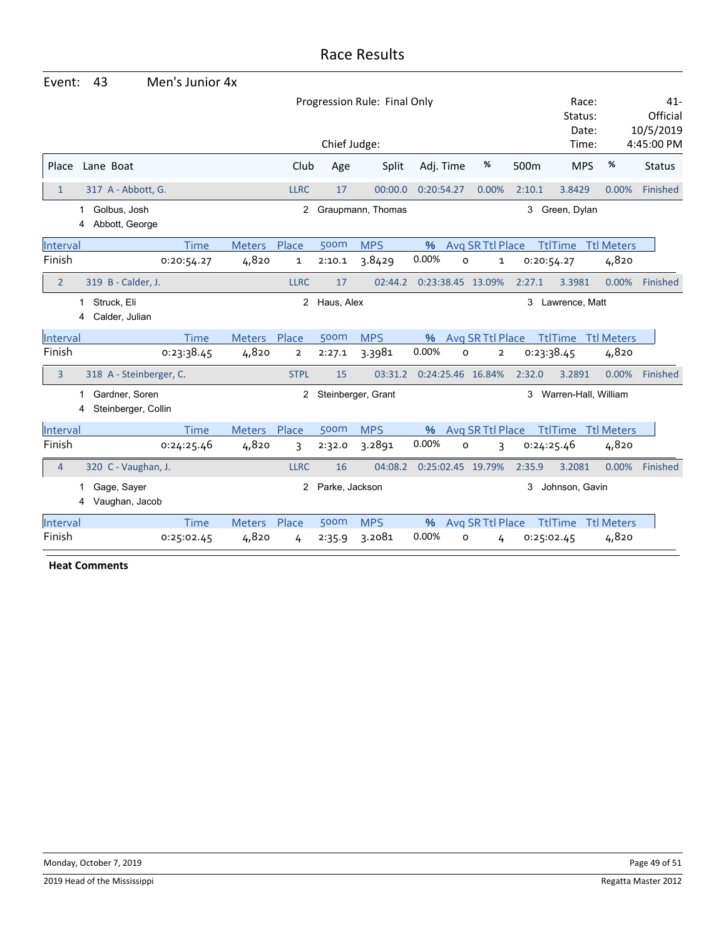| Event:         |                                     | 43                                    | Men's Junior 4x |               |                |                |                    |            |                                |            |                           |                   |                                 |
|----------------|-------------------------------------|---------------------------------------|-----------------|---------------|----------------|----------------|--------------------|------------|--------------------------------|------------|---------------------------|-------------------|---------------------------------|
|                | Progression Rule: Final Only        |                                       |                 |               |                |                |                    |            |                                |            | Race:<br>Status:<br>Date: |                   | $41 -$<br>Official<br>10/5/2019 |
|                |                                     |                                       |                 |               |                | Chief Judge:   |                    |            |                                |            | Time:                     |                   | 4:45:00 PM                      |
| Place          |                                     | Lane Boat                             |                 |               | Club           | Age            | Split              | Adj. Time  | %                              | 500m       | <b>MPS</b>                | %                 | <b>Status</b>                   |
| $\mathbf{1}$   |                                     | 317 A - Abbott, G.                    |                 |               | <b>LLRC</b>    | 17             | 00:00.0            | 0:20:54.27 | 0.00%                          | 2:10.1     | 3.8429                    | 0.00%             | Finished                        |
|                | Golbus, Josh<br>Abbott, George<br>4 |                                       |                 |               | 2              |                | Graupmann, Thomas  |            |                                | 3          | Green, Dylan              |                   |                                 |
| Interval       |                                     |                                       | <b>Time</b>     | <b>Meters</b> | Place          | 500m           | <b>MPS</b>         | $\%$       | Avg SR Ttl Place               |            | <b>TtlTime</b>            | <b>Ttl Meters</b> |                                 |
| Finish         |                                     |                                       | 0:20:54.27      | 4,820         | 1              | 2:10.1         | 3.8429             | 0.00%      | O<br>$\mathbf{1}$              | 0:20:54.27 |                           | 4,820             |                                 |
| $\overline{2}$ |                                     | 319 B - Calder, J.                    |                 |               | <b>LLRC</b>    | 17             | 02:44.2            |            | 0:23:38.45 13.09%              | 2:27.1     | 3.3981                    | 0.00%             | Finished                        |
|                | 1                                   | Struck, Eli<br>Calder, Julian         |                 |               | $^{2}$         | Haus, Alex     |                    |            |                                | 3          | Lawrence, Matt            |                   |                                 |
| Interval       |                                     |                                       | <b>Time</b>     | <b>Meters</b> | Place          | 500m           | <b>MPS</b>         | $\%$       | Avg SR Ttl Place               |            | <b>TtlTime</b> Ttl Meters |                   |                                 |
| Finish         |                                     |                                       | 0:23:38.45      | 4,820         | $\overline{2}$ | 2:27.1         | 3.3981             | 0.00%      | $\mathsf{o}$<br>$\overline{2}$ | 0:23:38.45 |                           | 4,820             |                                 |
| 3              |                                     | 318 A - Steinberger, C.               |                 |               | <b>STPL</b>    | 15             | 03:31.2            |            | 0:24:25.46 16.84%              | 2:32.0     | 3.2891                    | 0.00%             | Finished                        |
|                | 4                                   | Gardner, Soren<br>Steinberger, Collin |                 |               | $^{2}$         |                | Steinberger, Grant |            |                                | 3          | Warren-Hall, William      |                   |                                 |
| Interval       |                                     |                                       | Time            | <b>Meters</b> | Place          | 500m           | <b>MPS</b>         | %          | Avg SR Ttl Place               |            | <b>TtlTime Ttl Meters</b> |                   |                                 |
| Finish         |                                     |                                       | 0:24:25.46      | 4,820         | 3              | 2:32.0         | 3.2891             | 0.00%      | $\mathsf{o}$<br>3              | 0:24:25.46 |                           | 4,820             |                                 |
| $\overline{4}$ |                                     | 320 C - Vaughan, J.                   |                 |               | <b>LLRC</b>    | 16             | 04:08.2            |            | 0:25:02.45 19.79%              | 2:35.9     | 3.2081                    | 0.00%             | Finished                        |
|                | 4                                   | Gage, Sayer<br>Vaughan, Jacob         |                 |               | 2              | Parke, Jackson |                    |            |                                | 3          | Johnson, Gavin            |                   |                                 |
| Interval       |                                     |                                       | <b>Time</b>     | <b>Meters</b> | Place          | 500m           | <b>MPS</b>         | $\%$       | Avg SR Ttl Place               |            | <b>TtlTime</b>            | <b>Ttl Meters</b> |                                 |
| Finish         |                                     |                                       | 0:25:02.45      | 4,820         | 4              | 2:35.9         | 3.2081             | 0.00%      | O<br>4                         | 0:25:02.45 |                           | 4,820             |                                 |